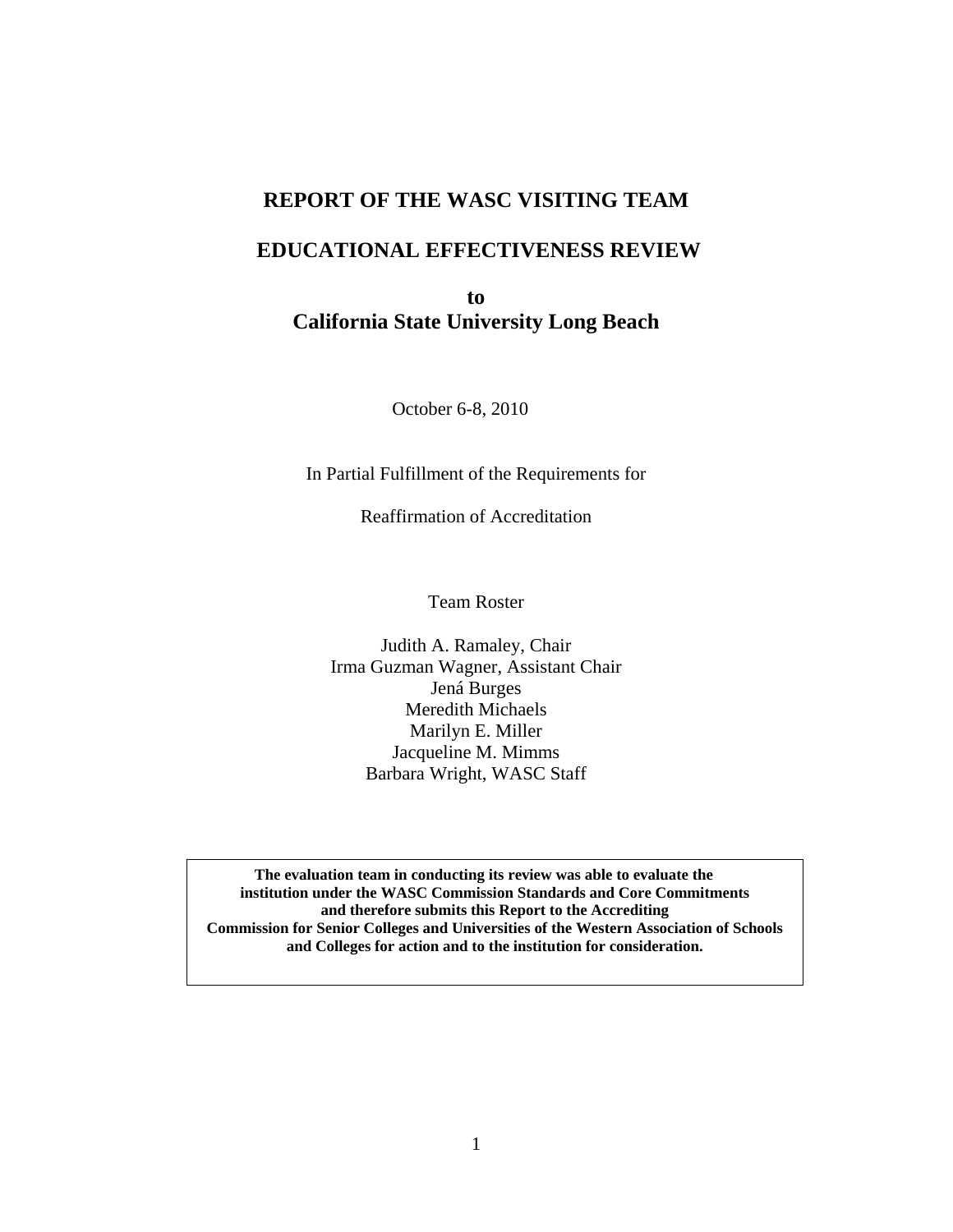## **REPORT OF THE WASC VISITING TEAM**

## **EDUCATIONAL EFFECTIVENESS REVIEW**

**to California State University Long Beach** 

October 6-8, 2010

In Partial Fulfillment of the Requirements for

Reaffirmation of Accreditation

Team Roster

Judith A. Ramaley, Chair Irma Guzman Wagner, Assistant Chair Jená Burges Meredith Michaels Marilyn E. Miller Jacqueline M. Mimms Barbara Wright, WASC Staff

 **and Colleges for action and to the institution for consideration. The evaluation team in conducting its review was able to evaluate the institution under the WASC Commission Standards and Core Commitments and therefore submits this Report to the Accrediting Commission for Senior Colleges and Universities of the Western Association of Schools**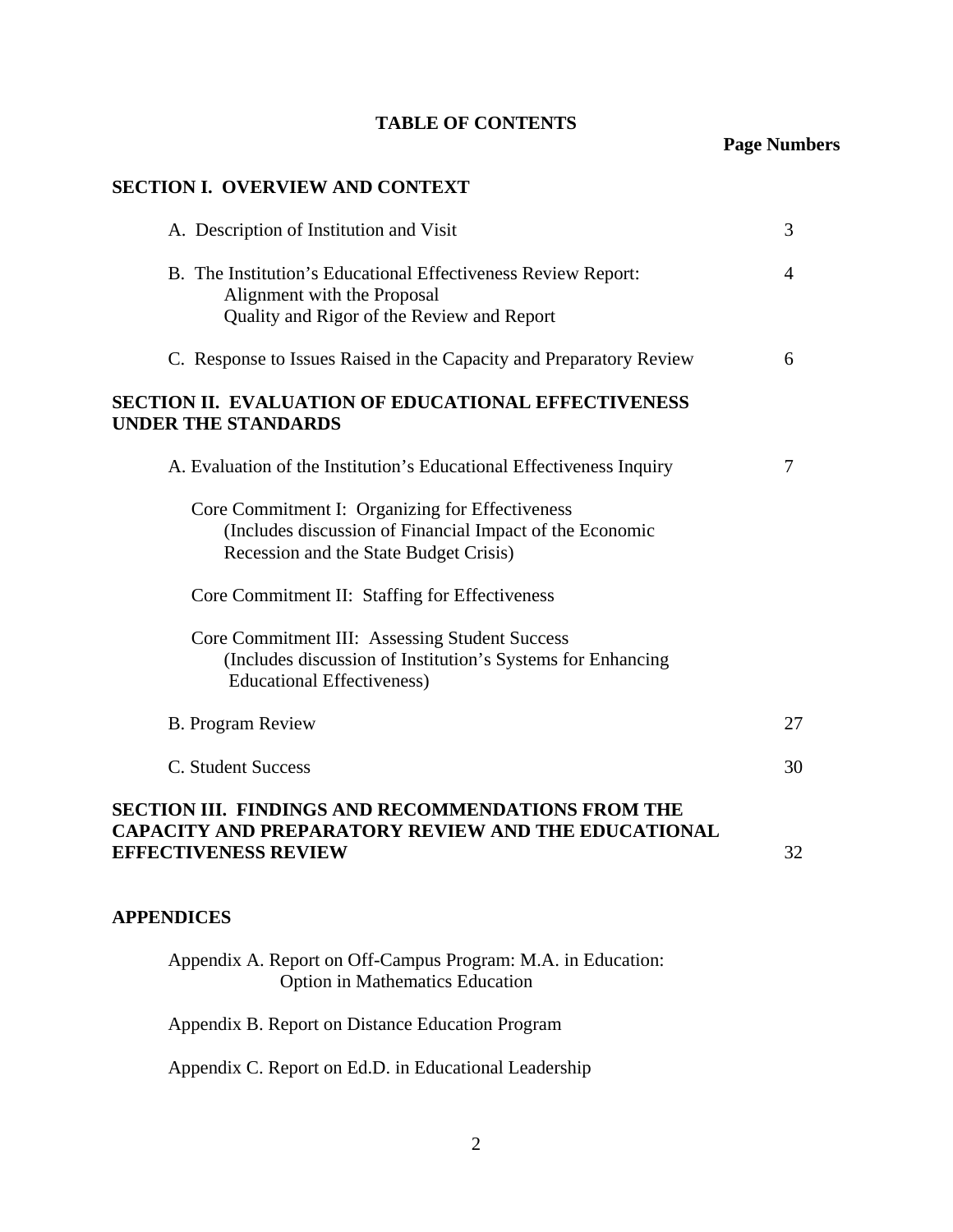## **TABLE OF CONTENTS**

## **Page Numbers**

### **SECTION I. OVERVIEW AND CONTEXT**

| A. Description of Institution and Visit                                                                                                               | 3  |
|-------------------------------------------------------------------------------------------------------------------------------------------------------|----|
| B. The Institution's Educational Effectiveness Review Report:<br>Alignment with the Proposal<br>Quality and Rigor of the Review and Report            | 4  |
| C. Response to Issues Raised in the Capacity and Preparatory Review                                                                                   | 6  |
| SECTION II. EVALUATION OF EDUCATIONAL EFFECTIVENESS<br><b>UNDER THE STANDARDS</b>                                                                     |    |
| A. Evaluation of the Institution's Educational Effectiveness Inquiry                                                                                  | 7  |
| Core Commitment I: Organizing for Effectiveness<br>(Includes discussion of Financial Impact of the Economic<br>Recession and the State Budget Crisis) |    |
| Core Commitment II: Staffing for Effectiveness                                                                                                        |    |
| Core Commitment III: Assessing Student Success<br>(Includes discussion of Institution's Systems for Enhancing<br><b>Educational Effectiveness)</b>    |    |
| <b>B.</b> Program Review                                                                                                                              | 27 |
| C. Student Success                                                                                                                                    | 30 |
| <b>SECTION III. FINDINGS AND RECOMMENDATIONS FROM THE</b><br>CAPACITY AND PREPARATORY REVIEW AND THE EDUCATIONAL<br><b>EFFECTIVENESS REVIEW</b>       | 32 |
| <b>APPENDICES</b>                                                                                                                                     |    |

Appendix A. Report on Off-Campus Program: M.A. in Education: Option in Mathematics Education

Appendix B. Report on Distance Education Program

Appendix C. Report on Ed.D. in Educational Leadership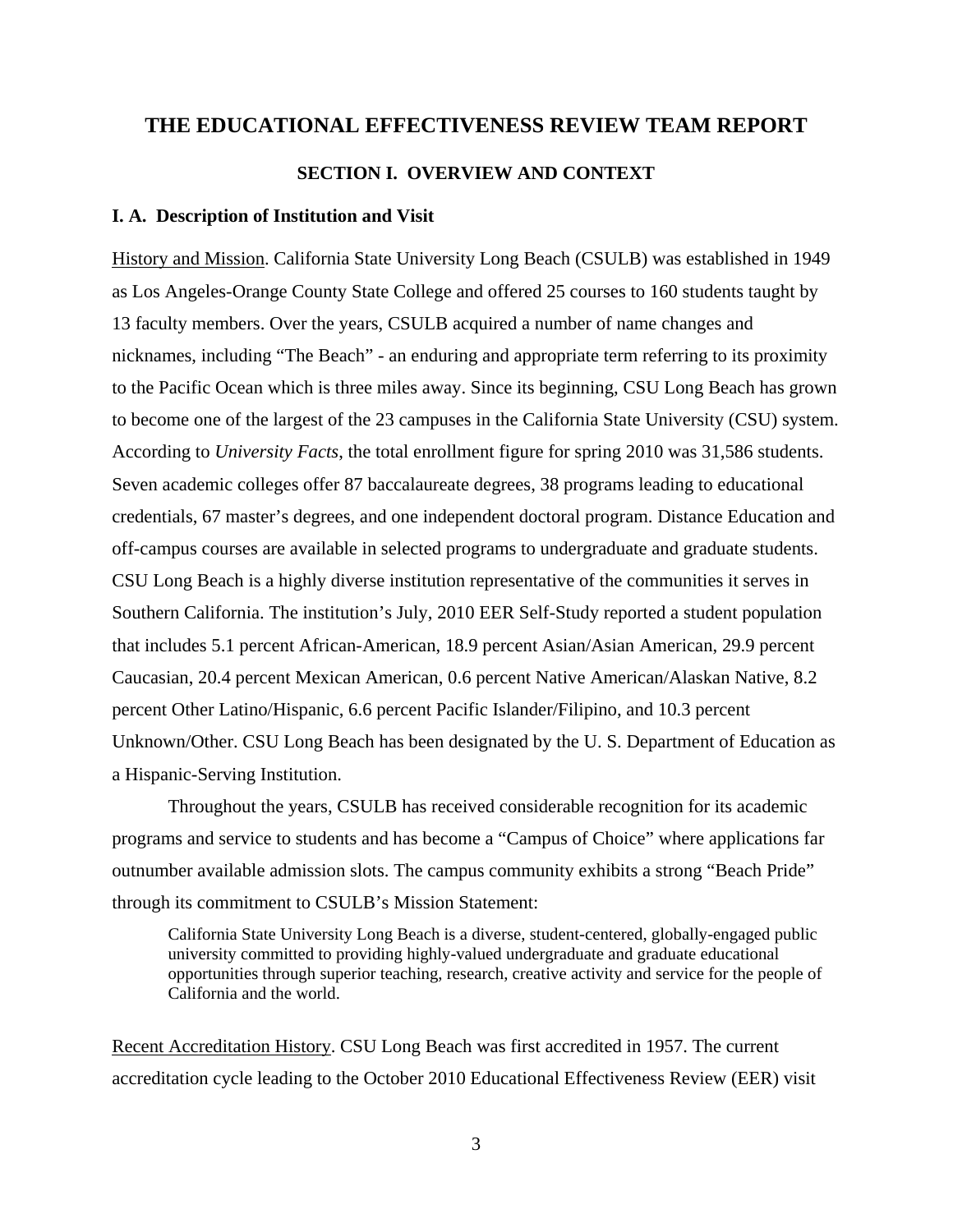# **THE EDUCATIONAL EFFECTIVENESS REVIEW TEAM REPORT SECTION I. OVERVIEW AND CONTEXT**

### **I. A. Description of Institution and Visit**

History and Mission. California State University Long Beach (CSULB) was established in 1949 as Los Angeles-Orange County State College and offered 25 courses to 160 students taught by 13 faculty members. Over the years, CSULB acquired a number of name changes and nicknames, including "The Beach" - an enduring and appropriate term referring to its proximity to the Pacific Ocean which is three miles away. Since its beginning, CSU Long Beach has grown to become one of the largest of the 23 campuses in the California State University (CSU) system. According to *University Facts*, the total enrollment figure for spring 2010 was 31,586 students. Seven academic colleges offer 87 baccalaureate degrees, 38 programs leading to educational credentials, 67 master's degrees, and one independent doctoral program. Distance Education and off-campus courses are available in selected programs to undergraduate and graduate students. CSU Long Beach is a highly diverse institution representative of the communities it serves in Southern California. The institution's July, 2010 EER Self-Study reported a student population that includes 5.1 percent African-American, 18.9 percent Asian/Asian American, 29.9 percent Caucasian, 20.4 percent Mexican American, 0.6 percent Native American/Alaskan Native, 8.2 percent Other Latino/Hispanic, 6.6 percent Pacific Islander/Filipino, and 10.3 percent Unknown/Other. CSU Long Beach has been designated by the U. S. Department of Education as a Hispanic-Serving Institution.

Throughout the years, CSULB has received considerable recognition for its academic programs and service to students and has become a "Campus of Choice" where applications far outnumber available admission slots. The campus community exhibits a strong "Beach Pride" through its commitment to CSULB's Mission Statement:

California State University Long Beach is a diverse, student-centered, globally-engaged public university committed to providing highly-valued undergraduate and graduate educational opportunities through superior teaching, research, creative activity and service for the people of California and the world.

Recent Accreditation History. CSU Long Beach was first accredited in 1957. The current accreditation cycle leading to the October 2010 Educational Effectiveness Review (EER) visit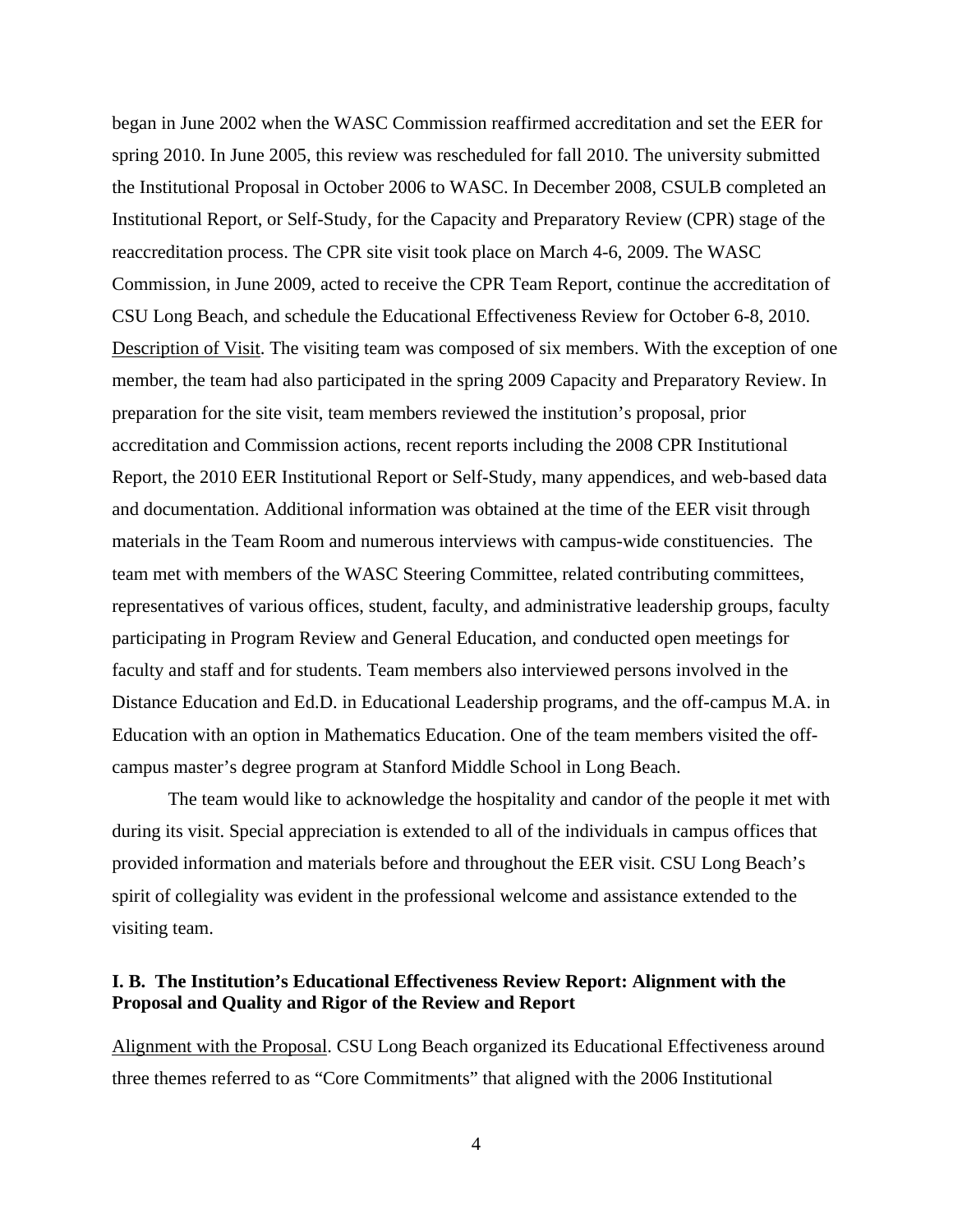began in June 2002 when the WASC Commission reaffirmed accreditation and set the EER for spring 2010. In June 2005, this review was rescheduled for fall 2010. The university submitted the Institutional Proposal in October 2006 to WASC. In December 2008, CSULB completed an Institutional Report, or Self-Study, for the Capacity and Preparatory Review (CPR) stage of the reaccreditation process. The CPR site visit took place on March 4-6, 2009. The WASC Commission, in June 2009, acted to receive the CPR Team Report, continue the accreditation of CSU Long Beach, and schedule the Educational Effectiveness Review for October 6-8, 2010. Description of Visit. The visiting team was composed of six members. With the exception of one member, the team had also participated in the spring 2009 Capacity and Preparatory Review. In preparation for the site visit, team members reviewed the institution's proposal, prior accreditation and Commission actions, recent reports including the 2008 CPR Institutional Report, the 2010 EER Institutional Report or Self-Study, many appendices, and web-based data and documentation. Additional information was obtained at the time of the EER visit through materials in the Team Room and numerous interviews with campus-wide constituencies. The team met with members of the WASC Steering Committee, related contributing committees, representatives of various offices, student, faculty, and administrative leadership groups, faculty participating in Program Review and General Education, and conducted open meetings for faculty and staff and for students. Team members also interviewed persons involved in the Distance Education and Ed.D. in Educational Leadership programs, and the off-campus M.A. in Education with an option in Mathematics Education. One of the team members visited the offcampus master's degree program at Stanford Middle School in Long Beach.

The team would like to acknowledge the hospitality and candor of the people it met with during its visit. Special appreciation is extended to all of the individuals in campus offices that provided information and materials before and throughout the EER visit. CSU Long Beach's spirit of collegiality was evident in the professional welcome and assistance extended to the visiting team.

### **I. B. The Institution's Educational Effectiveness Review Report: Alignment with the Proposal and Quality and Rigor of the Review and Report**

Alignment with the Proposal. CSU Long Beach organized its Educational Effectiveness around three themes referred to as "Core Commitments" that aligned with the 2006 Institutional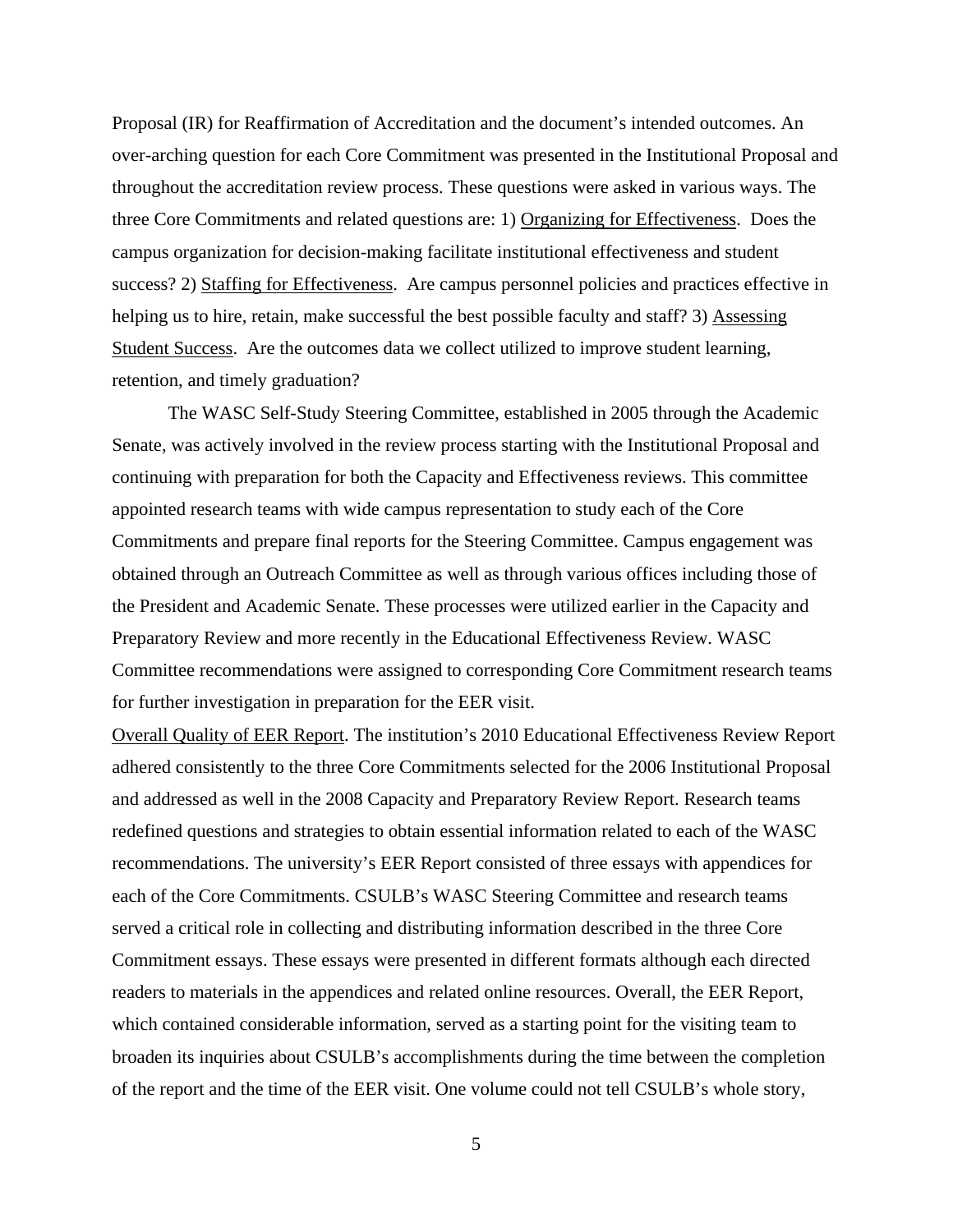Proposal (IR) for Reaffirmation of Accreditation and the document's intended outcomes. An over-arching question for each Core Commitment was presented in the Institutional Proposal and throughout the accreditation review process. These questions were asked in various ways. The three Core Commitments and related questions are: 1) Organizing for Effectiveness. Does the campus organization for decision-making facilitate institutional effectiveness and student success? 2) Staffing for Effectiveness. Are campus personnel policies and practices effective in helping us to hire, retain, make successful the best possible faculty and staff? 3) Assessing Student Success. Are the outcomes data we collect utilized to improve student learning, retention, and timely graduation?

The WASC Self-Study Steering Committee, established in 2005 through the Academic Senate, was actively involved in the review process starting with the Institutional Proposal and continuing with preparation for both the Capacity and Effectiveness reviews. This committee appointed research teams with wide campus representation to study each of the Core Commitments and prepare final reports for the Steering Committee. Campus engagement was obtained through an Outreach Committee as well as through various offices including those of the President and Academic Senate. These processes were utilized earlier in the Capacity and Preparatory Review and more recently in the Educational Effectiveness Review. WASC Committee recommendations were assigned to corresponding Core Commitment research teams for further investigation in preparation for the EER visit.

Overall Quality of EER Report. The institution's 2010 Educational Effectiveness Review Report adhered consistently to the three Core Commitments selected for the 2006 Institutional Proposal and addressed as well in the 2008 Capacity and Preparatory Review Report. Research teams redefined questions and strategies to obtain essential information related to each of the WASC recommendations. The university's EER Report consisted of three essays with appendices for each of the Core Commitments. CSULB's WASC Steering Committee and research teams served a critical role in collecting and distributing information described in the three Core Commitment essays. These essays were presented in different formats although each directed readers to materials in the appendices and related online resources. Overall, the EER Report, which contained considerable information, served as a starting point for the visiting team to broaden its inquiries about CSULB's accomplishments during the time between the completion of the report and the time of the EER visit. One volume could not tell CSULB's whole story,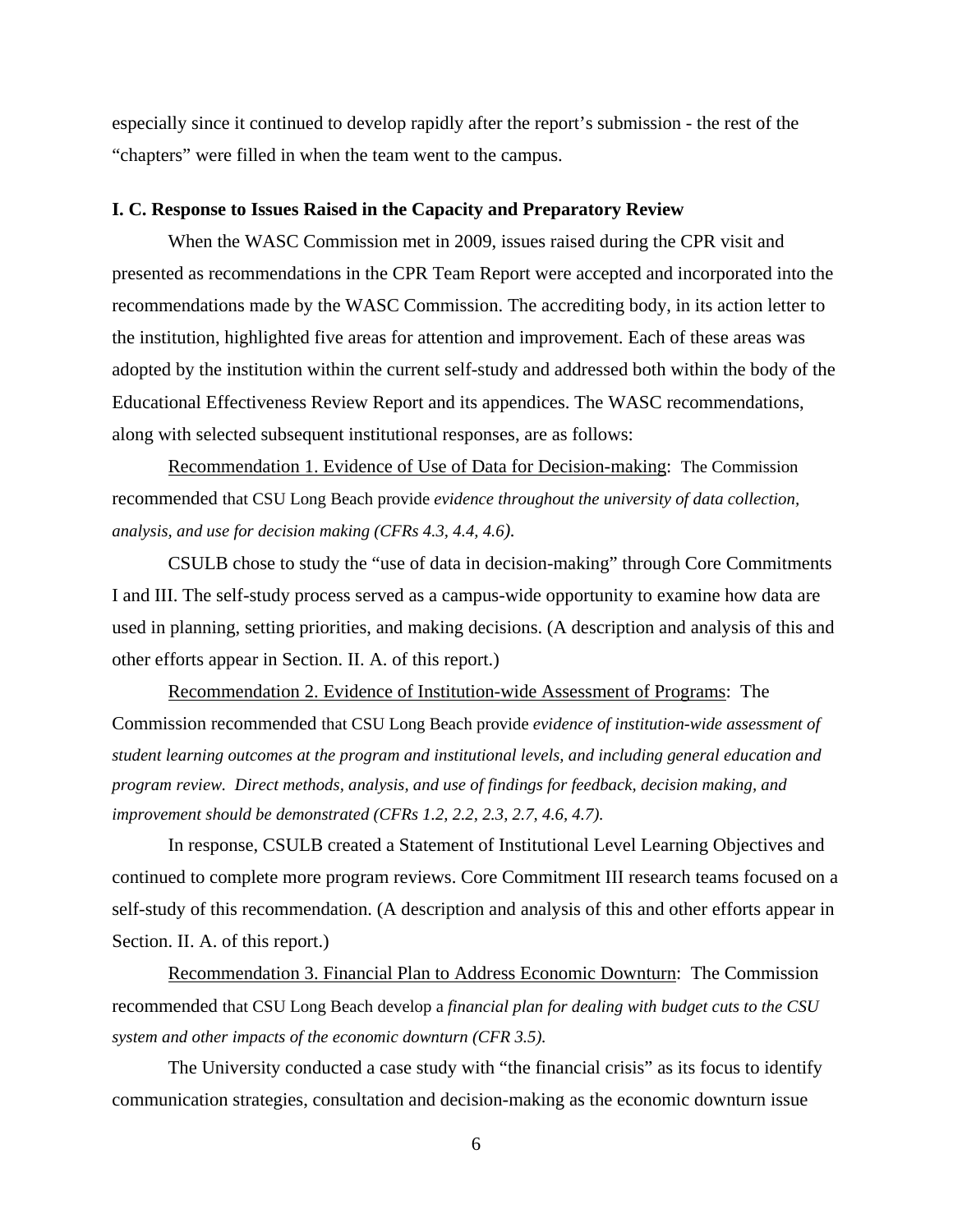especially since it continued to develop rapidly after the report's submission - the rest of the "chapters" were filled in when the team went to the campus.

#### **I. C. Response to Issues Raised in the Capacity and Preparatory Review**

When the WASC Commission met in 2009, issues raised during the CPR visit and presented as recommendations in the CPR Team Report were accepted and incorporated into the recommendations made by the WASC Commission. The accrediting body, in its action letter to the institution, highlighted five areas for attention and improvement. Each of these areas was adopted by the institution within the current self-study and addressed both within the body of the Educational Effectiveness Review Report and its appendices. The WASC recommendations, along with selected subsequent institutional responses, are as follows:

Recommendation 1. Evidence of Use of Data for Decision-making: The Commission recommended that CSU Long Beach provide *evidence throughout the university of data collection, analysis, and use for decision making (CFRs 4.3, 4.4, 4.6).* 

CSULB chose to study the "use of data in decision-making" through Core Commitments I and III. The self-study process served as a campus-wide opportunity to examine how data are used in planning, setting priorities, and making decisions. (A description and analysis of this and other efforts appear in Section. II. A. of this report.)

Recommendation 2. Evidence of Institution-wide Assessment of Programs: The Commission recommended that CSU Long Beach provide *evidence of institution-wide assessment of student learning outcomes at the program and institutional levels, and including general education and program review. Direct methods, analysis, and use of findings for feedback, decision making, and improvement should be demonstrated (CFRs 1.2, 2.2, 2.3, 2.7, 4.6, 4.7).* 

In response, CSULB created a Statement of Institutional Level Learning Objectives and continued to complete more program reviews. Core Commitment III research teams focused on a self-study of this recommendation. (A description and analysis of this and other efforts appear in Section. II. A. of this report.)

Recommendation 3. Financial Plan to Address Economic Downturn: The Commission recommended that CSU Long Beach develop a *financial plan for dealing with budget cuts to the CSU system and other impacts of the economic downturn (CFR 3.5).*

The University conducted a case study with "the financial crisis" as its focus to identify communication strategies, consultation and decision-making as the economic downturn issue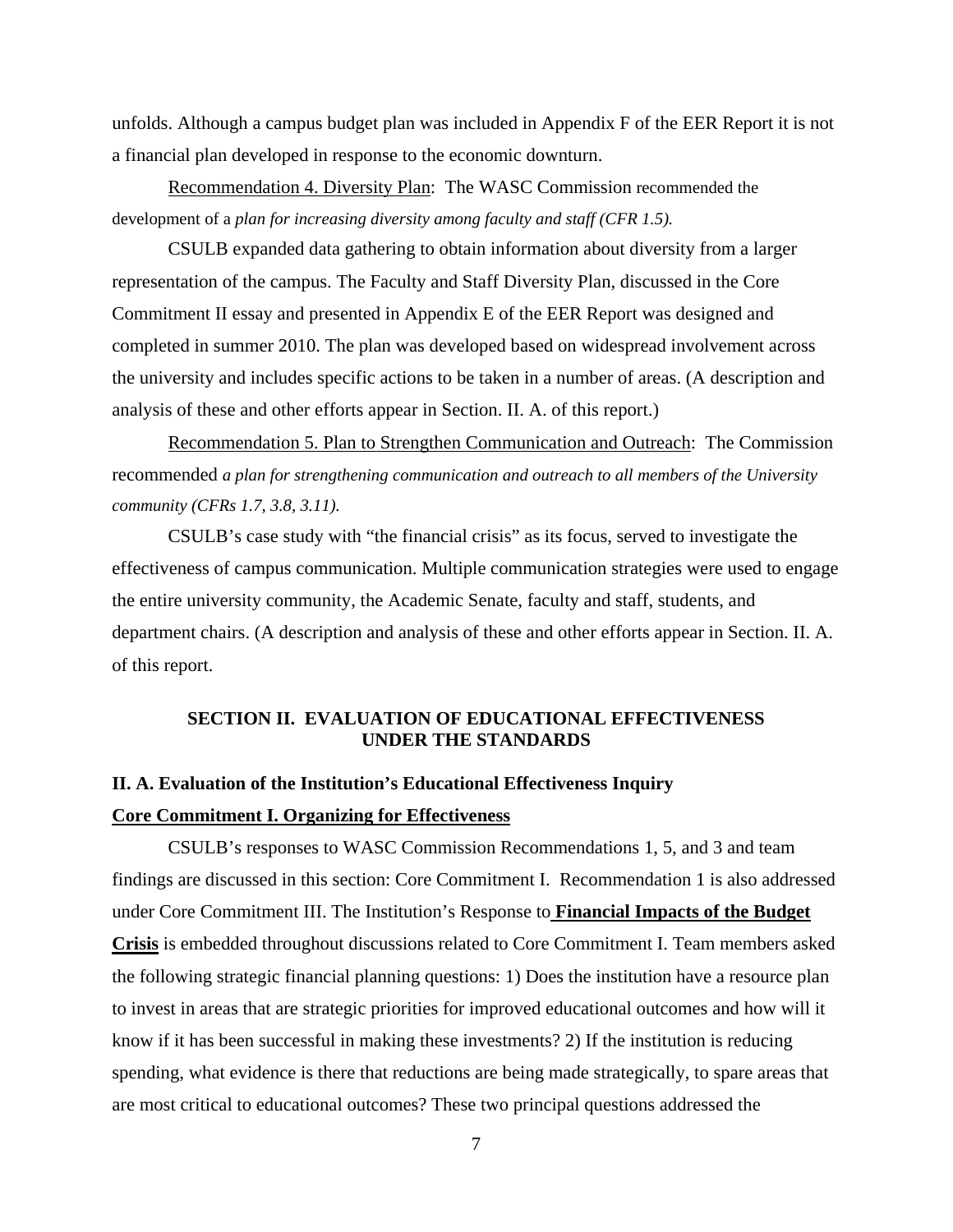unfolds. Although a campus budget plan was included in Appendix F of the EER Report it is not a financial plan developed in response to the economic downturn.

Recommendation 4. Diversity Plan: The WASC Commission recommended the development of a *plan for increasing diversity among faculty and staff (CFR 1.5).* 

CSULB expanded data gathering to obtain information about diversity from a larger representation of the campus. The Faculty and Staff Diversity Plan, discussed in the Core Commitment II essay and presented in Appendix E of the EER Report was designed and completed in summer 2010. The plan was developed based on widespread involvement across the university and includes specific actions to be taken in a number of areas. (A description and analysis of these and other efforts appear in Section. II. A. of this report.)

Recommendation 5. Plan to Strengthen Communication and Outreach: The Commission recommended *a plan for strengthening communication and outreach to all members of the University community (CFRs 1.7, 3.8, 3.11).*

CSULB's case study with "the financial crisis" as its focus, served to investigate the effectiveness of campus communication. Multiple communication strategies were used to engage the entire university community, the Academic Senate, faculty and staff, students, and department chairs. (A description and analysis of these and other efforts appear in Section. II. A. of this report.

## **SECTION II. EVALUATION OF EDUCATIONAL EFFECTIVENESS UNDER THE STANDARDS**

## **II. A. Evaluation of the Institution's Educational Effectiveness Inquiry Core Commitment I. Organizing for Effectiveness**

CSULB's responses to WASC Commission Recommendations 1, 5, and 3 and team findings are discussed in this section: Core Commitment I. Recommendation 1 is also addressed under Core Commitment III. The Institution's Response to **Financial Impacts of the Budget Crisis** is embedded throughout discussions related to Core Commitment I. Team members asked the following strategic financial planning questions: 1) Does the institution have a resource plan to invest in areas that are strategic priorities for improved educational outcomes and how will it know if it has been successful in making these investments? 2) If the institution is reducing spending, what evidence is there that reductions are being made strategically, to spare areas that are most critical to educational outcomes? These two principal questions addressed the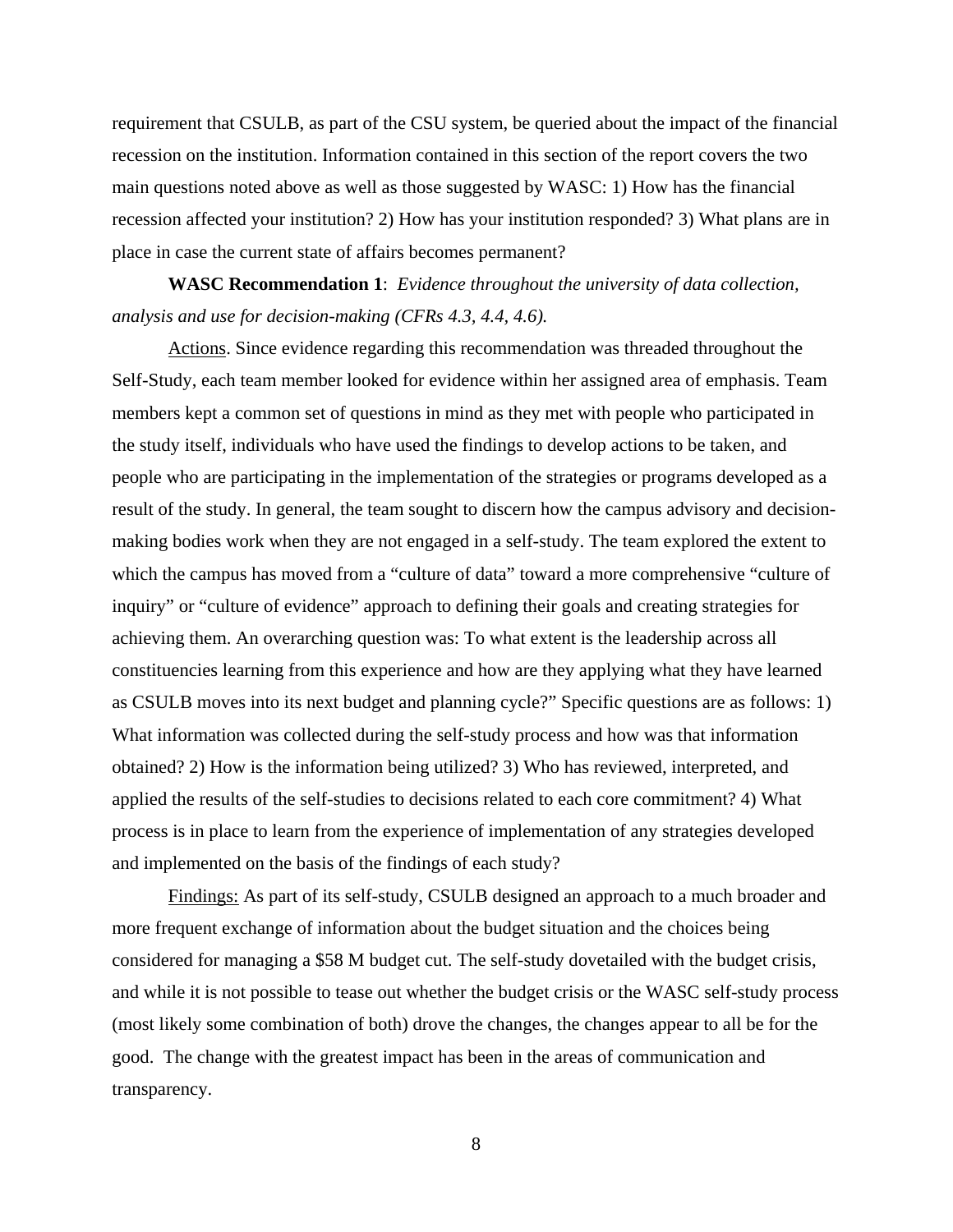requirement that CSULB, as part of the CSU system, be queried about the impact of the financial recession on the institution. Information contained in this section of the report covers the two main questions noted above as well as those suggested by WASC: 1) How has the financial recession affected your institution? 2) How has your institution responded? 3) What plans are in place in case the current state of affairs becomes permanent?

**WASC Recommendation 1**: *Evidence throughout the university of data collection, analysis and use for decision-making (CFRs 4.3, 4.4, 4.6).* 

Actions. Since evidence regarding this recommendation was threaded throughout the Self-Study, each team member looked for evidence within her assigned area of emphasis. Team members kept a common set of questions in mind as they met with people who participated in the study itself, individuals who have used the findings to develop actions to be taken, and people who are participating in the implementation of the strategies or programs developed as a result of the study. In general, the team sought to discern how the campus advisory and decisionmaking bodies work when they are not engaged in a self-study. The team explored the extent to which the campus has moved from a "culture of data" toward a more comprehensive "culture of inquiry" or "culture of evidence" approach to defining their goals and creating strategies for achieving them. An overarching question was: To what extent is the leadership across all constituencies learning from this experience and how are they applying what they have learned as CSULB moves into its next budget and planning cycle?" Specific questions are as follows: 1) What information was collected during the self-study process and how was that information obtained? 2) How is the information being utilized? 3) Who has reviewed, interpreted, and applied the results of the self-studies to decisions related to each core commitment? 4) What process is in place to learn from the experience of implementation of any strategies developed and implemented on the basis of the findings of each study?

Findings: As part of its self-study, CSULB designed an approach to a much broader and more frequent exchange of information about the budget situation and the choices being considered for managing a \$58 M budget cut. The self-study dovetailed with the budget crisis, and while it is not possible to tease out whether the budget crisis or the WASC self-study process (most likely some combination of both) drove the changes, the changes appear to all be for the good. The change with the greatest impact has been in the areas of communication and transparency.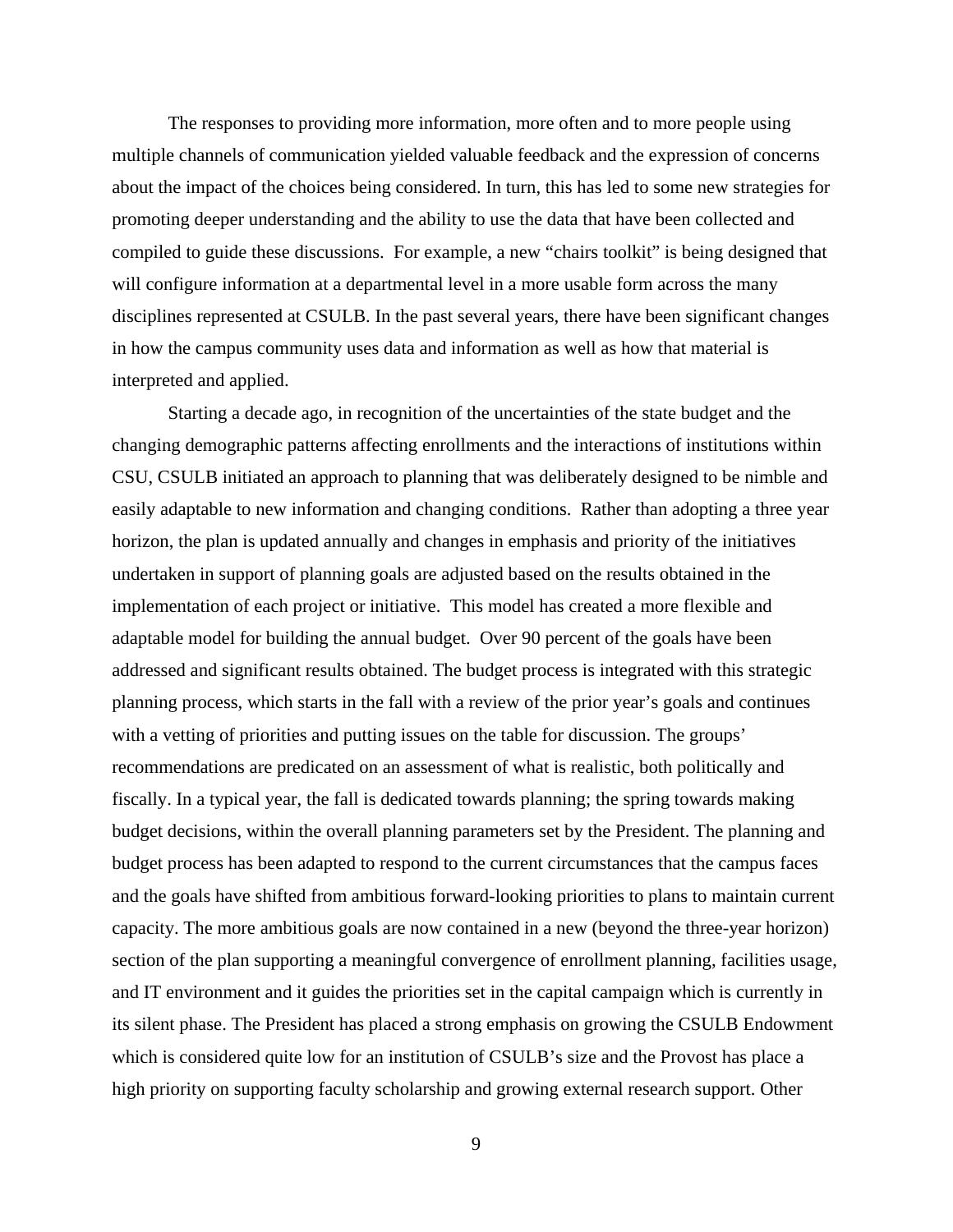The responses to providing more information, more often and to more people using multiple channels of communication yielded valuable feedback and the expression of concerns about the impact of the choices being considered. In turn, this has led to some new strategies for promoting deeper understanding and the ability to use the data that have been collected and compiled to guide these discussions. For example, a new "chairs toolkit" is being designed that will configure information at a departmental level in a more usable form across the many disciplines represented at CSULB. In the past several years, there have been significant changes in how the campus community uses data and information as well as how that material is interpreted and applied.

Starting a decade ago, in recognition of the uncertainties of the state budget and the changing demographic patterns affecting enrollments and the interactions of institutions within CSU, CSULB initiated an approach to planning that was deliberately designed to be nimble and easily adaptable to new information and changing conditions. Rather than adopting a three year horizon, the plan is updated annually and changes in emphasis and priority of the initiatives undertaken in support of planning goals are adjusted based on the results obtained in the implementation of each project or initiative. This model has created a more flexible and adaptable model for building the annual budget. Over 90 percent of the goals have been addressed and significant results obtained. The budget process is integrated with this strategic planning process, which starts in the fall with a review of the prior year's goals and continues with a vetting of priorities and putting issues on the table for discussion. The groups' recommendations are predicated on an assessment of what is realistic, both politically and fiscally. In a typical year, the fall is dedicated towards planning; the spring towards making budget decisions, within the overall planning parameters set by the President. The planning and budget process has been adapted to respond to the current circumstances that the campus faces and the goals have shifted from ambitious forward-looking priorities to plans to maintain current capacity. The more ambitious goals are now contained in a new (beyond the three-year horizon) section of the plan supporting a meaningful convergence of enrollment planning, facilities usage, and IT environment and it guides the priorities set in the capital campaign which is currently in its silent phase. The President has placed a strong emphasis on growing the CSULB Endowment which is considered quite low for an institution of CSULB's size and the Provost has place a high priority on supporting faculty scholarship and growing external research support. Other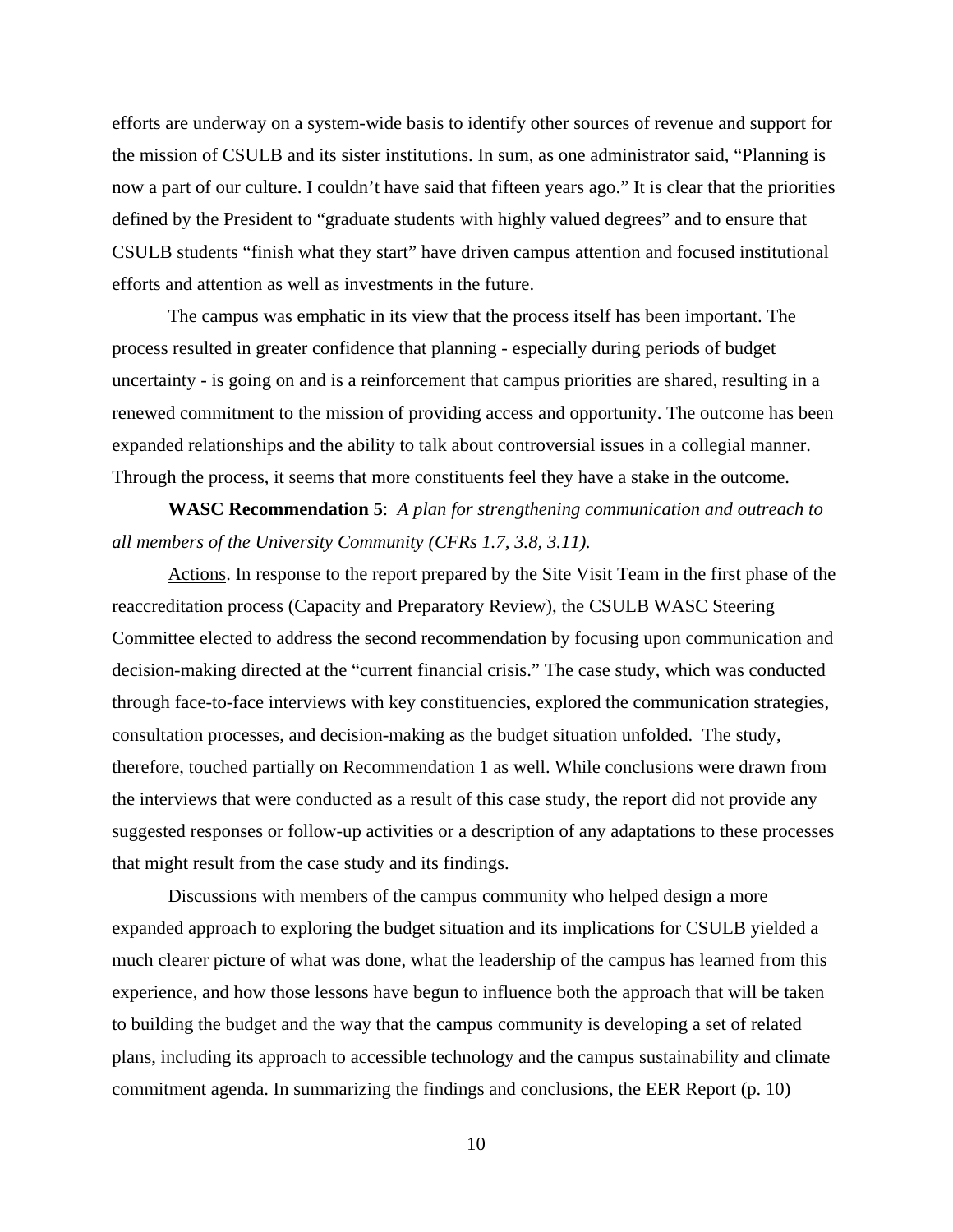efforts are underway on a system-wide basis to identify other sources of revenue and support for the mission of CSULB and its sister institutions. In sum, as one administrator said, "Planning is now a part of our culture. I couldn't have said that fifteen years ago." It is clear that the priorities defined by the President to "graduate students with highly valued degrees" and to ensure that CSULB students "finish what they start" have driven campus attention and focused institutional efforts and attention as well as investments in the future.

The campus was emphatic in its view that the process itself has been important. The process resulted in greater confidence that planning - especially during periods of budget uncertainty - is going on and is a reinforcement that campus priorities are shared, resulting in a renewed commitment to the mission of providing access and opportunity. The outcome has been expanded relationships and the ability to talk about controversial issues in a collegial manner. Through the process, it seems that more constituents feel they have a stake in the outcome.

**WASC Recommendation 5**: *A plan for strengthening communication and outreach to all members of the University Community (CFRs 1.7, 3.8, 3.11).*

Actions. In response to the report prepared by the Site Visit Team in the first phase of the reaccreditation process (Capacity and Preparatory Review), the CSULB WASC Steering Committee elected to address the second recommendation by focusing upon communication and decision-making directed at the "current financial crisis." The case study, which was conducted through face-to-face interviews with key constituencies, explored the communication strategies, consultation processes, and decision-making as the budget situation unfolded. The study, therefore, touched partially on Recommendation 1 as well. While conclusions were drawn from the interviews that were conducted as a result of this case study, the report did not provide any suggested responses or follow-up activities or a description of any adaptations to these processes that might result from the case study and its findings.

Discussions with members of the campus community who helped design a more expanded approach to exploring the budget situation and its implications for CSULB yielded a much clearer picture of what was done, what the leadership of the campus has learned from this experience, and how those lessons have begun to influence both the approach that will be taken to building the budget and the way that the campus community is developing a set of related plans, including its approach to accessible technology and the campus sustainability and climate commitment agenda. In summarizing the findings and conclusions, the EER Report (p. 10)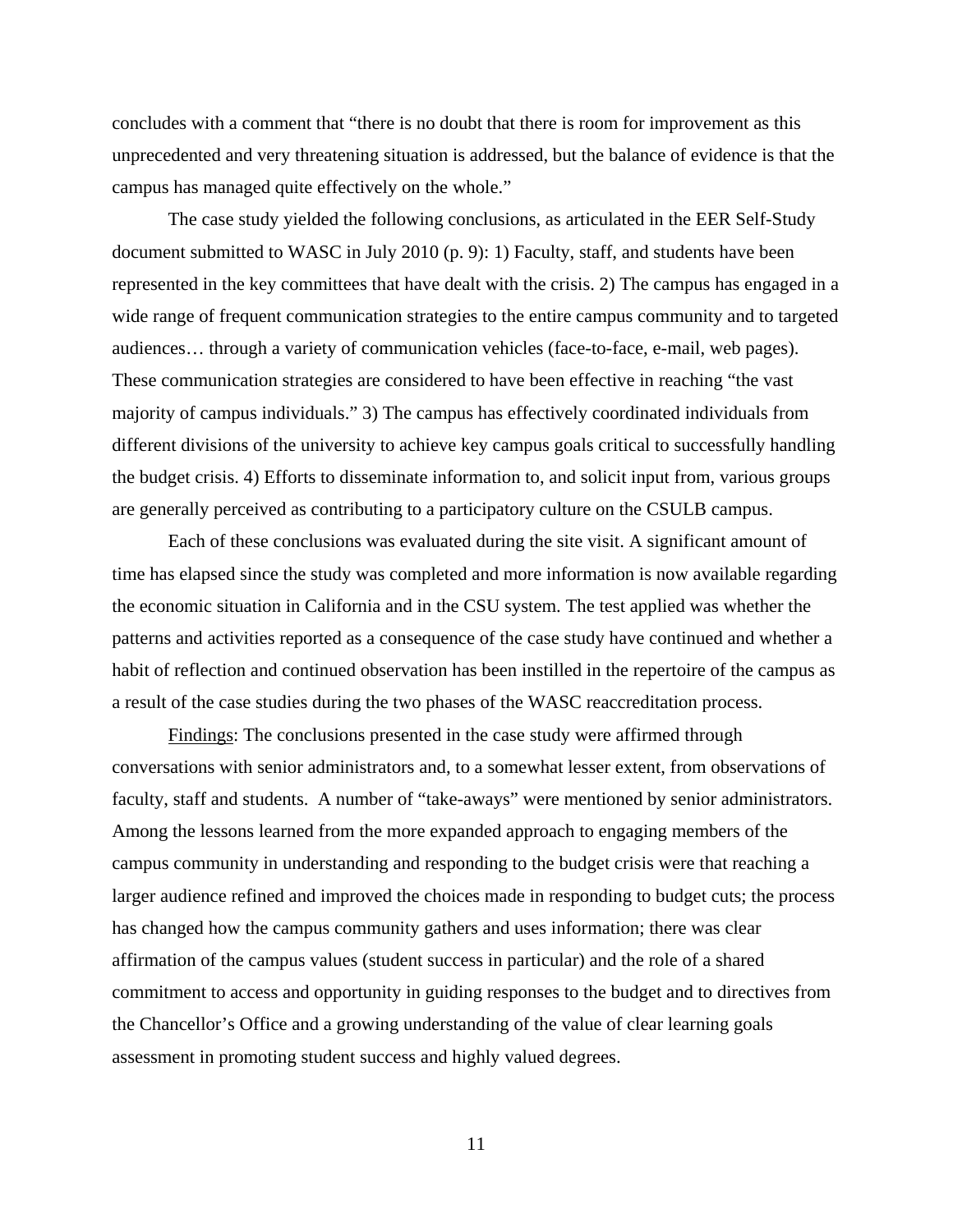concludes with a comment that "there is no doubt that there is room for improvement as this unprecedented and very threatening situation is addressed, but the balance of evidence is that the campus has managed quite effectively on the whole."

The case study yielded the following conclusions, as articulated in the EER Self-Study document submitted to WASC in July 2010 (p. 9): 1) Faculty, staff, and students have been represented in the key committees that have dealt with the crisis. 2) The campus has engaged in a wide range of frequent communication strategies to the entire campus community and to targeted audiences… through a variety of communication vehicles (face-to-face, e-mail, web pages). These communication strategies are considered to have been effective in reaching "the vast majority of campus individuals." 3) The campus has effectively coordinated individuals from different divisions of the university to achieve key campus goals critical to successfully handling the budget crisis. 4) Efforts to disseminate information to, and solicit input from, various groups are generally perceived as contributing to a participatory culture on the CSULB campus.

Each of these conclusions was evaluated during the site visit. A significant amount of time has elapsed since the study was completed and more information is now available regarding the economic situation in California and in the CSU system. The test applied was whether the patterns and activities reported as a consequence of the case study have continued and whether a habit of reflection and continued observation has been instilled in the repertoire of the campus as a result of the case studies during the two phases of the WASC reaccreditation process.

Findings: The conclusions presented in the case study were affirmed through conversations with senior administrators and, to a somewhat lesser extent, from observations of faculty, staff and students. A number of "take-aways" were mentioned by senior administrators. Among the lessons learned from the more expanded approach to engaging members of the campus community in understanding and responding to the budget crisis were that reaching a larger audience refined and improved the choices made in responding to budget cuts; the process has changed how the campus community gathers and uses information; there was clear affirmation of the campus values (student success in particular) and the role of a shared commitment to access and opportunity in guiding responses to the budget and to directives from the Chancellor's Office and a growing understanding of the value of clear learning goals assessment in promoting student success and highly valued degrees.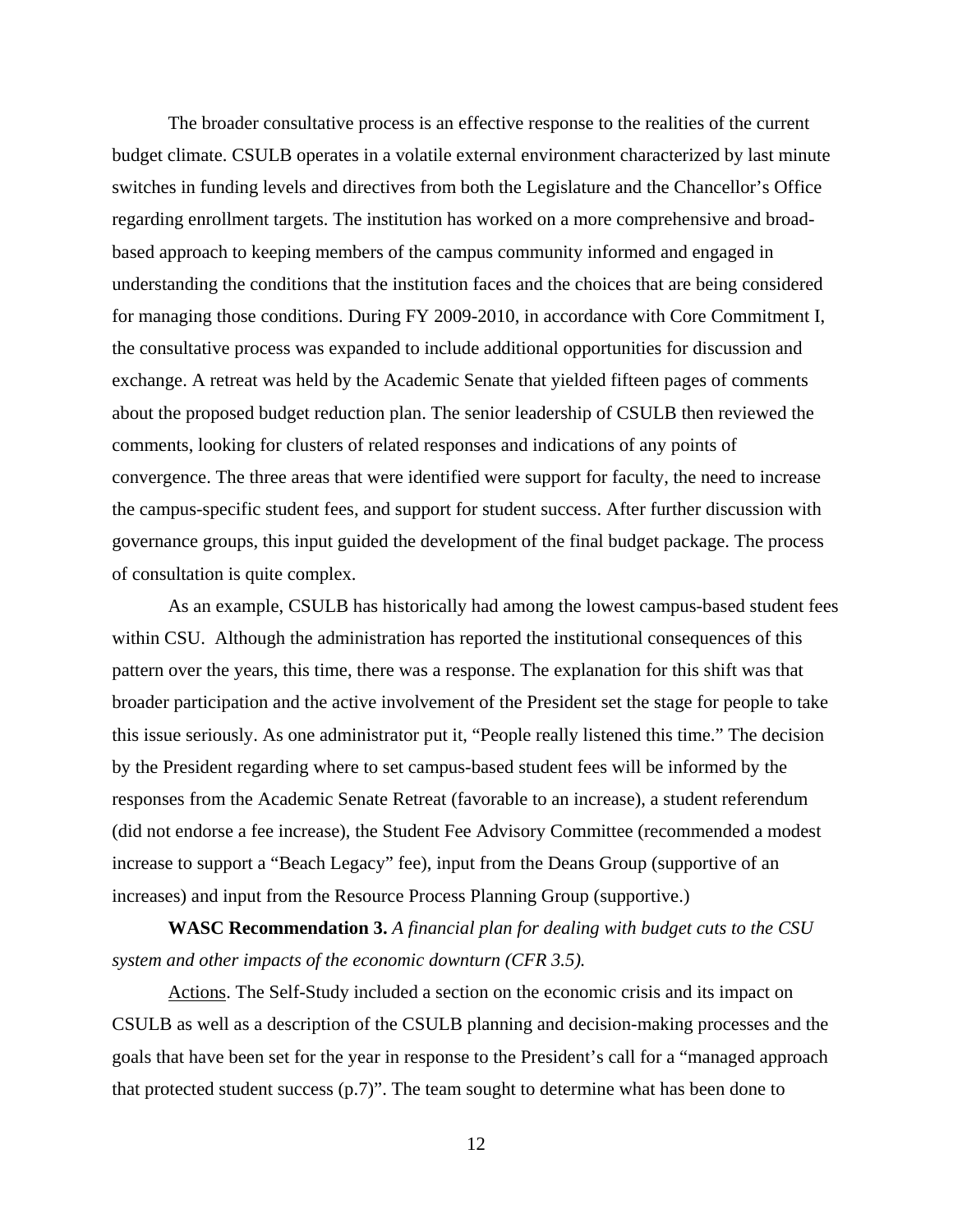The broader consultative process is an effective response to the realities of the current budget climate. CSULB operates in a volatile external environment characterized by last minute switches in funding levels and directives from both the Legislature and the Chancellor's Office regarding enrollment targets. The institution has worked on a more comprehensive and broadbased approach to keeping members of the campus community informed and engaged in understanding the conditions that the institution faces and the choices that are being considered for managing those conditions. During FY 2009-2010, in accordance with Core Commitment I, the consultative process was expanded to include additional opportunities for discussion and exchange. A retreat was held by the Academic Senate that yielded fifteen pages of comments about the proposed budget reduction plan. The senior leadership of CSULB then reviewed the comments, looking for clusters of related responses and indications of any points of convergence. The three areas that were identified were support for faculty, the need to increase the campus-specific student fees, and support for student success. After further discussion with governance groups, this input guided the development of the final budget package. The process of consultation is quite complex.

As an example, CSULB has historically had among the lowest campus-based student fees within CSU. Although the administration has reported the institutional consequences of this pattern over the years, this time, there was a response. The explanation for this shift was that broader participation and the active involvement of the President set the stage for people to take this issue seriously. As one administrator put it, "People really listened this time." The decision by the President regarding where to set campus-based student fees will be informed by the responses from the Academic Senate Retreat (favorable to an increase), a student referendum (did not endorse a fee increase), the Student Fee Advisory Committee (recommended a modest increase to support a "Beach Legacy" fee), input from the Deans Group (supportive of an increases) and input from the Resource Process Planning Group (supportive.)

**WASC Recommendation 3.** *A financial plan for dealing with budget cuts to the CSU system and other impacts of the economic downturn (CFR 3.5).*

Actions. The Self-Study included a section on the economic crisis and its impact on CSULB as well as a description of the CSULB planning and decision-making processes and the goals that have been set for the year in response to the President's call for a "managed approach that protected student success (p.7)". The team sought to determine what has been done to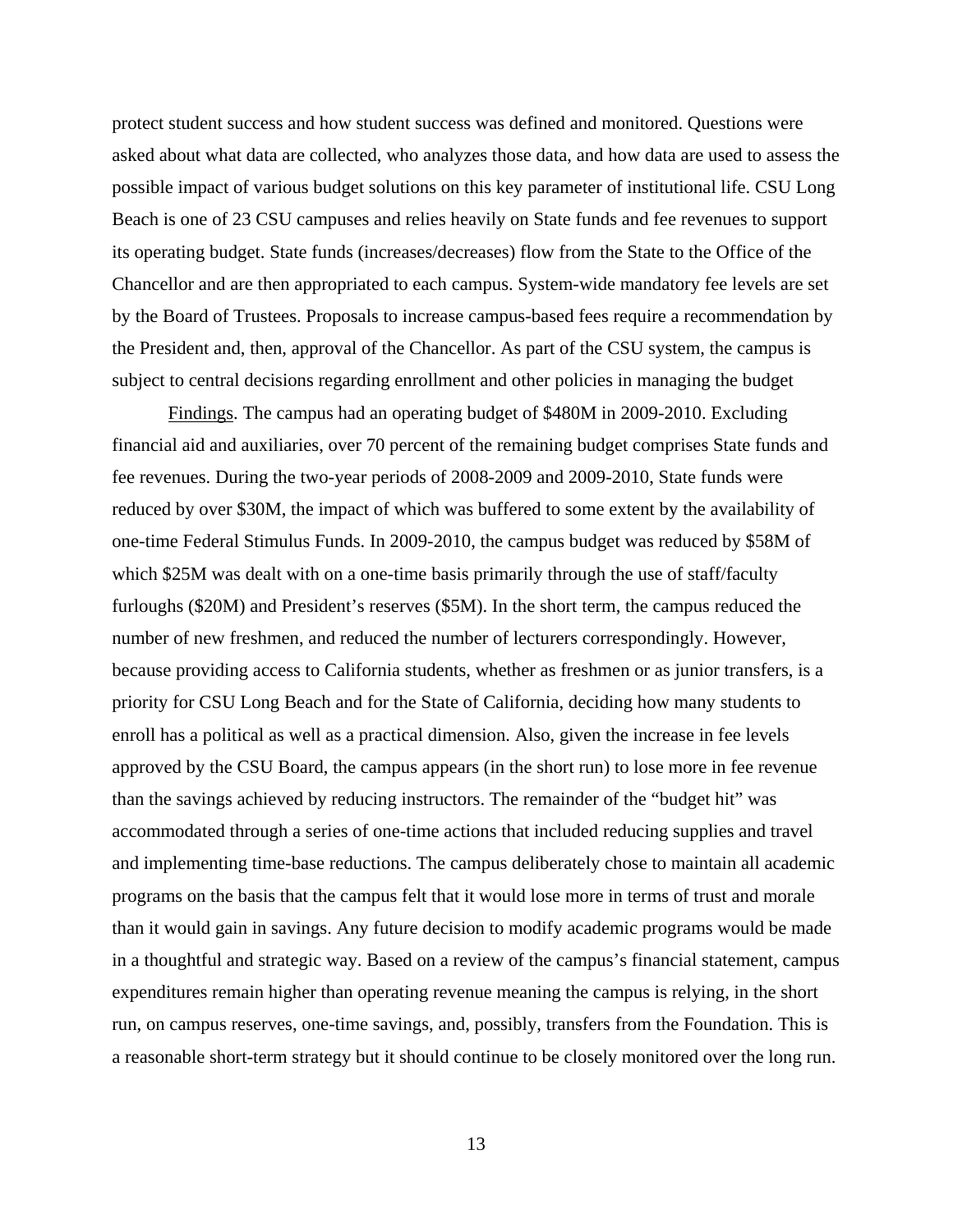protect student success and how student success was defined and monitored. Questions were asked about what data are collected, who analyzes those data, and how data are used to assess the possible impact of various budget solutions on this key parameter of institutional life. CSU Long Beach is one of 23 CSU campuses and relies heavily on State funds and fee revenues to support its operating budget. State funds (increases/decreases) flow from the State to the Office of the Chancellor and are then appropriated to each campus. System-wide mandatory fee levels are set by the Board of Trustees. Proposals to increase campus-based fees require a recommendation by the President and, then, approval of the Chancellor. As part of the CSU system, the campus is subject to central decisions regarding enrollment and other policies in managing the budget

Findings. The campus had an operating budget of \$480M in 2009-2010. Excluding financial aid and auxiliaries, over 70 percent of the remaining budget comprises State funds and fee revenues. During the two-year periods of 2008-2009 and 2009-2010, State funds were reduced by over \$30M, the impact of which was buffered to some extent by the availability of one-time Federal Stimulus Funds. In 2009-2010, the campus budget was reduced by \$58M of which \$25M was dealt with on a one-time basis primarily through the use of staff/faculty furloughs (\$20M) and President's reserves (\$5M). In the short term, the campus reduced the number of new freshmen, and reduced the number of lecturers correspondingly. However, because providing access to California students, whether as freshmen or as junior transfers, is a priority for CSU Long Beach and for the State of California, deciding how many students to enroll has a political as well as a practical dimension. Also, given the increase in fee levels approved by the CSU Board, the campus appears (in the short run) to lose more in fee revenue than the savings achieved by reducing instructors. The remainder of the "budget hit" was accommodated through a series of one-time actions that included reducing supplies and travel and implementing time-base reductions. The campus deliberately chose to maintain all academic programs on the basis that the campus felt that it would lose more in terms of trust and morale than it would gain in savings. Any future decision to modify academic programs would be made in a thoughtful and strategic way. Based on a review of the campus's financial statement, campus expenditures remain higher than operating revenue meaning the campus is relying, in the short run, on campus reserves, one-time savings, and, possibly, transfers from the Foundation. This is a reasonable short-term strategy but it should continue to be closely monitored over the long run.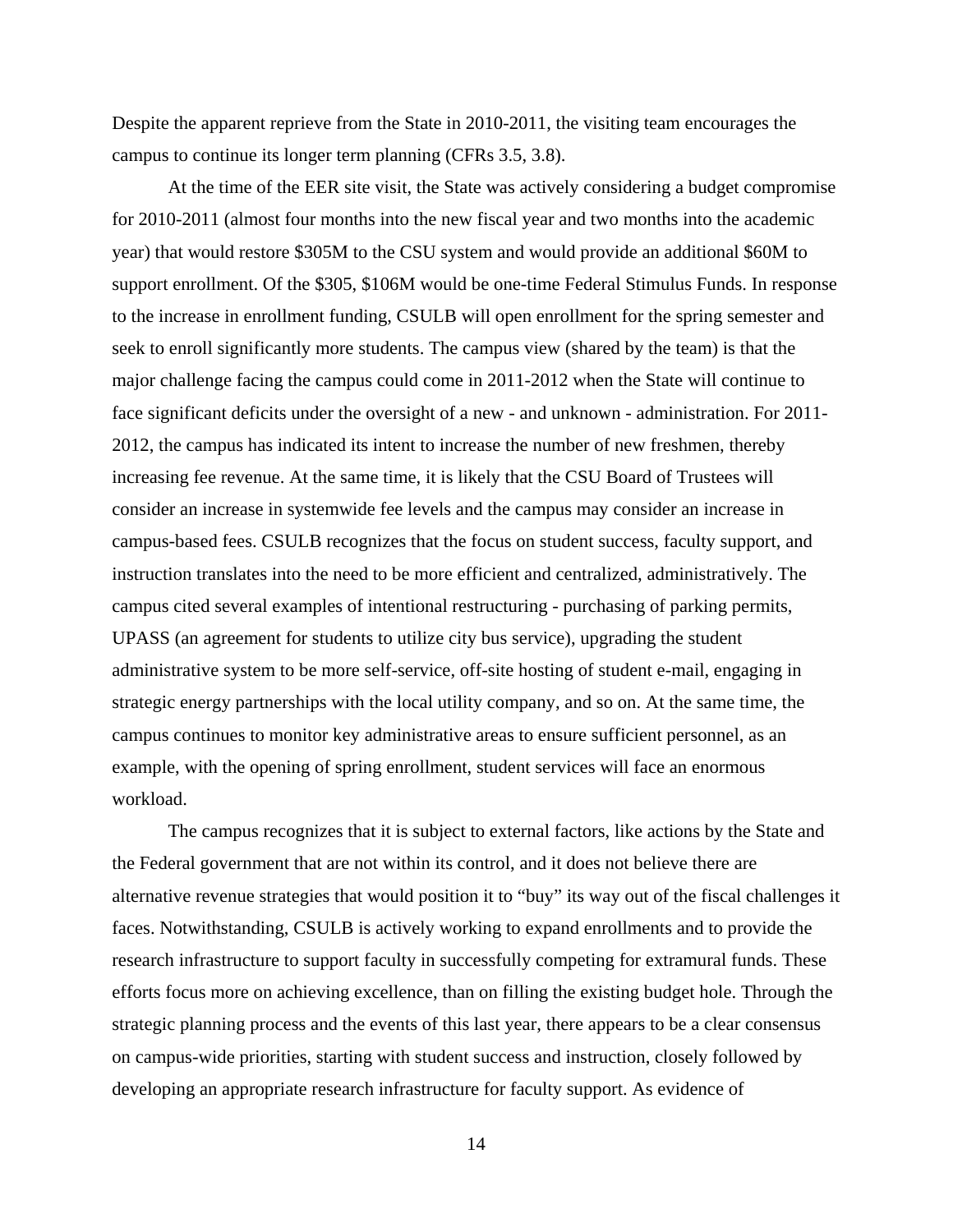Despite the apparent reprieve from the State in 2010-2011, the visiting team encourages the campus to continue its longer term planning (CFRs 3.5, 3.8).

At the time of the EER site visit, the State was actively considering a budget compromise for 2010-2011 (almost four months into the new fiscal year and two months into the academic year) that would restore \$305M to the CSU system and would provide an additional \$60M to support enrollment. Of the \$305, \$106M would be one-time Federal Stimulus Funds. In response to the increase in enrollment funding, CSULB will open enrollment for the spring semester and seek to enroll significantly more students. The campus view (shared by the team) is that the major challenge facing the campus could come in 2011-2012 when the State will continue to face significant deficits under the oversight of a new - and unknown - administration. For 2011- 2012, the campus has indicated its intent to increase the number of new freshmen, thereby increasing fee revenue. At the same time, it is likely that the CSU Board of Trustees will consider an increase in systemwide fee levels and the campus may consider an increase in campus-based fees. CSULB recognizes that the focus on student success, faculty support, and instruction translates into the need to be more efficient and centralized, administratively. The campus cited several examples of intentional restructuring - purchasing of parking permits, UPASS (an agreement for students to utilize city bus service), upgrading the student administrative system to be more self-service, off-site hosting of student e-mail, engaging in strategic energy partnerships with the local utility company, and so on. At the same time, the campus continues to monitor key administrative areas to ensure sufficient personnel, as an example, with the opening of spring enrollment, student services will face an enormous workload.

The campus recognizes that it is subject to external factors, like actions by the State and the Federal government that are not within its control, and it does not believe there are alternative revenue strategies that would position it to "buy" its way out of the fiscal challenges it faces. Notwithstanding, CSULB is actively working to expand enrollments and to provide the research infrastructure to support faculty in successfully competing for extramural funds. These efforts focus more on achieving excellence, than on filling the existing budget hole. Through the strategic planning process and the events of this last year, there appears to be a clear consensus on campus-wide priorities, starting with student success and instruction, closely followed by developing an appropriate research infrastructure for faculty support. As evidence of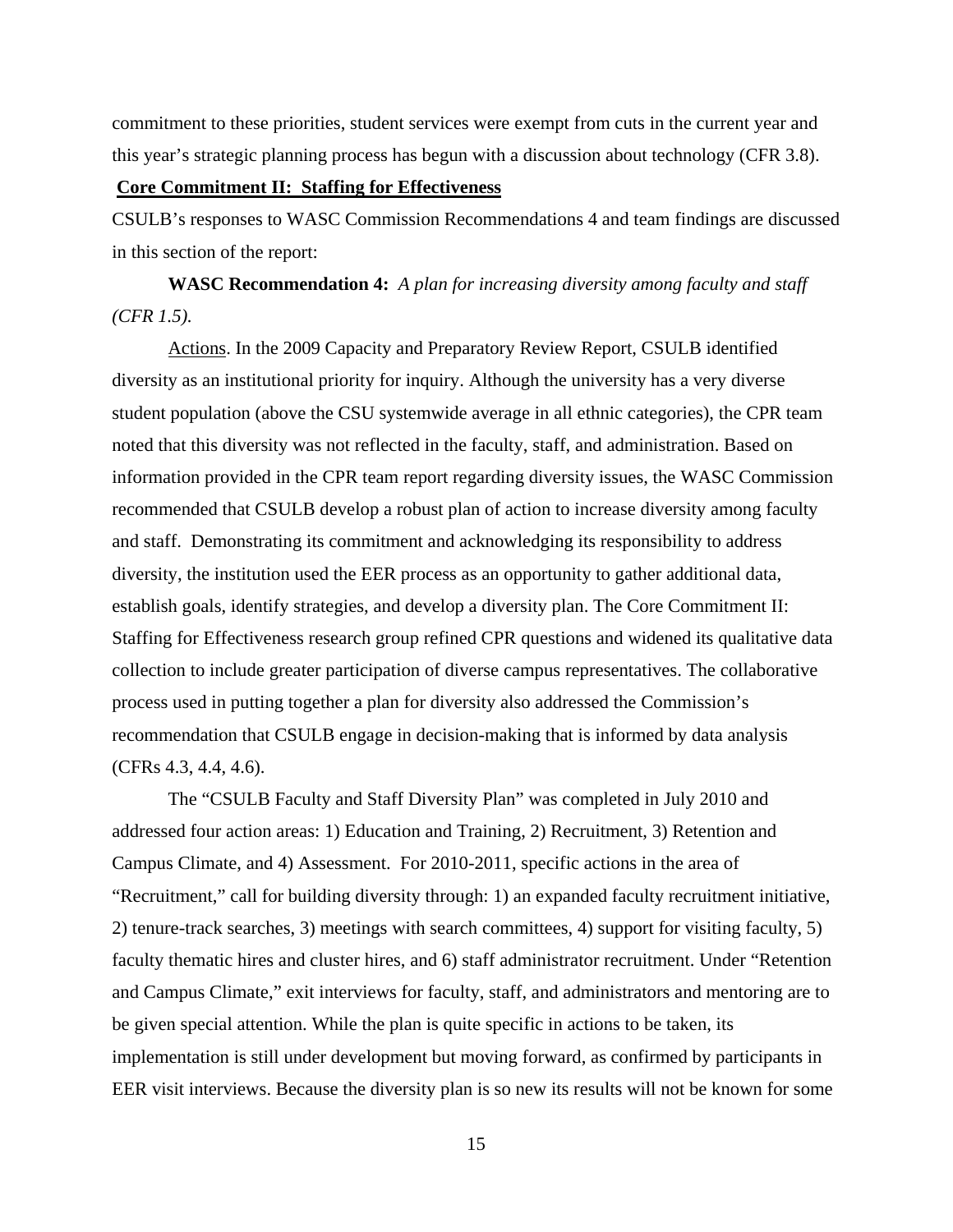commitment to these priorities, student services were exempt from cuts in the current year and this year's strategic planning process has begun with a discussion about technology (CFR 3.8).

#### **Core Commitment II: Staffing for Effectiveness**

CSULB's responses to WASC Commission Recommendations 4 and team findings are discussed in this section of the report:

**WASC Recommendation 4:** *A plan for increasing diversity among faculty and staff (CFR 1.5).* 

Actions. In the 2009 Capacity and Preparatory Review Report, CSULB identified diversity as an institutional priority for inquiry. Although the university has a very diverse student population (above the CSU systemwide average in all ethnic categories), the CPR team noted that this diversity was not reflected in the faculty, staff, and administration. Based on information provided in the CPR team report regarding diversity issues, the WASC Commission recommended that CSULB develop a robust plan of action to increase diversity among faculty and staff. Demonstrating its commitment and acknowledging its responsibility to address diversity, the institution used the EER process as an opportunity to gather additional data, establish goals, identify strategies, and develop a diversity plan. The Core Commitment II: Staffing for Effectiveness research group refined CPR questions and widened its qualitative data collection to include greater participation of diverse campus representatives. The collaborative process used in putting together a plan for diversity also addressed the Commission's recommendation that CSULB engage in decision-making that is informed by data analysis (CFRs 4.3, 4.4, 4.6).

The "CSULB Faculty and Staff Diversity Plan" was completed in July 2010 and addressed four action areas: 1) Education and Training, 2) Recruitment, 3) Retention and Campus Climate, and 4) Assessment. For 2010-2011, specific actions in the area of "Recruitment," call for building diversity through: 1) an expanded faculty recruitment initiative, 2) tenure-track searches, 3) meetings with search committees, 4) support for visiting faculty, 5) faculty thematic hires and cluster hires, and 6) staff administrator recruitment. Under "Retention and Campus Climate," exit interviews for faculty, staff, and administrators and mentoring are to be given special attention. While the plan is quite specific in actions to be taken, its implementation is still under development but moving forward, as confirmed by participants in EER visit interviews. Because the diversity plan is so new its results will not be known for some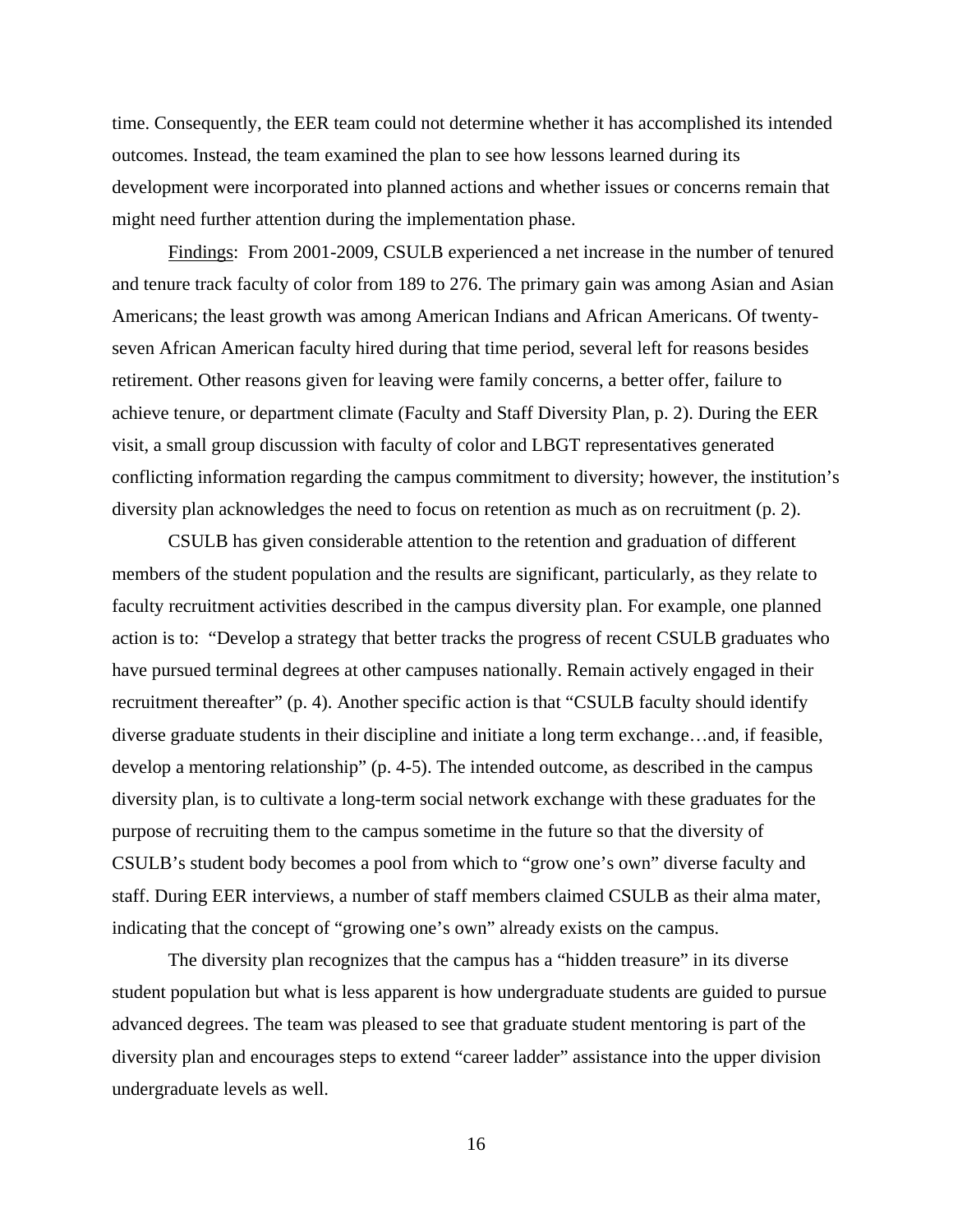time. Consequently, the EER team could not determine whether it has accomplished its intended outcomes. Instead, the team examined the plan to see how lessons learned during its development were incorporated into planned actions and whether issues or concerns remain that might need further attention during the implementation phase.

Findings: From 2001-2009, CSULB experienced a net increase in the number of tenured and tenure track faculty of color from 189 to 276. The primary gain was among Asian and Asian Americans; the least growth was among American Indians and African Americans. Of twentyseven African American faculty hired during that time period, several left for reasons besides retirement. Other reasons given for leaving were family concerns, a better offer, failure to achieve tenure, or department climate (Faculty and Staff Diversity Plan, p. 2). During the EER visit, a small group discussion with faculty of color and LBGT representatives generated conflicting information regarding the campus commitment to diversity; however, the institution's diversity plan acknowledges the need to focus on retention as much as on recruitment (p. 2).

CSULB has given considerable attention to the retention and graduation of different members of the student population and the results are significant, particularly, as they relate to faculty recruitment activities described in the campus diversity plan. For example, one planned action is to: "Develop a strategy that better tracks the progress of recent CSULB graduates who have pursued terminal degrees at other campuses nationally. Remain actively engaged in their recruitment thereafter" (p. 4). Another specific action is that "CSULB faculty should identify diverse graduate students in their discipline and initiate a long term exchange…and, if feasible, develop a mentoring relationship" (p. 4-5). The intended outcome, as described in the campus diversity plan, is to cultivate a long-term social network exchange with these graduates for the purpose of recruiting them to the campus sometime in the future so that the diversity of CSULB's student body becomes a pool from which to "grow one's own" diverse faculty and staff. During EER interviews, a number of staff members claimed CSULB as their alma mater, indicating that the concept of "growing one's own" already exists on the campus.

The diversity plan recognizes that the campus has a "hidden treasure" in its diverse student population but what is less apparent is how undergraduate students are guided to pursue advanced degrees. The team was pleased to see that graduate student mentoring is part of the diversity plan and encourages steps to extend "career ladder" assistance into the upper division undergraduate levels as well.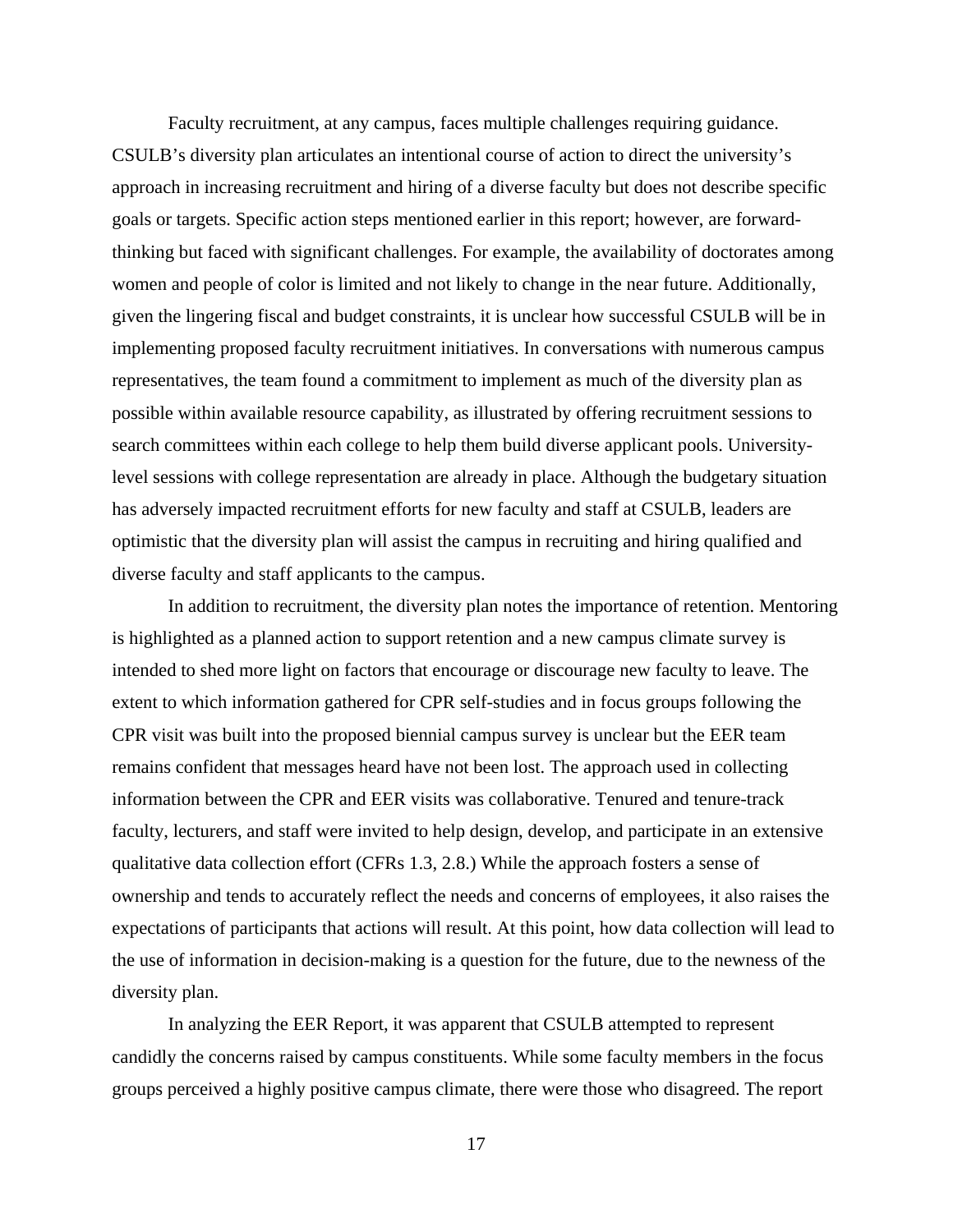Faculty recruitment, at any campus, faces multiple challenges requiring guidance. CSULB's diversity plan articulates an intentional course of action to direct the university's approach in increasing recruitment and hiring of a diverse faculty but does not describe specific goals or targets. Specific action steps mentioned earlier in this report; however, are forwardthinking but faced with significant challenges. For example, the availability of doctorates among women and people of color is limited and not likely to change in the near future. Additionally, given the lingering fiscal and budget constraints, it is unclear how successful CSULB will be in implementing proposed faculty recruitment initiatives. In conversations with numerous campus representatives, the team found a commitment to implement as much of the diversity plan as possible within available resource capability, as illustrated by offering recruitment sessions to search committees within each college to help them build diverse applicant pools. Universitylevel sessions with college representation are already in place. Although the budgetary situation has adversely impacted recruitment efforts for new faculty and staff at CSULB, leaders are optimistic that the diversity plan will assist the campus in recruiting and hiring qualified and diverse faculty and staff applicants to the campus.

In addition to recruitment, the diversity plan notes the importance of retention. Mentoring is highlighted as a planned action to support retention and a new campus climate survey is intended to shed more light on factors that encourage or discourage new faculty to leave. The extent to which information gathered for CPR self-studies and in focus groups following the CPR visit was built into the proposed biennial campus survey is unclear but the EER team remains confident that messages heard have not been lost. The approach used in collecting information between the CPR and EER visits was collaborative. Tenured and tenure-track faculty, lecturers, and staff were invited to help design, develop, and participate in an extensive qualitative data collection effort (CFRs 1.3, 2.8.) While the approach fosters a sense of ownership and tends to accurately reflect the needs and concerns of employees, it also raises the expectations of participants that actions will result. At this point, how data collection will lead to the use of information in decision-making is a question for the future, due to the newness of the diversity plan.

In analyzing the EER Report, it was apparent that CSULB attempted to represent candidly the concerns raised by campus constituents. While some faculty members in the focus groups perceived a highly positive campus climate, there were those who disagreed. The report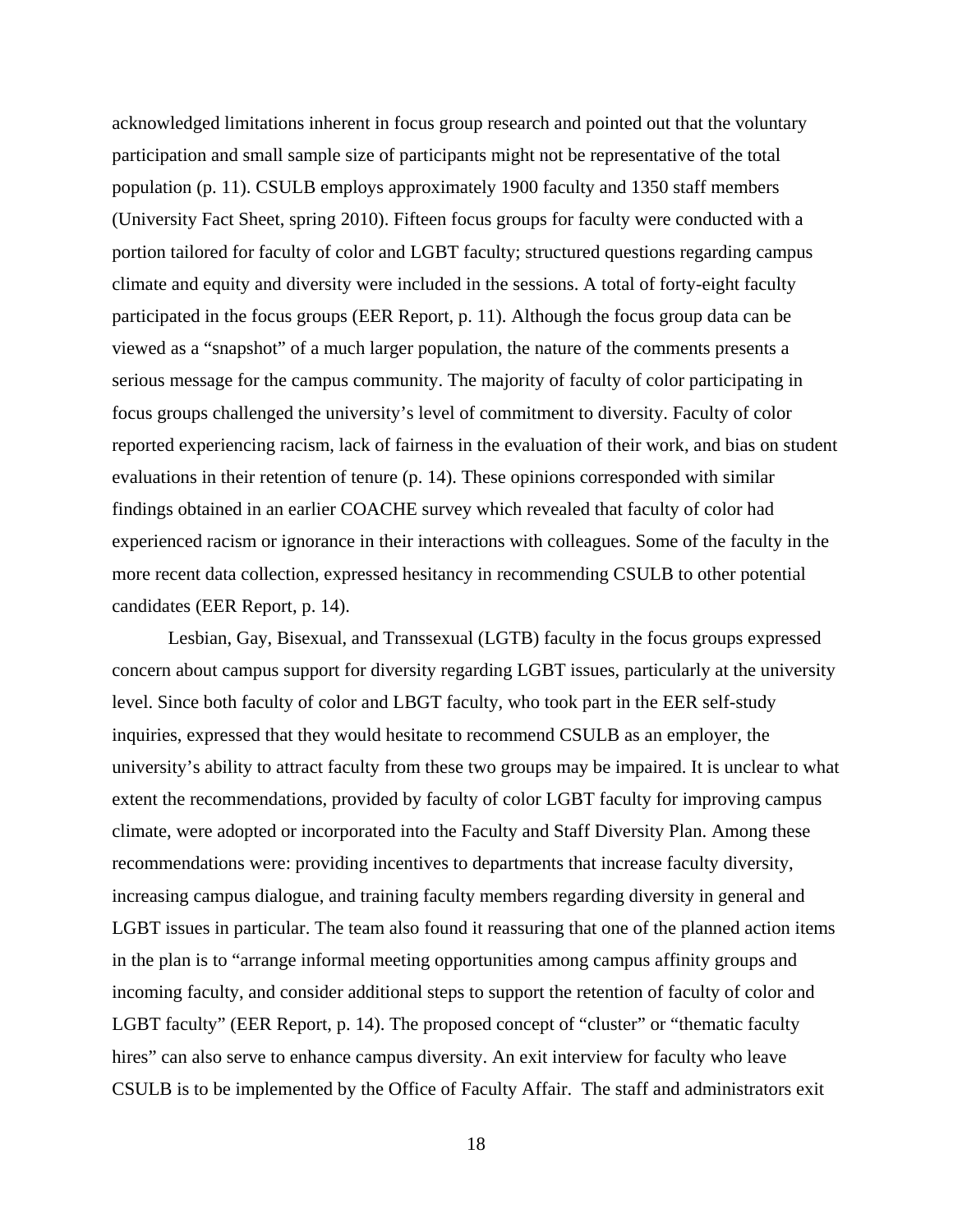acknowledged limitations inherent in focus group research and pointed out that the voluntary participation and small sample size of participants might not be representative of the total population (p. 11). CSULB employs approximately 1900 faculty and 1350 staff members (University Fact Sheet, spring 2010). Fifteen focus groups for faculty were conducted with a portion tailored for faculty of color and LGBT faculty; structured questions regarding campus climate and equity and diversity were included in the sessions. A total of forty-eight faculty participated in the focus groups (EER Report, p. 11). Although the focus group data can be viewed as a "snapshot" of a much larger population, the nature of the comments presents a serious message for the campus community. The majority of faculty of color participating in focus groups challenged the university's level of commitment to diversity. Faculty of color reported experiencing racism, lack of fairness in the evaluation of their work, and bias on student evaluations in their retention of tenure (p. 14). These opinions corresponded with similar findings obtained in an earlier COACHE survey which revealed that faculty of color had experienced racism or ignorance in their interactions with colleagues. Some of the faculty in the more recent data collection, expressed hesitancy in recommending CSULB to other potential candidates (EER Report, p. 14).

 Lesbian, Gay, Bisexual, and Transsexual (LGTB) faculty in the focus groups expressed concern about campus support for diversity regarding LGBT issues, particularly at the university level. Since both faculty of color and LBGT faculty, who took part in the EER self-study inquiries, expressed that they would hesitate to recommend CSULB as an employer, the university's ability to attract faculty from these two groups may be impaired. It is unclear to what extent the recommendations, provided by faculty of color LGBT faculty for improving campus climate, were adopted or incorporated into the Faculty and Staff Diversity Plan. Among these recommendations were: providing incentives to departments that increase faculty diversity, increasing campus dialogue, and training faculty members regarding diversity in general and LGBT issues in particular. The team also found it reassuring that one of the planned action items in the plan is to "arrange informal meeting opportunities among campus affinity groups and incoming faculty, and consider additional steps to support the retention of faculty of color and LGBT faculty" (EER Report, p. 14). The proposed concept of "cluster" or "thematic faculty hires" can also serve to enhance campus diversity. An exit interview for faculty who leave CSULB is to be implemented by the Office of Faculty Affair. The staff and administrators exit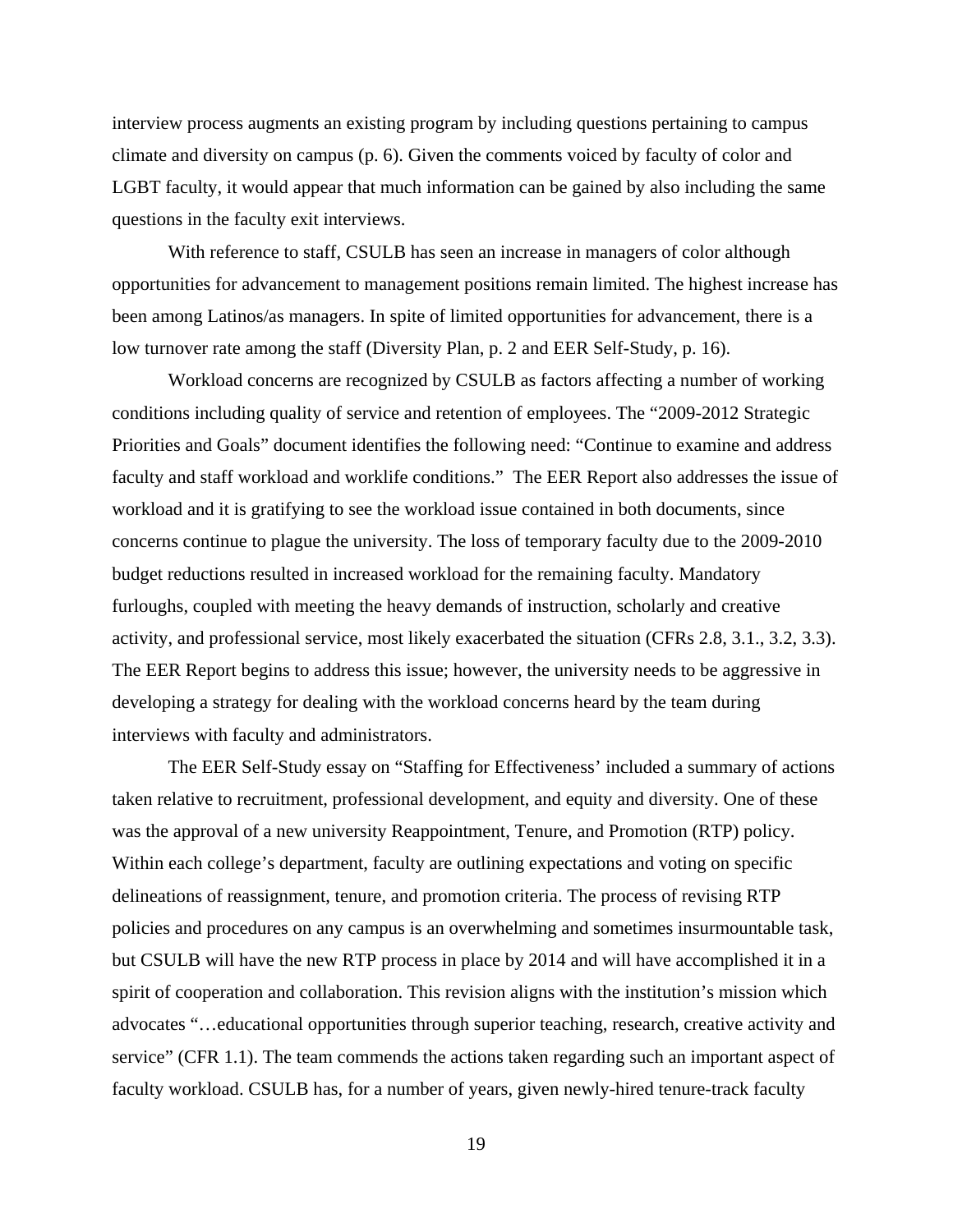interview process augments an existing program by including questions pertaining to campus climate and diversity on campus (p. 6). Given the comments voiced by faculty of color and LGBT faculty, it would appear that much information can be gained by also including the same questions in the faculty exit interviews.

With reference to staff, CSULB has seen an increase in managers of color although opportunities for advancement to management positions remain limited. The highest increase has been among Latinos/as managers. In spite of limited opportunities for advancement, there is a low turnover rate among the staff (Diversity Plan, p. 2 and EER Self-Study, p. 16).

Workload concerns are recognized by CSULB as factors affecting a number of working conditions including quality of service and retention of employees. The "2009-2012 Strategic Priorities and Goals" document identifies the following need: "Continue to examine and address faculty and staff workload and worklife conditions." The EER Report also addresses the issue of workload and it is gratifying to see the workload issue contained in both documents, since concerns continue to plague the university. The loss of temporary faculty due to the 2009-2010 budget reductions resulted in increased workload for the remaining faculty. Mandatory furloughs, coupled with meeting the heavy demands of instruction, scholarly and creative activity, and professional service, most likely exacerbated the situation (CFRs 2.8, 3.1., 3.2, 3.3). The EER Report begins to address this issue; however, the university needs to be aggressive in developing a strategy for dealing with the workload concerns heard by the team during interviews with faculty and administrators.

The EER Self-Study essay on "Staffing for Effectiveness' included a summary of actions taken relative to recruitment, professional development, and equity and diversity. One of these was the approval of a new university Reappointment, Tenure, and Promotion (RTP) policy. Within each college's department, faculty are outlining expectations and voting on specific delineations of reassignment, tenure, and promotion criteria. The process of revising RTP policies and procedures on any campus is an overwhelming and sometimes insurmountable task, but CSULB will have the new RTP process in place by 2014 and will have accomplished it in a spirit of cooperation and collaboration. This revision aligns with the institution's mission which advocates "…educational opportunities through superior teaching, research, creative activity and service" (CFR 1.1). The team commends the actions taken regarding such an important aspect of faculty workload. CSULB has, for a number of years, given newly-hired tenure-track faculty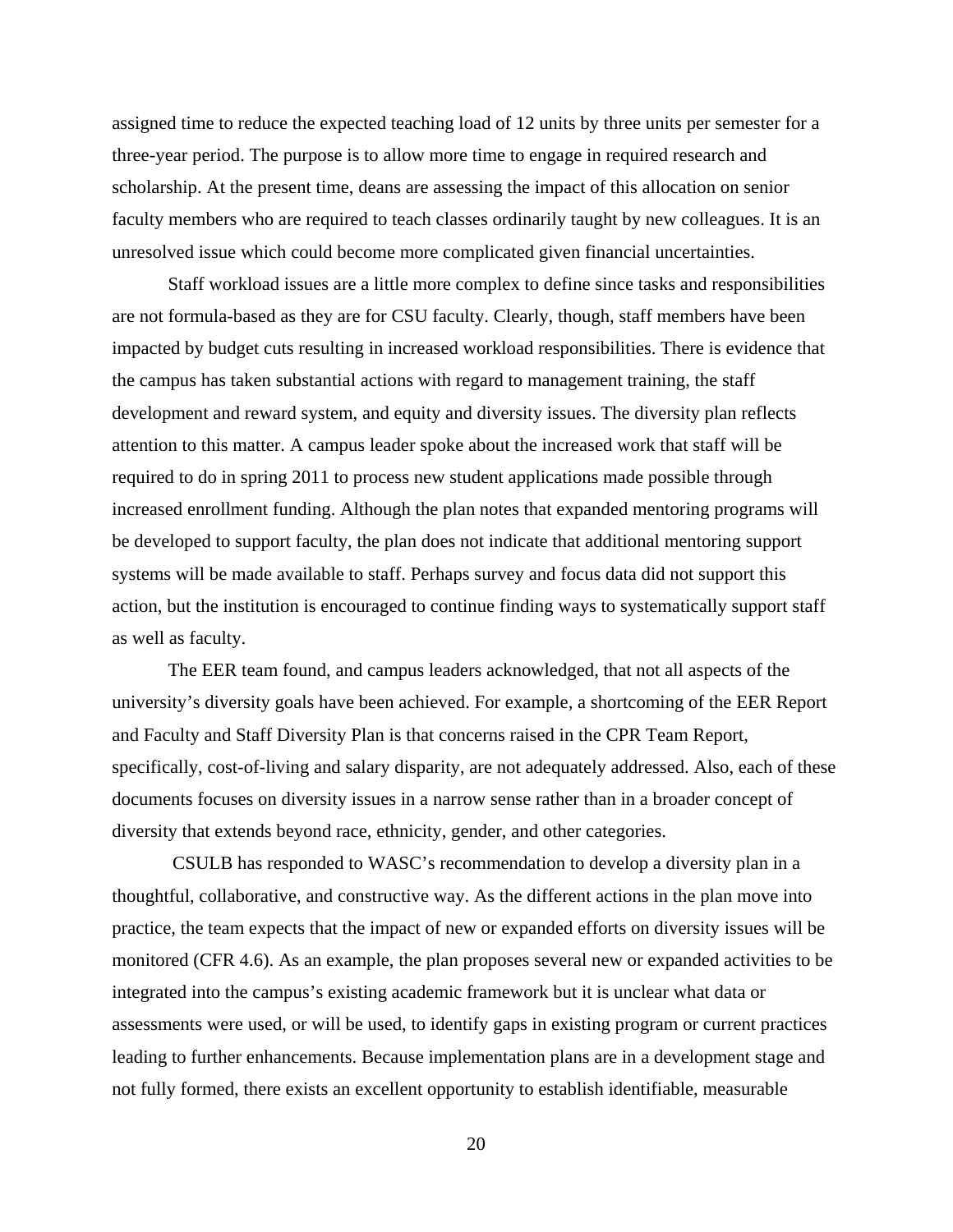assigned time to reduce the expected teaching load of 12 units by three units per semester for a three-year period. The purpose is to allow more time to engage in required research and scholarship. At the present time, deans are assessing the impact of this allocation on senior faculty members who are required to teach classes ordinarily taught by new colleagues. It is an unresolved issue which could become more complicated given financial uncertainties.

Staff workload issues are a little more complex to define since tasks and responsibilities are not formula-based as they are for CSU faculty. Clearly, though, staff members have been impacted by budget cuts resulting in increased workload responsibilities. There is evidence that the campus has taken substantial actions with regard to management training, the staff development and reward system, and equity and diversity issues. The diversity plan reflects attention to this matter. A campus leader spoke about the increased work that staff will be required to do in spring 2011 to process new student applications made possible through increased enrollment funding. Although the plan notes that expanded mentoring programs will be developed to support faculty, the plan does not indicate that additional mentoring support systems will be made available to staff. Perhaps survey and focus data did not support this action, but the institution is encouraged to continue finding ways to systematically support staff as well as faculty.

The EER team found, and campus leaders acknowledged, that not all aspects of the university's diversity goals have been achieved. For example, a shortcoming of the EER Report and Faculty and Staff Diversity Plan is that concerns raised in the CPR Team Report, specifically, cost-of-living and salary disparity, are not adequately addressed. Also, each of these documents focuses on diversity issues in a narrow sense rather than in a broader concept of diversity that extends beyond race, ethnicity, gender, and other categories.

 CSULB has responded to WASC's recommendation to develop a diversity plan in a thoughtful, collaborative, and constructive way. As the different actions in the plan move into practice, the team expects that the impact of new or expanded efforts on diversity issues will be monitored (CFR 4.6). As an example, the plan proposes several new or expanded activities to be integrated into the campus's existing academic framework but it is unclear what data or assessments were used, or will be used, to identify gaps in existing program or current practices leading to further enhancements. Because implementation plans are in a development stage and not fully formed, there exists an excellent opportunity to establish identifiable, measurable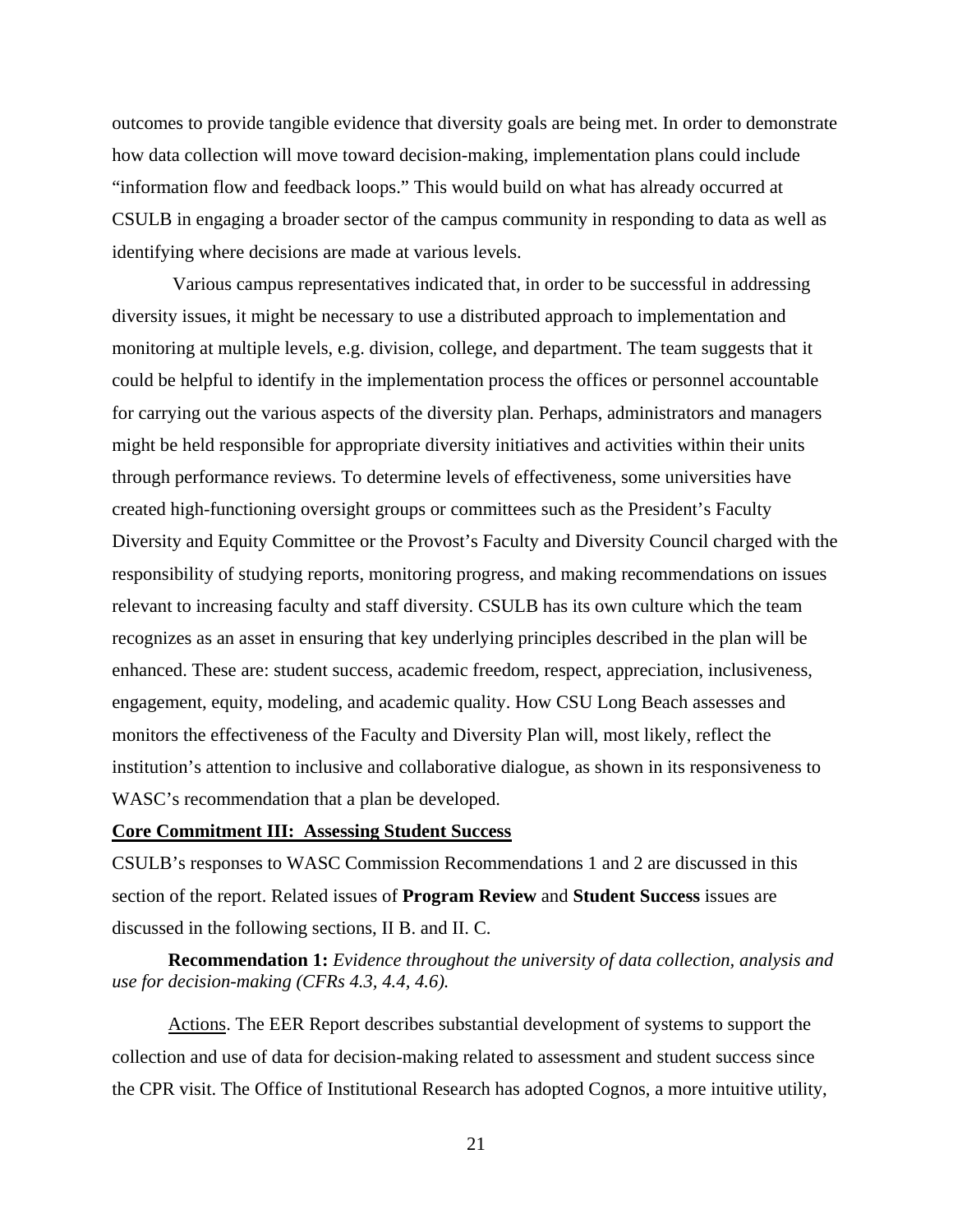outcomes to provide tangible evidence that diversity goals are being met. In order to demonstrate how data collection will move toward decision-making, implementation plans could include "information flow and feedback loops." This would build on what has already occurred at CSULB in engaging a broader sector of the campus community in responding to data as well as identifying where decisions are made at various levels.

Various campus representatives indicated that, in order to be successful in addressing diversity issues, it might be necessary to use a distributed approach to implementation and monitoring at multiple levels, e.g. division, college, and department. The team suggests that it could be helpful to identify in the implementation process the offices or personnel accountable for carrying out the various aspects of the diversity plan. Perhaps, administrators and managers might be held responsible for appropriate diversity initiatives and activities within their units through performance reviews. To determine levels of effectiveness, some universities have created high-functioning oversight groups or committees such as the President's Faculty Diversity and Equity Committee or the Provost's Faculty and Diversity Council charged with the responsibility of studying reports, monitoring progress, and making recommendations on issues relevant to increasing faculty and staff diversity. CSULB has its own culture which the team recognizes as an asset in ensuring that key underlying principles described in the plan will be enhanced. These are: student success, academic freedom, respect, appreciation, inclusiveness, engagement, equity, modeling, and academic quality. How CSU Long Beach assesses and monitors the effectiveness of the Faculty and Diversity Plan will, most likely, reflect the institution's attention to inclusive and collaborative dialogue, as shown in its responsiveness to WASC's recommendation that a plan be developed.

### **Core Commitment III: Assessing Student Success**

CSULB's responses to WASC Commission Recommendations 1 and 2 are discussed in this section of the report. Related issues of **Program Review** and **Student Success** issues are discussed in the following sections, II B. and II. C.

**Recommendation 1:** *Evidence throughout the university of data collection, analysis and use for decision-making (CFRs 4.3, 4.4, 4.6).*

Actions. The EER Report describes substantial development of systems to support the collection and use of data for decision-making related to assessment and student success since the CPR visit. The Office of Institutional Research has adopted Cognos, a more intuitive utility,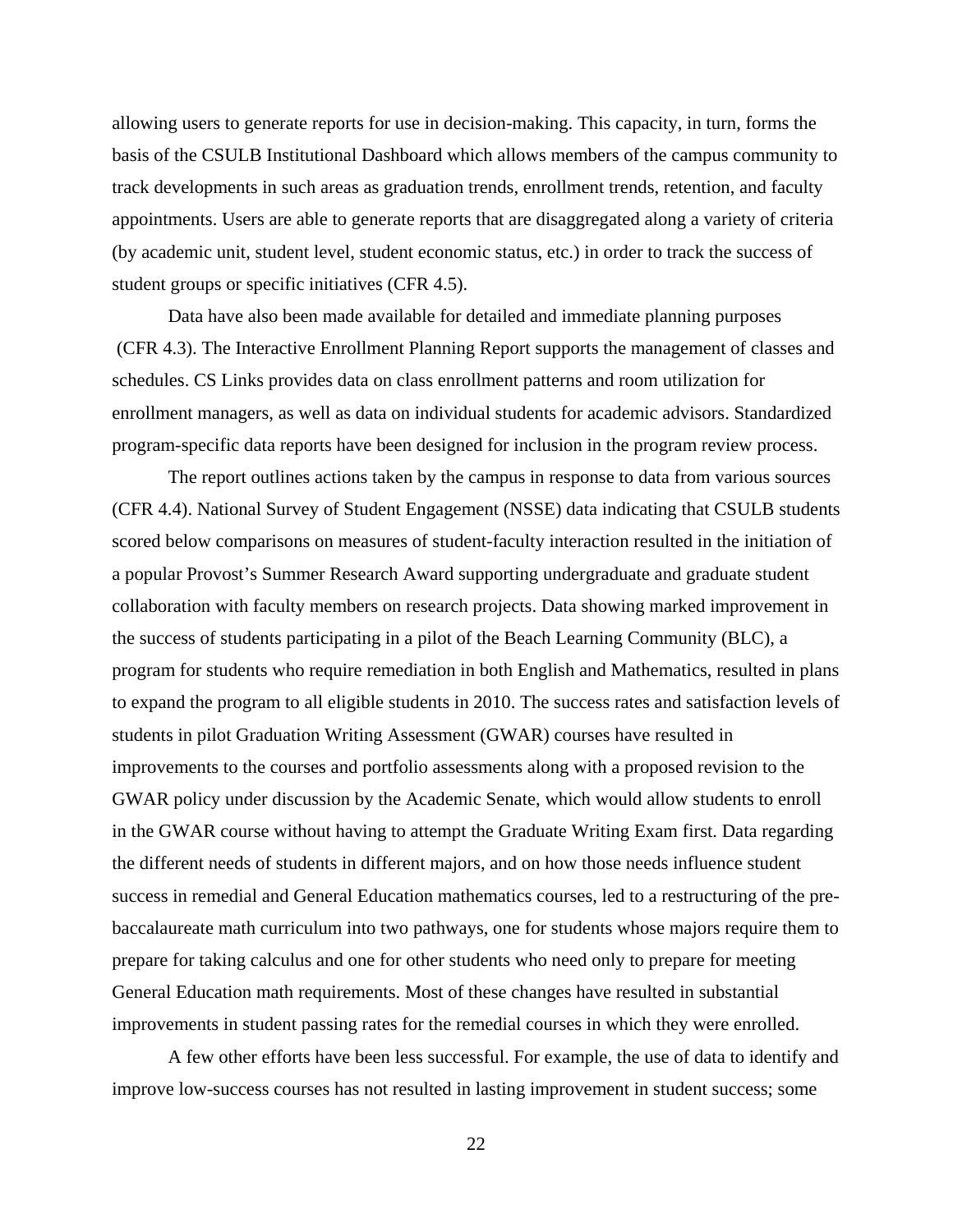allowing users to generate reports for use in decision-making. This capacity, in turn, forms the basis of the CSULB Institutional Dashboard which allows members of the campus community to track developments in such areas as graduation trends, enrollment trends, retention, and faculty appointments. Users are able to generate reports that are disaggregated along a variety of criteria (by academic unit, student level, student economic status, etc.) in order to track the success of student groups or specific initiatives (CFR 4.5).

Data have also been made available for detailed and immediate planning purposes (CFR 4.3). The Interactive Enrollment Planning Report supports the management of classes and schedules. CS Links provides data on class enrollment patterns and room utilization for enrollment managers, as well as data on individual students for academic advisors. Standardized program-specific data reports have been designed for inclusion in the program review process.

The report outlines actions taken by the campus in response to data from various sources (CFR 4.4). National Survey of Student Engagement (NSSE) data indicating that CSULB students scored below comparisons on measures of student-faculty interaction resulted in the initiation of a popular Provost's Summer Research Award supporting undergraduate and graduate student collaboration with faculty members on research projects. Data showing marked improvement in the success of students participating in a pilot of the Beach Learning Community (BLC), a program for students who require remediation in both English and Mathematics, resulted in plans to expand the program to all eligible students in 2010. The success rates and satisfaction levels of students in pilot Graduation Writing Assessment (GWAR) courses have resulted in improvements to the courses and portfolio assessments along with a proposed revision to the GWAR policy under discussion by the Academic Senate, which would allow students to enroll in the GWAR course without having to attempt the Graduate Writing Exam first. Data regarding the different needs of students in different majors, and on how those needs influence student success in remedial and General Education mathematics courses, led to a restructuring of the prebaccalaureate math curriculum into two pathways, one for students whose majors require them to prepare for taking calculus and one for other students who need only to prepare for meeting General Education math requirements. Most of these changes have resulted in substantial improvements in student passing rates for the remedial courses in which they were enrolled.

A few other efforts have been less successful. For example, the use of data to identify and improve low-success courses has not resulted in lasting improvement in student success; some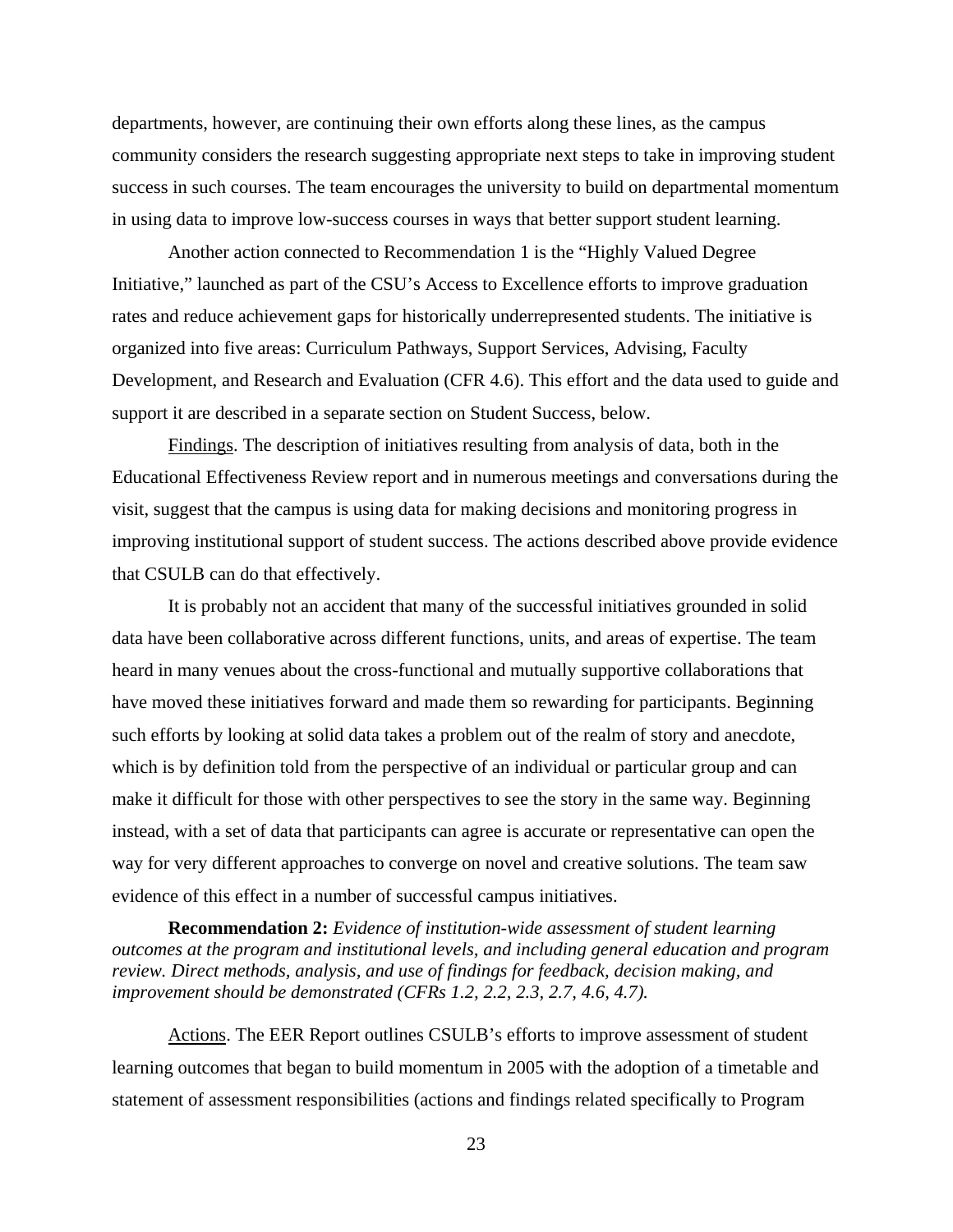departments, however, are continuing their own efforts along these lines, as the campus community considers the research suggesting appropriate next steps to take in improving student success in such courses. The team encourages the university to build on departmental momentum in using data to improve low-success courses in ways that better support student learning.

Another action connected to Recommendation 1 is the "Highly Valued Degree Initiative," launched as part of the CSU's Access to Excellence efforts to improve graduation rates and reduce achievement gaps for historically underrepresented students. The initiative is organized into five areas: Curriculum Pathways, Support Services, Advising, Faculty Development, and Research and Evaluation (CFR 4.6). This effort and the data used to guide and support it are described in a separate section on Student Success, below.

Findings. The description of initiatives resulting from analysis of data, both in the Educational Effectiveness Review report and in numerous meetings and conversations during the visit, suggest that the campus is using data for making decisions and monitoring progress in improving institutional support of student success. The actions described above provide evidence that CSULB can do that effectively.

It is probably not an accident that many of the successful initiatives grounded in solid data have been collaborative across different functions, units, and areas of expertise. The team heard in many venues about the cross-functional and mutually supportive collaborations that have moved these initiatives forward and made them so rewarding for participants. Beginning such efforts by looking at solid data takes a problem out of the realm of story and anecdote, which is by definition told from the perspective of an individual or particular group and can make it difficult for those with other perspectives to see the story in the same way. Beginning instead, with a set of data that participants can agree is accurate or representative can open the way for very different approaches to converge on novel and creative solutions. The team saw evidence of this effect in a number of successful campus initiatives.

**Recommendation 2:** *Evidence of institution-wide assessment of student learning outcomes at the program and institutional levels, and including general education and program review. Direct methods, analysis, and use of findings for feedback, decision making, and improvement should be demonstrated (CFRs 1.2, 2.2, 2.3, 2.7, 4.6, 4.7).* 

Actions. The EER Report outlines CSULB's efforts to improve assessment of student learning outcomes that began to build momentum in 2005 with the adoption of a timetable and statement of assessment responsibilities (actions and findings related specifically to Program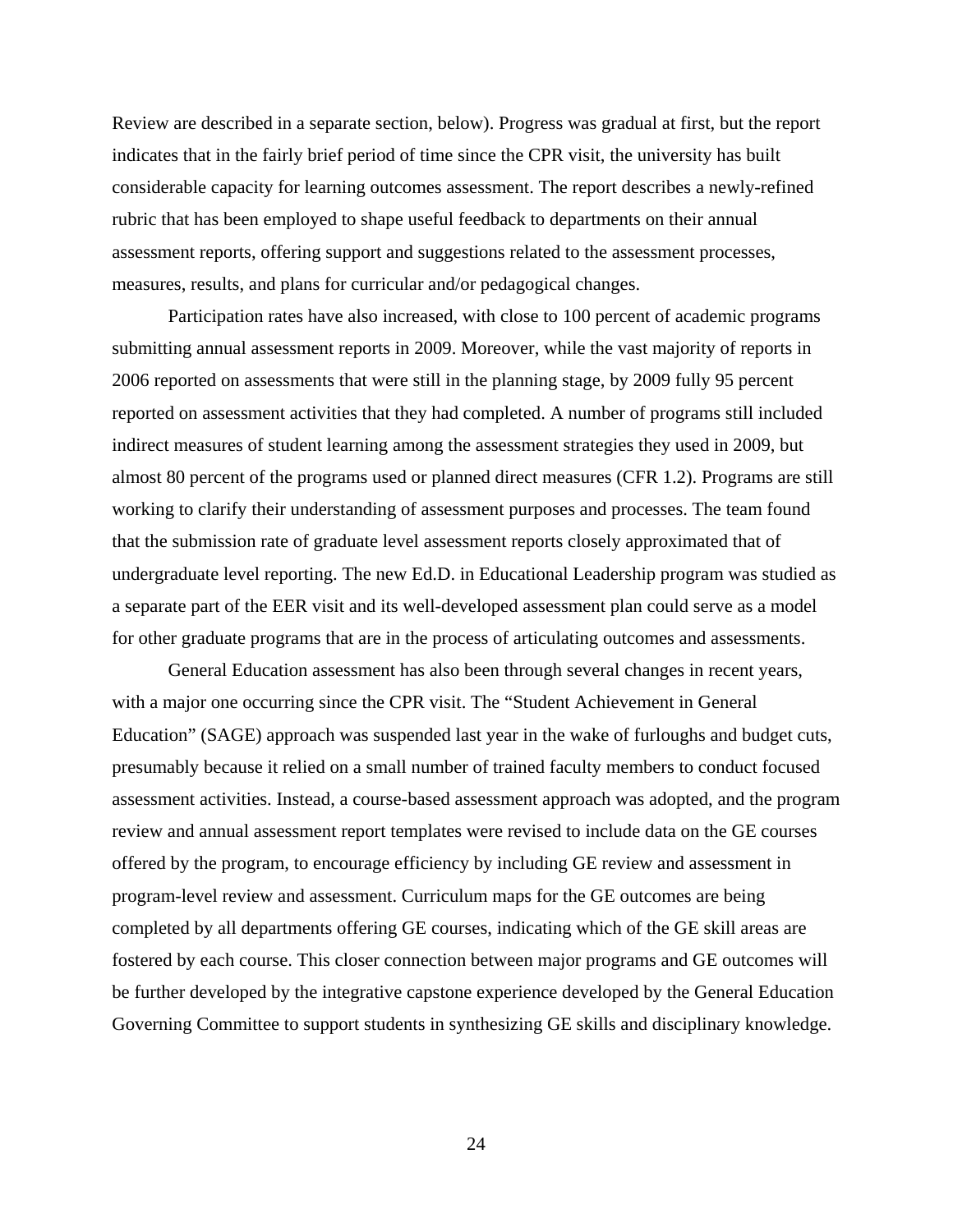Review are described in a separate section, below). Progress was gradual at first, but the report indicates that in the fairly brief period of time since the CPR visit, the university has built considerable capacity for learning outcomes assessment. The report describes a newly-refined rubric that has been employed to shape useful feedback to departments on their annual assessment reports, offering support and suggestions related to the assessment processes, measures, results, and plans for curricular and/or pedagogical changes.

Participation rates have also increased, with close to 100 percent of academic programs submitting annual assessment reports in 2009. Moreover, while the vast majority of reports in 2006 reported on assessments that were still in the planning stage, by 2009 fully 95 percent reported on assessment activities that they had completed. A number of programs still included indirect measures of student learning among the assessment strategies they used in 2009, but almost 80 percent of the programs used or planned direct measures (CFR 1.2). Programs are still working to clarify their understanding of assessment purposes and processes. The team found that the submission rate of graduate level assessment reports closely approximated that of undergraduate level reporting. The new Ed.D. in Educational Leadership program was studied as a separate part of the EER visit and its well-developed assessment plan could serve as a model for other graduate programs that are in the process of articulating outcomes and assessments.

General Education assessment has also been through several changes in recent years, with a major one occurring since the CPR visit. The "Student Achievement in General Education" (SAGE) approach was suspended last year in the wake of furloughs and budget cuts, presumably because it relied on a small number of trained faculty members to conduct focused assessment activities. Instead, a course-based assessment approach was adopted, and the program review and annual assessment report templates were revised to include data on the GE courses offered by the program, to encourage efficiency by including GE review and assessment in program-level review and assessment. Curriculum maps for the GE outcomes are being completed by all departments offering GE courses, indicating which of the GE skill areas are fostered by each course. This closer connection between major programs and GE outcomes will be further developed by the integrative capstone experience developed by the General Education Governing Committee to support students in synthesizing GE skills and disciplinary knowledge.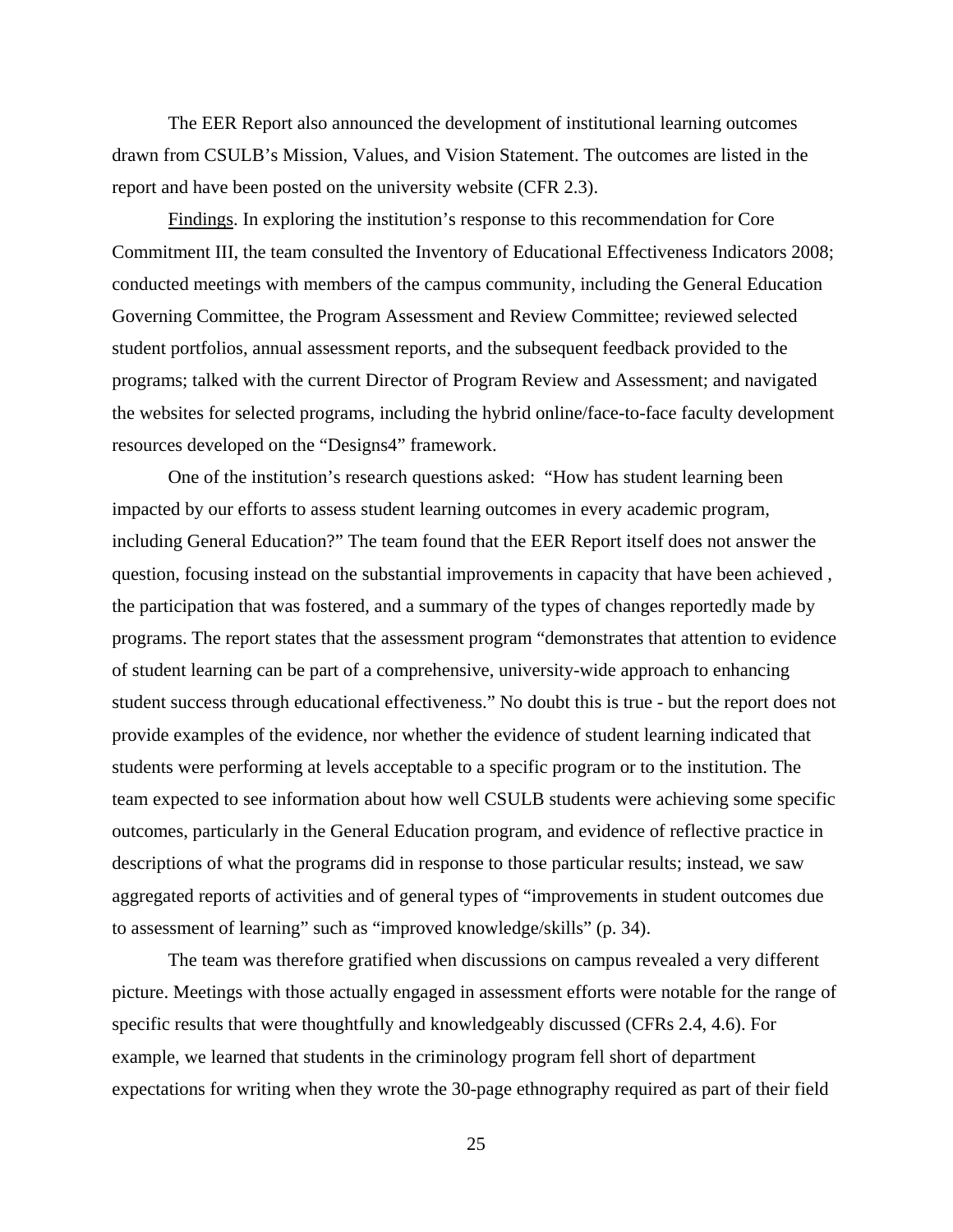The EER Report also announced the development of institutional learning outcomes drawn from CSULB's Mission, Values, and Vision Statement. The outcomes are listed in the report and have been posted on the university website (CFR 2.3).

Findings. In exploring the institution's response to this recommendation for Core Commitment III, the team consulted the Inventory of Educational Effectiveness Indicators 2008; conducted meetings with members of the campus community, including the General Education Governing Committee, the Program Assessment and Review Committee; reviewed selected student portfolios, annual assessment reports, and the subsequent feedback provided to the programs; talked with the current Director of Program Review and Assessment; and navigated the websites for selected programs, including the hybrid online/face-to-face faculty development resources developed on the "Designs4" framework.

One of the institution's research questions asked: "How has student learning been impacted by our efforts to assess student learning outcomes in every academic program, including General Education?" The team found that the EER Report itself does not answer the question, focusing instead on the substantial improvements in capacity that have been achieved , the participation that was fostered, and a summary of the types of changes reportedly made by programs. The report states that the assessment program "demonstrates that attention to evidence of student learning can be part of a comprehensive, university-wide approach to enhancing student success through educational effectiveness." No doubt this is true - but the report does not provide examples of the evidence, nor whether the evidence of student learning indicated that students were performing at levels acceptable to a specific program or to the institution. The team expected to see information about how well CSULB students were achieving some specific outcomes, particularly in the General Education program, and evidence of reflective practice in descriptions of what the programs did in response to those particular results; instead, we saw aggregated reports of activities and of general types of "improvements in student outcomes due to assessment of learning" such as "improved knowledge/skills" (p. 34).

The team was therefore gratified when discussions on campus revealed a very different picture. Meetings with those actually engaged in assessment efforts were notable for the range of specific results that were thoughtfully and knowledgeably discussed (CFRs 2.4, 4.6). For example, we learned that students in the criminology program fell short of department expectations for writing when they wrote the 30-page ethnography required as part of their field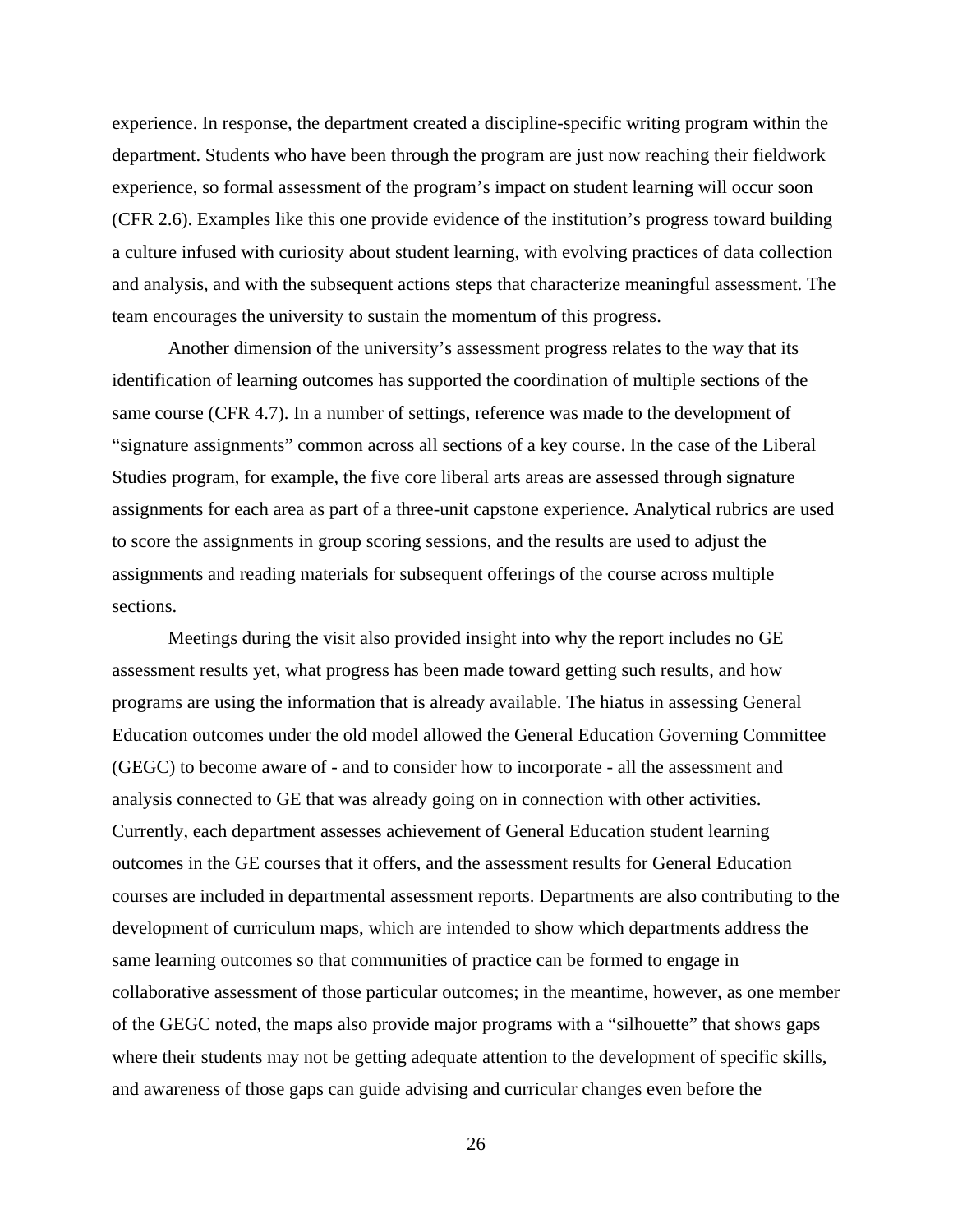experience. In response, the department created a discipline-specific writing program within the department. Students who have been through the program are just now reaching their fieldwork experience, so formal assessment of the program's impact on student learning will occur soon (CFR 2.6). Examples like this one provide evidence of the institution's progress toward building a culture infused with curiosity about student learning, with evolving practices of data collection and analysis, and with the subsequent actions steps that characterize meaningful assessment. The team encourages the university to sustain the momentum of this progress.

Another dimension of the university's assessment progress relates to the way that its identification of learning outcomes has supported the coordination of multiple sections of the same course (CFR 4.7). In a number of settings, reference was made to the development of "signature assignments" common across all sections of a key course. In the case of the Liberal Studies program, for example, the five core liberal arts areas are assessed through signature assignments for each area as part of a three-unit capstone experience. Analytical rubrics are used to score the assignments in group scoring sessions, and the results are used to adjust the assignments and reading materials for subsequent offerings of the course across multiple sections.

Meetings during the visit also provided insight into why the report includes no GE assessment results yet, what progress has been made toward getting such results, and how programs are using the information that is already available. The hiatus in assessing General Education outcomes under the old model allowed the General Education Governing Committee (GEGC) to become aware of - and to consider how to incorporate - all the assessment and analysis connected to GE that was already going on in connection with other activities. Currently, each department assesses achievement of General Education student learning outcomes in the GE courses that it offers, and the assessment results for General Education courses are included in departmental assessment reports. Departments are also contributing to the development of curriculum maps, which are intended to show which departments address the same learning outcomes so that communities of practice can be formed to engage in collaborative assessment of those particular outcomes; in the meantime, however, as one member of the GEGC noted, the maps also provide major programs with a "silhouette" that shows gaps where their students may not be getting adequate attention to the development of specific skills, and awareness of those gaps can guide advising and curricular changes even before the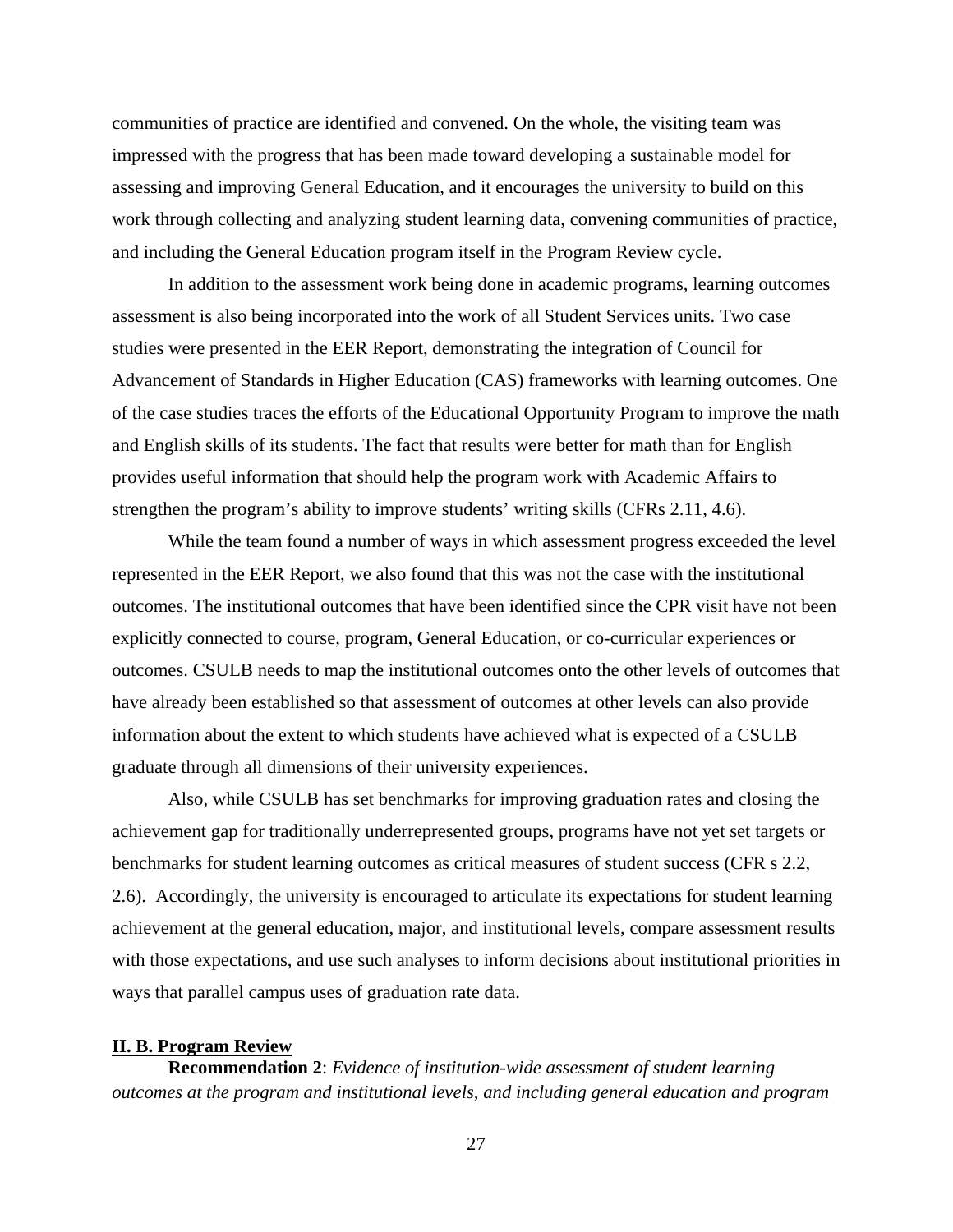communities of practice are identified and convened. On the whole, the visiting team was impressed with the progress that has been made toward developing a sustainable model for assessing and improving General Education, and it encourages the university to build on this work through collecting and analyzing student learning data, convening communities of practice, and including the General Education program itself in the Program Review cycle.

In addition to the assessment work being done in academic programs, learning outcomes assessment is also being incorporated into the work of all Student Services units. Two case studies were presented in the EER Report, demonstrating the integration of Council for Advancement of Standards in Higher Education (CAS) frameworks with learning outcomes. One of the case studies traces the efforts of the Educational Opportunity Program to improve the math and English skills of its students. The fact that results were better for math than for English provides useful information that should help the program work with Academic Affairs to strengthen the program's ability to improve students' writing skills (CFRs 2.11, 4.6).

While the team found a number of ways in which assessment progress exceeded the level represented in the EER Report, we also found that this was not the case with the institutional outcomes. The institutional outcomes that have been identified since the CPR visit have not been explicitly connected to course, program, General Education, or co-curricular experiences or outcomes. CSULB needs to map the institutional outcomes onto the other levels of outcomes that have already been established so that assessment of outcomes at other levels can also provide information about the extent to which students have achieved what is expected of a CSULB graduate through all dimensions of their university experiences.

Also, while CSULB has set benchmarks for improving graduation rates and closing the achievement gap for traditionally underrepresented groups, programs have not yet set targets or benchmarks for student learning outcomes as critical measures of student success (CFR s 2.2, 2.6). Accordingly, the university is encouraged to articulate its expectations for student learning achievement at the general education, major, and institutional levels, compare assessment results with those expectations, and use such analyses to inform decisions about institutional priorities in ways that parallel campus uses of graduation rate data.

#### **II. B. Program Review**

**Recommendation 2**: *Evidence of institution-wide assessment of student learning outcomes at the program and institutional levels, and including general education and program*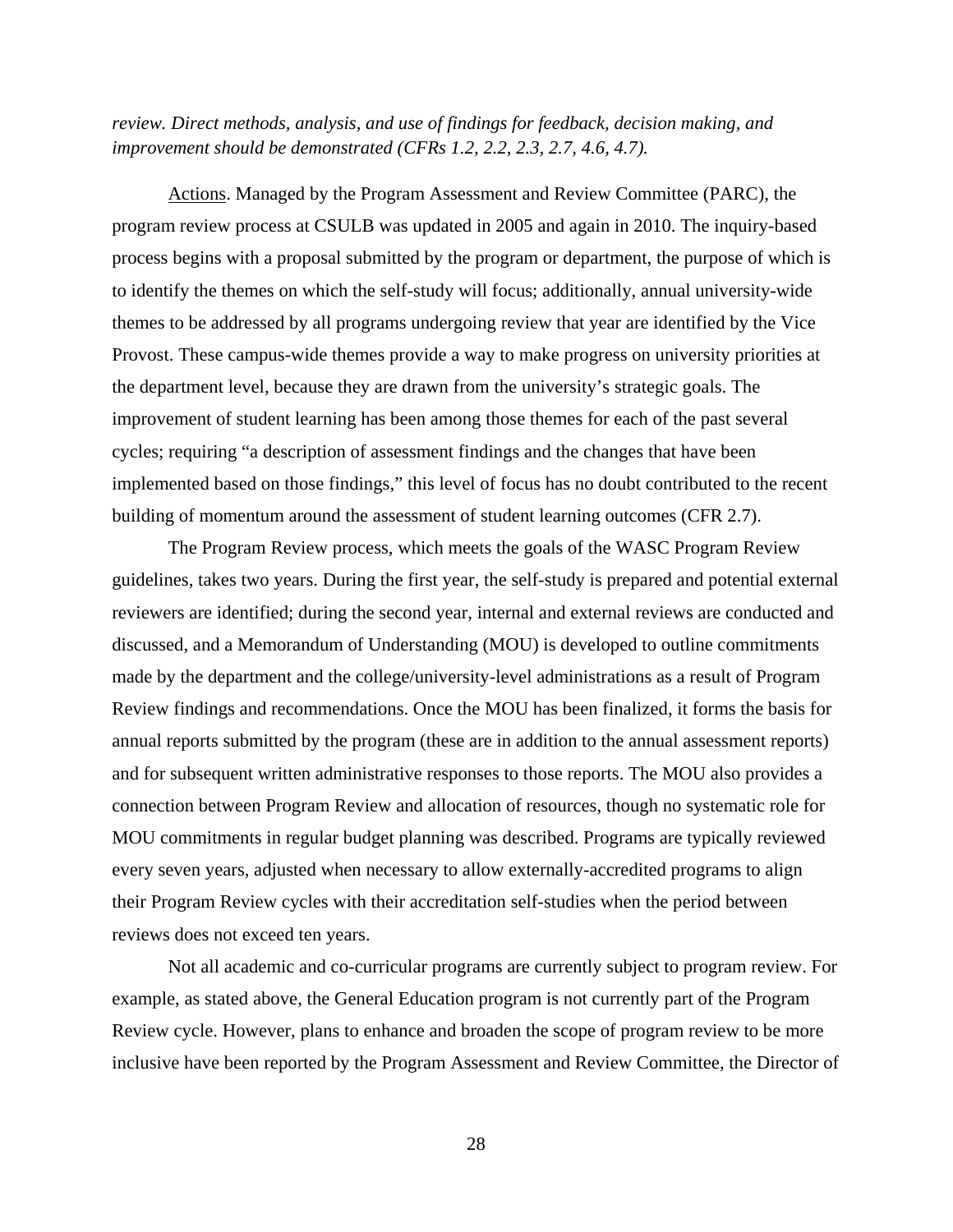*review. Direct methods, analysis, and use of findings for feedback, decision making, and improvement should be demonstrated (CFRs 1.2, 2.2, 2.3, 2.7, 4.6, 4.7).* 

Actions. Managed by the Program Assessment and Review Committee (PARC), the program review process at CSULB was updated in 2005 and again in 2010. The inquiry-based process begins with a proposal submitted by the program or department, the purpose of which is to identify the themes on which the self-study will focus; additionally, annual university-wide themes to be addressed by all programs undergoing review that year are identified by the Vice Provost. These campus-wide themes provide a way to make progress on university priorities at the department level, because they are drawn from the university's strategic goals. The improvement of student learning has been among those themes for each of the past several cycles; requiring "a description of assessment findings and the changes that have been implemented based on those findings," this level of focus has no doubt contributed to the recent building of momentum around the assessment of student learning outcomes (CFR 2.7).

The Program Review process, which meets the goals of the WASC Program Review guidelines, takes two years. During the first year, the self-study is prepared and potential external reviewers are identified; during the second year, internal and external reviews are conducted and discussed, and a Memorandum of Understanding (MOU) is developed to outline commitments made by the department and the college/university-level administrations as a result of Program Review findings and recommendations. Once the MOU has been finalized, it forms the basis for annual reports submitted by the program (these are in addition to the annual assessment reports) and for subsequent written administrative responses to those reports. The MOU also provides a connection between Program Review and allocation of resources, though no systematic role for MOU commitments in regular budget planning was described. Programs are typically reviewed every seven years, adjusted when necessary to allow externally-accredited programs to align their Program Review cycles with their accreditation self-studies when the period between reviews does not exceed ten years.

Not all academic and co-curricular programs are currently subject to program review. For example, as stated above, the General Education program is not currently part of the Program Review cycle. However, plans to enhance and broaden the scope of program review to be more inclusive have been reported by the Program Assessment and Review Committee, the Director of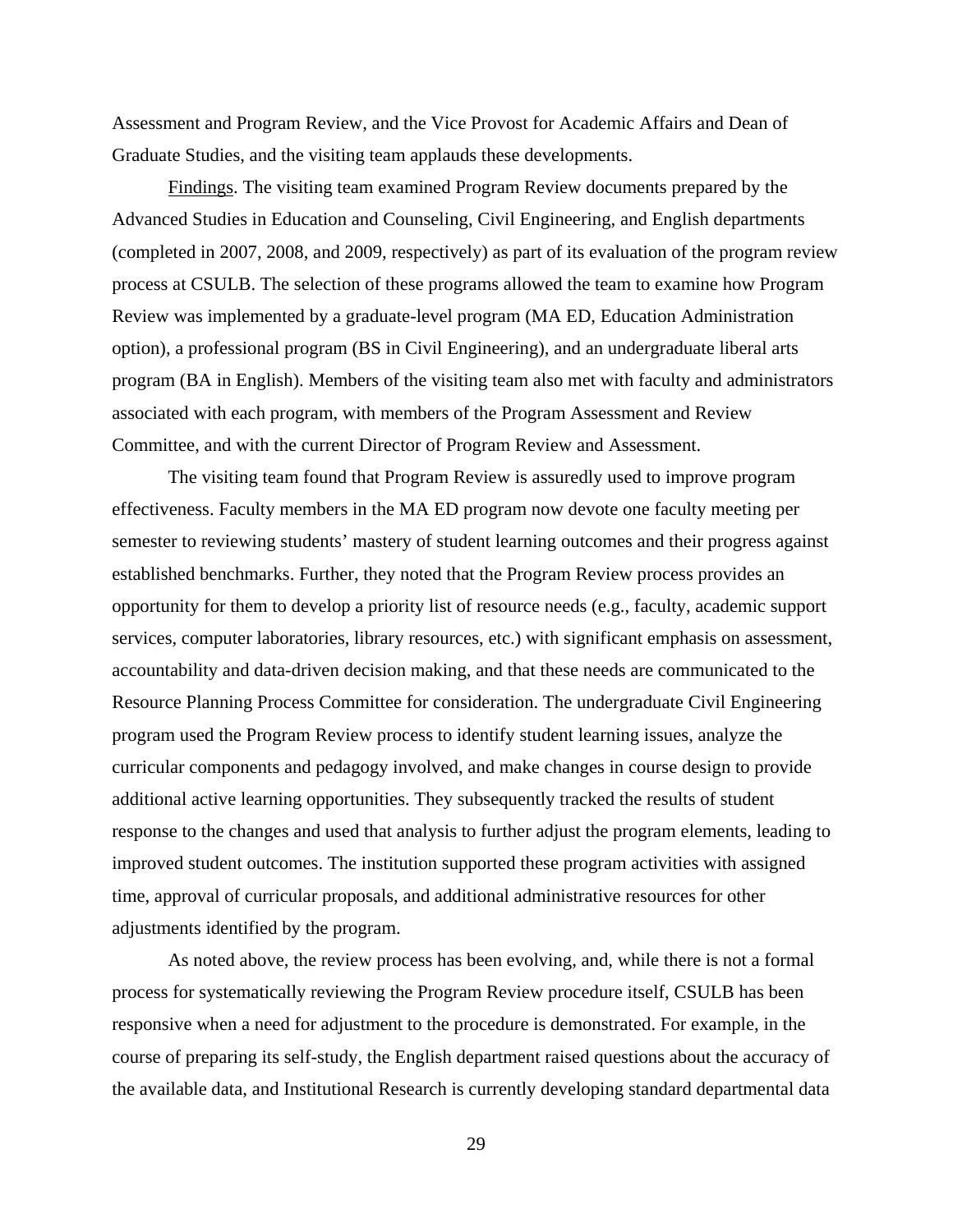Assessment and Program Review, and the Vice Provost for Academic Affairs and Dean of Graduate Studies, and the visiting team applauds these developments.

Findings. The visiting team examined Program Review documents prepared by the Advanced Studies in Education and Counseling, Civil Engineering, and English departments (completed in 2007, 2008, and 2009, respectively) as part of its evaluation of the program review process at CSULB. The selection of these programs allowed the team to examine how Program Review was implemented by a graduate-level program (MA ED, Education Administration option), a professional program (BS in Civil Engineering), and an undergraduate liberal arts program (BA in English). Members of the visiting team also met with faculty and administrators associated with each program, with members of the Program Assessment and Review Committee, and with the current Director of Program Review and Assessment.

The visiting team found that Program Review is assuredly used to improve program effectiveness. Faculty members in the MA ED program now devote one faculty meeting per semester to reviewing students' mastery of student learning outcomes and their progress against established benchmarks. Further, they noted that the Program Review process provides an opportunity for them to develop a priority list of resource needs (e.g., faculty, academic support services, computer laboratories, library resources, etc.) with significant emphasis on assessment, accountability and data-driven decision making, and that these needs are communicated to the Resource Planning Process Committee for consideration. The undergraduate Civil Engineering program used the Program Review process to identify student learning issues, analyze the curricular components and pedagogy involved, and make changes in course design to provide additional active learning opportunities. They subsequently tracked the results of student response to the changes and used that analysis to further adjust the program elements, leading to improved student outcomes. The institution supported these program activities with assigned time, approval of curricular proposals, and additional administrative resources for other adjustments identified by the program.

As noted above, the review process has been evolving, and, while there is not a formal process for systematically reviewing the Program Review procedure itself, CSULB has been responsive when a need for adjustment to the procedure is demonstrated. For example, in the course of preparing its self-study, the English department raised questions about the accuracy of the available data, and Institutional Research is currently developing standard departmental data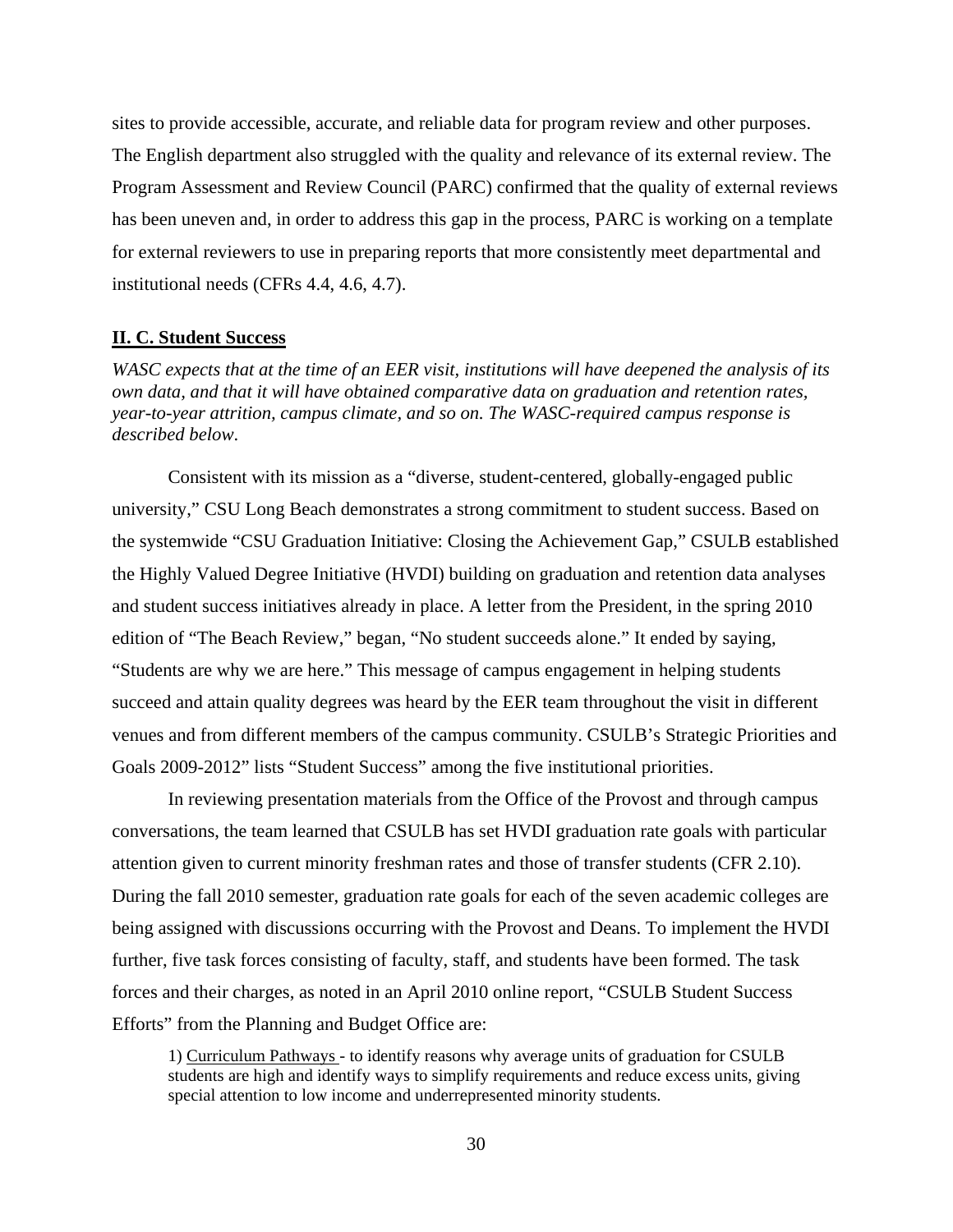sites to provide accessible, accurate, and reliable data for program review and other purposes. The English department also struggled with the quality and relevance of its external review. The Program Assessment and Review Council (PARC) confirmed that the quality of external reviews has been uneven and, in order to address this gap in the process, PARC is working on a template for external reviewers to use in preparing reports that more consistently meet departmental and institutional needs (CFRs 4.4, 4.6, 4.7).

#### **II. C. Student Success**

*WASC expects that at the time of an EER visit, institutions will have deepened the analysis of its own data, and that it will have obtained comparative data on graduation and retention rates, year-to-year attrition, campus climate, and so on. The WASC-required campus response is described below*.

Consistent with its mission as a "diverse, student-centered, globally-engaged public university," CSU Long Beach demonstrates a strong commitment to student success. Based on the systemwide "CSU Graduation Initiative: Closing the Achievement Gap," CSULB established the Highly Valued Degree Initiative (HVDI) building on graduation and retention data analyses and student success initiatives already in place. A letter from the President, in the spring 2010 edition of "The Beach Review," began, "No student succeeds alone." It ended by saying, "Students are why we are here." This message of campus engagement in helping students succeed and attain quality degrees was heard by the EER team throughout the visit in different venues and from different members of the campus community. CSULB's Strategic Priorities and Goals 2009-2012" lists "Student Success" among the five institutional priorities.

In reviewing presentation materials from the Office of the Provost and through campus conversations, the team learned that CSULB has set HVDI graduation rate goals with particular attention given to current minority freshman rates and those of transfer students (CFR 2.10). During the fall 2010 semester, graduation rate goals for each of the seven academic colleges are being assigned with discussions occurring with the Provost and Deans. To implement the HVDI further, five task forces consisting of faculty, staff, and students have been formed. The task forces and their charges, as noted in an April 2010 online report, "CSULB Student Success Efforts" from the Planning and Budget Office are:

1) Curriculum Pathways - to identify reasons why average units of graduation for CSULB students are high and identify ways to simplify requirements and reduce excess units, giving special attention to low income and underrepresented minority students.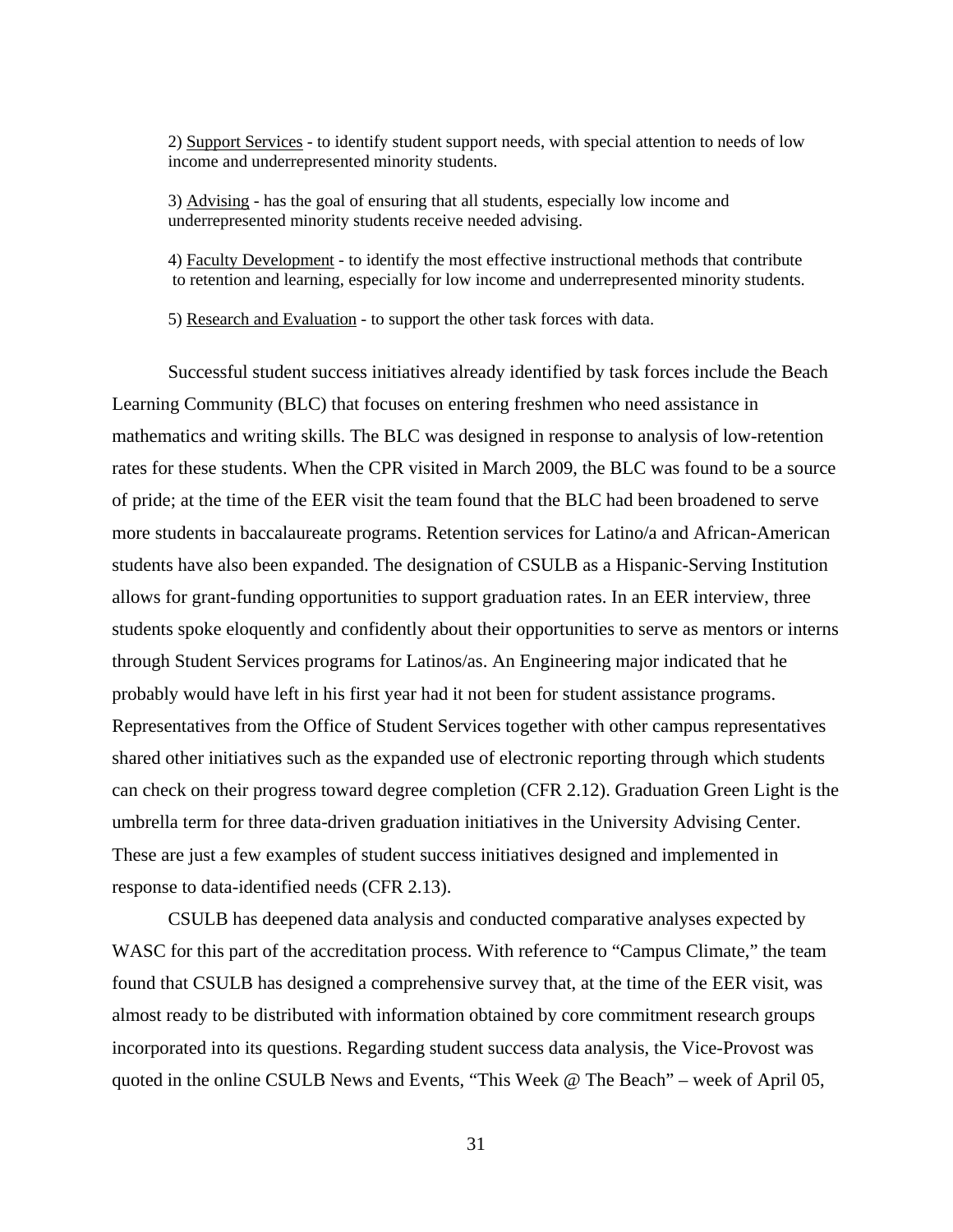2) Support Services - to identify student support needs, with special attention to needs of low income and underrepresented minority students.

3) Advising - has the goal of ensuring that all students, especially low income and underrepresented minority students receive needed advising.

4) Faculty Development - to identify the most effective instructional methods that contribute to retention and learning, especially for low income and underrepresented minority students.

5) Research and Evaluation - to support the other task forces with data.

Successful student success initiatives already identified by task forces include the Beach Learning Community (BLC) that focuses on entering freshmen who need assistance in mathematics and writing skills. The BLC was designed in response to analysis of low-retention rates for these students. When the CPR visited in March 2009, the BLC was found to be a source of pride; at the time of the EER visit the team found that the BLC had been broadened to serve more students in baccalaureate programs. Retention services for Latino/a and African-American students have also been expanded. The designation of CSULB as a Hispanic-Serving Institution allows for grant-funding opportunities to support graduation rates. In an EER interview, three students spoke eloquently and confidently about their opportunities to serve as mentors or interns through Student Services programs for Latinos/as. An Engineering major indicated that he probably would have left in his first year had it not been for student assistance programs. Representatives from the Office of Student Services together with other campus representatives shared other initiatives such as the expanded use of electronic reporting through which students can check on their progress toward degree completion (CFR 2.12). Graduation Green Light is the umbrella term for three data-driven graduation initiatives in the University Advising Center. These are just a few examples of student success initiatives designed and implemented in response to data-identified needs (CFR 2.13).

CSULB has deepened data analysis and conducted comparative analyses expected by WASC for this part of the accreditation process. With reference to "Campus Climate," the team found that CSULB has designed a comprehensive survey that, at the time of the EER visit, was almost ready to be distributed with information obtained by core commitment research groups incorporated into its questions. Regarding student success data analysis, the Vice-Provost was quoted in the online CSULB News and Events, "This Week @ The Beach" – week of April 05,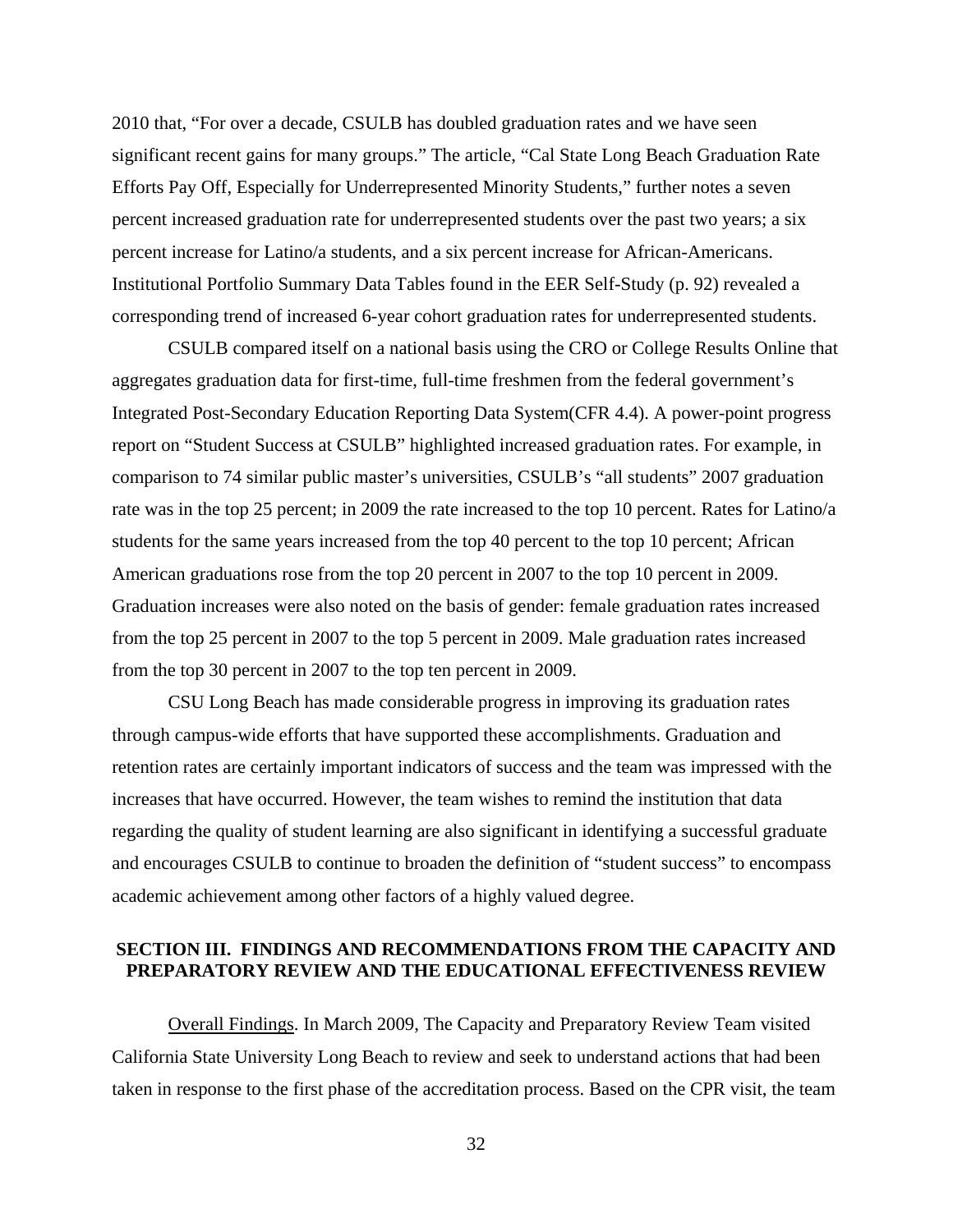2010 that, "For over a decade, CSULB has doubled graduation rates and we have seen significant recent gains for many groups." The article, "Cal State Long Beach Graduation Rate Efforts Pay Off, Especially for Underrepresented Minority Students," further notes a seven percent increased graduation rate for underrepresented students over the past two years; a six percent increase for Latino/a students, and a six percent increase for African-Americans. Institutional Portfolio Summary Data Tables found in the EER Self-Study (p. 92) revealed a corresponding trend of increased 6-year cohort graduation rates for underrepresented students.

CSULB compared itself on a national basis using the CRO or College Results Online that aggregates graduation data for first-time, full-time freshmen from the federal government's Integrated Post-Secondary Education Reporting Data System(CFR 4.4). A power-point progress report on "Student Success at CSULB" highlighted increased graduation rates. For example, in comparison to 74 similar public master's universities, CSULB's "all students" 2007 graduation rate was in the top 25 percent; in 2009 the rate increased to the top 10 percent. Rates for Latino/a students for the same years increased from the top 40 percent to the top 10 percent; African American graduations rose from the top 20 percent in 2007 to the top 10 percent in 2009. Graduation increases were also noted on the basis of gender: female graduation rates increased from the top 25 percent in 2007 to the top 5 percent in 2009. Male graduation rates increased from the top 30 percent in 2007 to the top ten percent in 2009.

CSU Long Beach has made considerable progress in improving its graduation rates through campus-wide efforts that have supported these accomplishments. Graduation and retention rates are certainly important indicators of success and the team was impressed with the increases that have occurred. However, the team wishes to remind the institution that data regarding the quality of student learning are also significant in identifying a successful graduate and encourages CSULB to continue to broaden the definition of "student success" to encompass academic achievement among other factors of a highly valued degree.

## **SECTION III. FINDINGS AND RECOMMENDATIONS FROM THE CAPACITY AND PREPARATORY REVIEW AND THE EDUCATIONAL EFFECTIVENESS REVIEW**

Overall Findings. In March 2009, The Capacity and Preparatory Review Team visited California State University Long Beach to review and seek to understand actions that had been taken in response to the first phase of the accreditation process. Based on the CPR visit, the team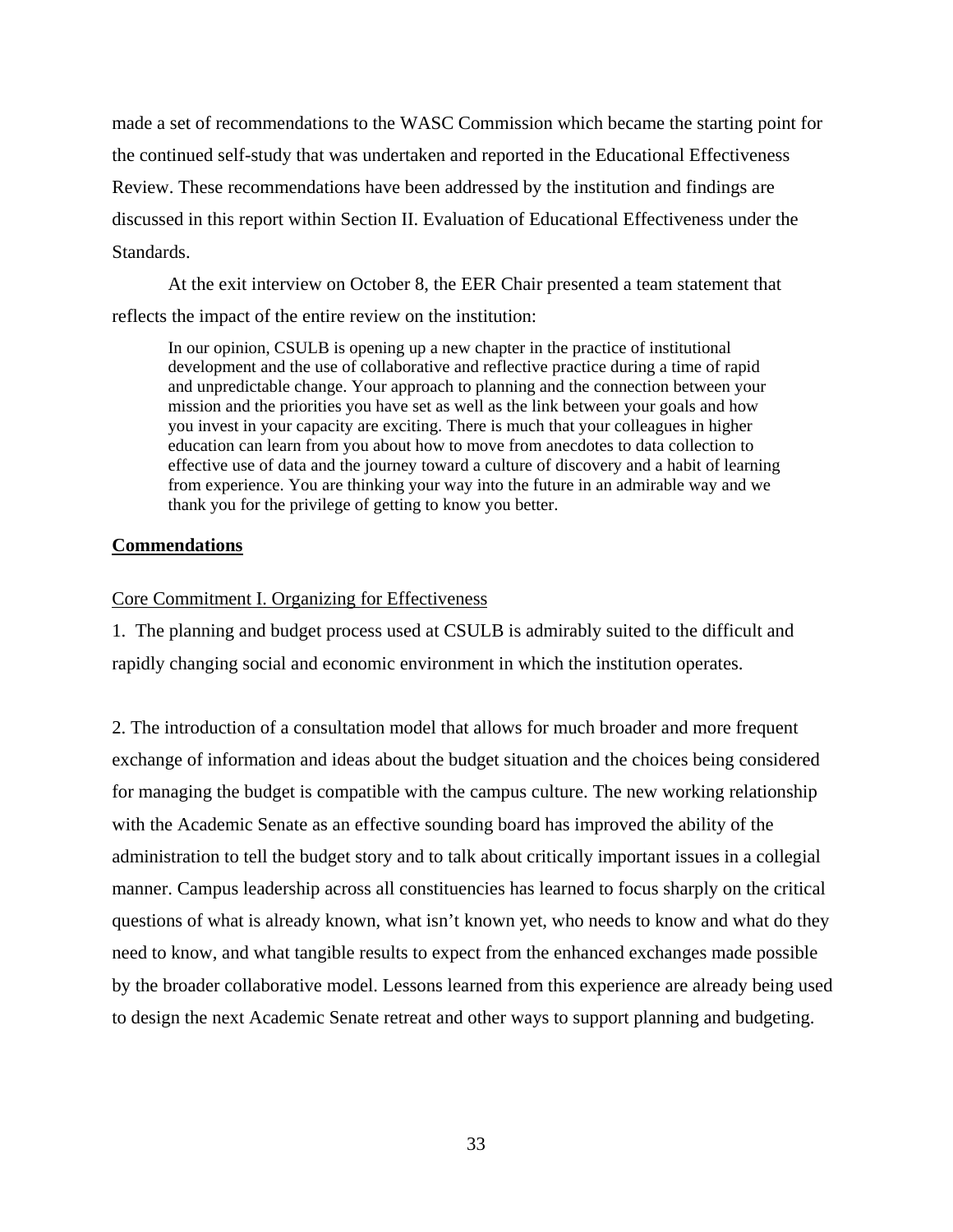made a set of recommendations to the WASC Commission which became the starting point for the continued self-study that was undertaken and reported in the Educational Effectiveness Review. These recommendations have been addressed by the institution and findings are discussed in this report within Section II. Evaluation of Educational Effectiveness under the Standards.

At the exit interview on October 8, the EER Chair presented a team statement that reflects the impact of the entire review on the institution:

In our opinion, CSULB is opening up a new chapter in the practice of institutional development and the use of collaborative and reflective practice during a time of rapid and unpredictable change. Your approach to planning and the connection between your mission and the priorities you have set as well as the link between your goals and how you invest in your capacity are exciting. There is much that your colleagues in higher education can learn from you about how to move from anecdotes to data collection to effective use of data and the journey toward a culture of discovery and a habit of learning from experience. You are thinking your way into the future in an admirable way and we thank you for the privilege of getting to know you better.

#### **Commendations**

#### Core Commitment I. Organizing for Effectiveness

1. The planning and budget process used at CSULB is admirably suited to the difficult and rapidly changing social and economic environment in which the institution operates.

2. The introduction of a consultation model that allows for much broader and more frequent exchange of information and ideas about the budget situation and the choices being considered for managing the budget is compatible with the campus culture. The new working relationship with the Academic Senate as an effective sounding board has improved the ability of the administration to tell the budget story and to talk about critically important issues in a collegial manner. Campus leadership across all constituencies has learned to focus sharply on the critical questions of what is already known, what isn't known yet, who needs to know and what do they need to know, and what tangible results to expect from the enhanced exchanges made possible by the broader collaborative model. Lessons learned from this experience are already being used to design the next Academic Senate retreat and other ways to support planning and budgeting.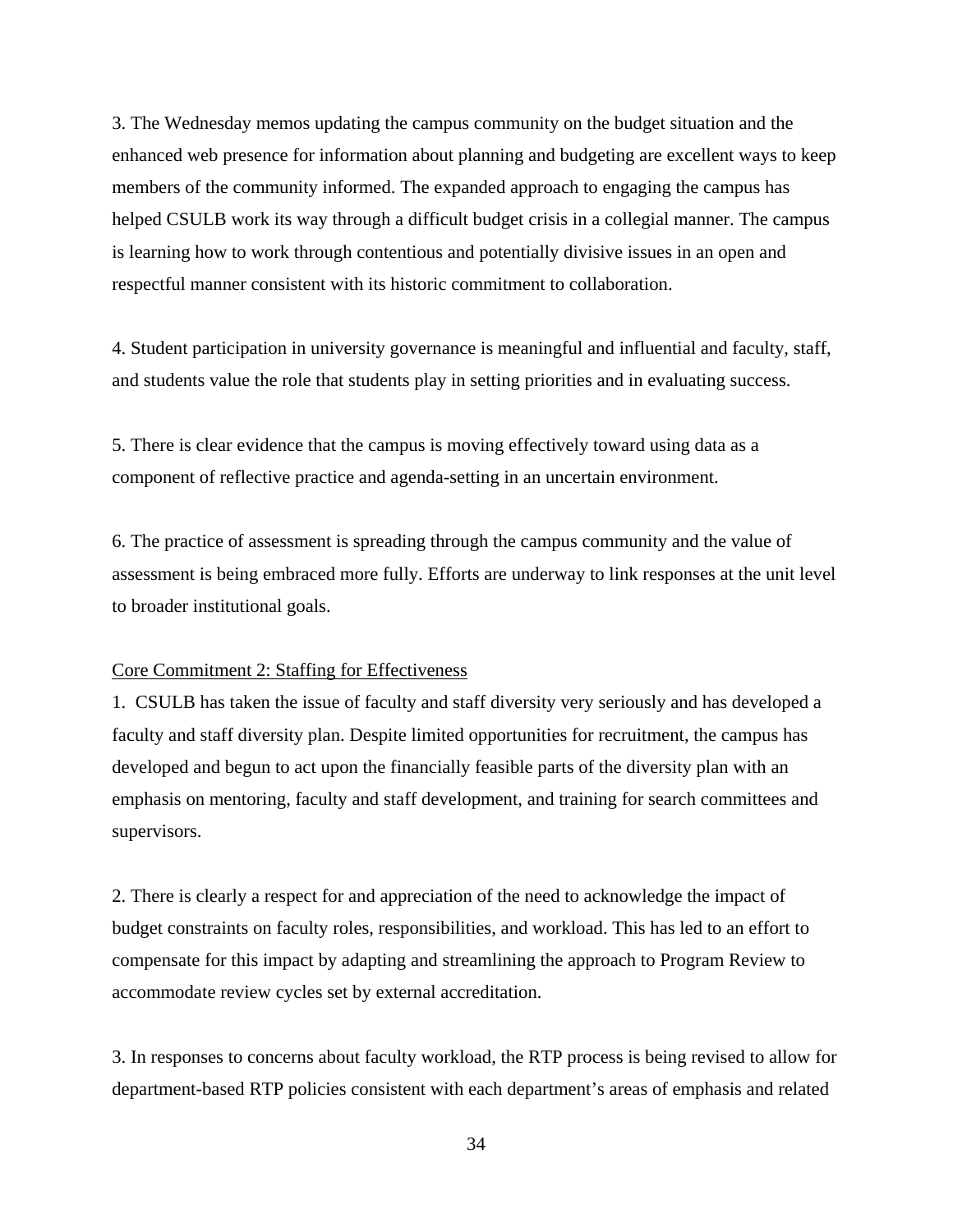3. The Wednesday memos updating the campus community on the budget situation and the enhanced web presence for information about planning and budgeting are excellent ways to keep members of the community informed. The expanded approach to engaging the campus has helped CSULB work its way through a difficult budget crisis in a collegial manner. The campus is learning how to work through contentious and potentially divisive issues in an open and respectful manner consistent with its historic commitment to collaboration.

4. Student participation in university governance is meaningful and influential and faculty, staff, and students value the role that students play in setting priorities and in evaluating success.

5. There is clear evidence that the campus is moving effectively toward using data as a component of reflective practice and agenda-setting in an uncertain environment.

6. The practice of assessment is spreading through the campus community and the value of assessment is being embraced more fully. Efforts are underway to link responses at the unit level to broader institutional goals.

#### Core Commitment 2: Staffing for Effectiveness

1. CSULB has taken the issue of faculty and staff diversity very seriously and has developed a faculty and staff diversity plan. Despite limited opportunities for recruitment, the campus has developed and begun to act upon the financially feasible parts of the diversity plan with an emphasis on mentoring, faculty and staff development, and training for search committees and supervisors.

2. There is clearly a respect for and appreciation of the need to acknowledge the impact of budget constraints on faculty roles, responsibilities, and workload. This has led to an effort to compensate for this impact by adapting and streamlining the approach to Program Review to accommodate review cycles set by external accreditation.

3. In responses to concerns about faculty workload, the RTP process is being revised to allow for department-based RTP policies consistent with each department's areas of emphasis and related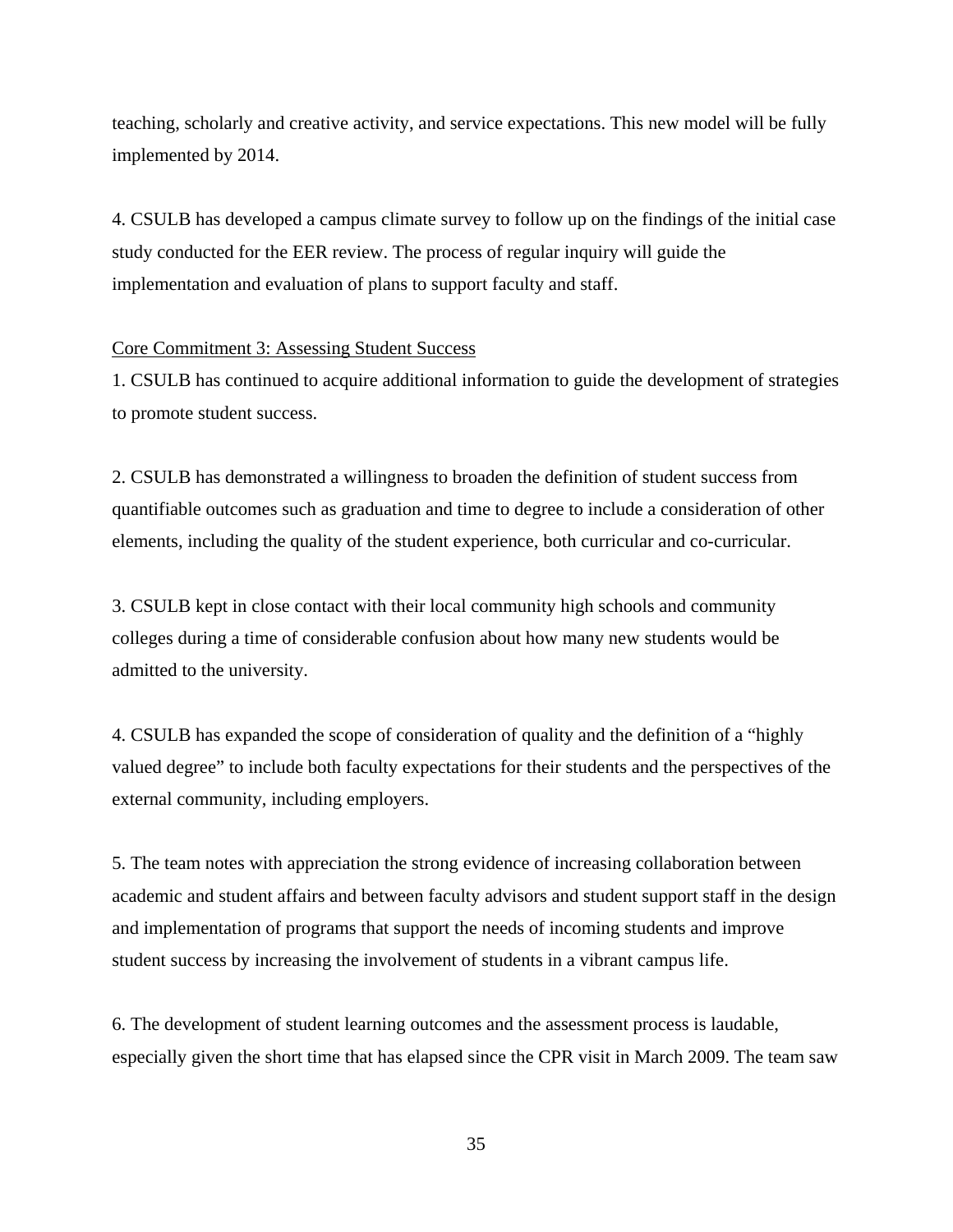teaching, scholarly and creative activity, and service expectations. This new model will be fully implemented by 2014.

4. CSULB has developed a campus climate survey to follow up on the findings of the initial case study conducted for the EER review. The process of regular inquiry will guide the implementation and evaluation of plans to support faculty and staff.

#### Core Commitment 3: Assessing Student Success

1. CSULB has continued to acquire additional information to guide the development of strategies to promote student success.

2. CSULB has demonstrated a willingness to broaden the definition of student success from quantifiable outcomes such as graduation and time to degree to include a consideration of other elements, including the quality of the student experience, both curricular and co-curricular.

3. CSULB kept in close contact with their local community high schools and community colleges during a time of considerable confusion about how many new students would be admitted to the university.

4. CSULB has expanded the scope of consideration of quality and the definition of a "highly valued degree" to include both faculty expectations for their students and the perspectives of the external community, including employers.

5. The team notes with appreciation the strong evidence of increasing collaboration between academic and student affairs and between faculty advisors and student support staff in the design and implementation of programs that support the needs of incoming students and improve student success by increasing the involvement of students in a vibrant campus life.

6. The development of student learning outcomes and the assessment process is laudable, especially given the short time that has elapsed since the CPR visit in March 2009. The team saw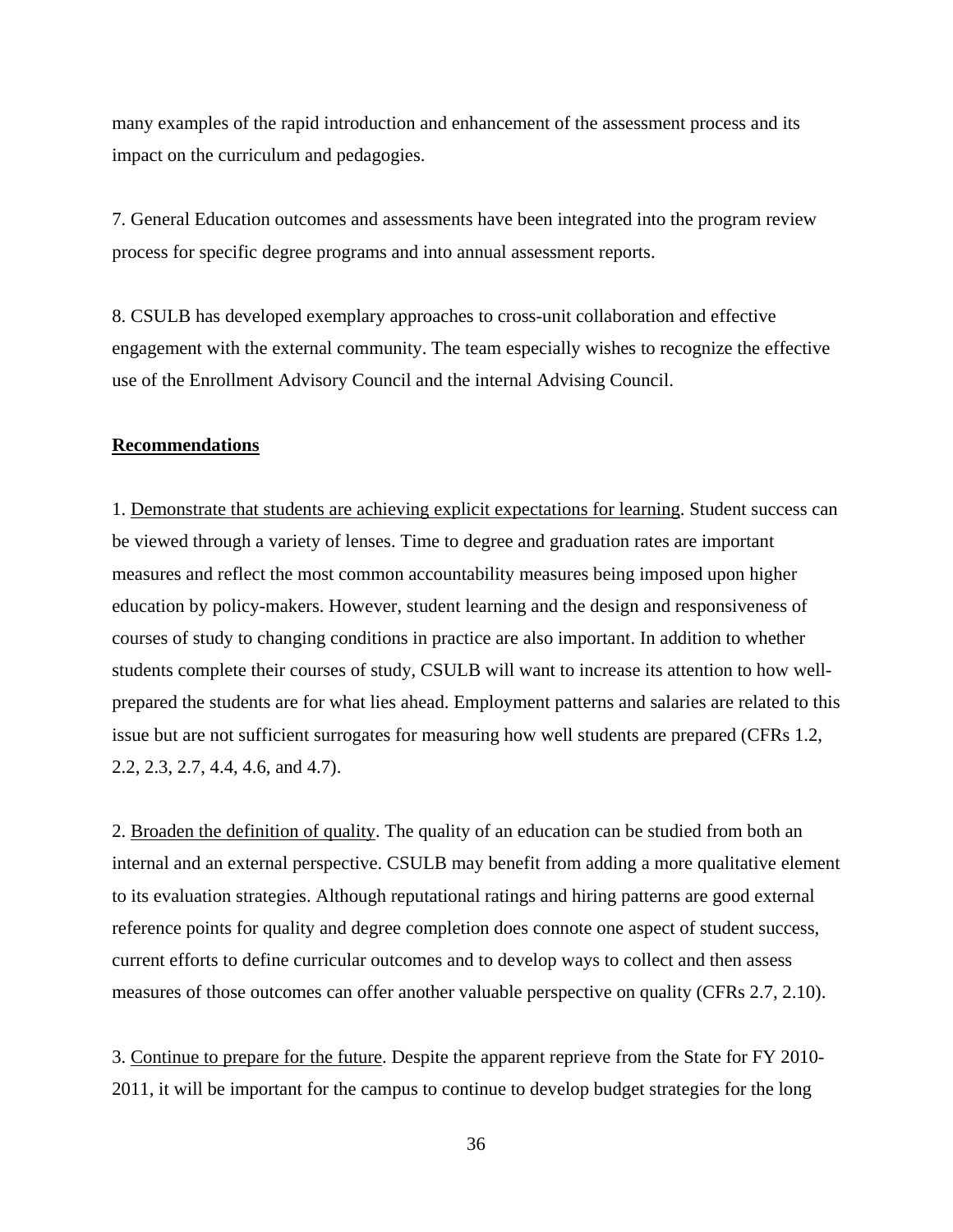many examples of the rapid introduction and enhancement of the assessment process and its impact on the curriculum and pedagogies.

7. General Education outcomes and assessments have been integrated into the program review process for specific degree programs and into annual assessment reports.

8. CSULB has developed exemplary approaches to cross-unit collaboration and effective engagement with the external community. The team especially wishes to recognize the effective use of the Enrollment Advisory Council and the internal Advising Council.

#### **Recommendations**

1. Demonstrate that students are achieving explicit expectations for learning. Student success can be viewed through a variety of lenses. Time to degree and graduation rates are important measures and reflect the most common accountability measures being imposed upon higher education by policy-makers. However, student learning and the design and responsiveness of courses of study to changing conditions in practice are also important. In addition to whether students complete their courses of study, CSULB will want to increase its attention to how wellprepared the students are for what lies ahead. Employment patterns and salaries are related to this issue but are not sufficient surrogates for measuring how well students are prepared (CFRs 1.2, 2.2, 2.3, 2.7, 4.4, 4.6, and 4.7).

2. Broaden the definition of quality. The quality of an education can be studied from both an internal and an external perspective. CSULB may benefit from adding a more qualitative element to its evaluation strategies. Although reputational ratings and hiring patterns are good external reference points for quality and degree completion does connote one aspect of student success, current efforts to define curricular outcomes and to develop ways to collect and then assess measures of those outcomes can offer another valuable perspective on quality (CFRs 2.7, 2.10).

3. Continue to prepare for the future. Despite the apparent reprieve from the State for FY 2010- 2011, it will be important for the campus to continue to develop budget strategies for the long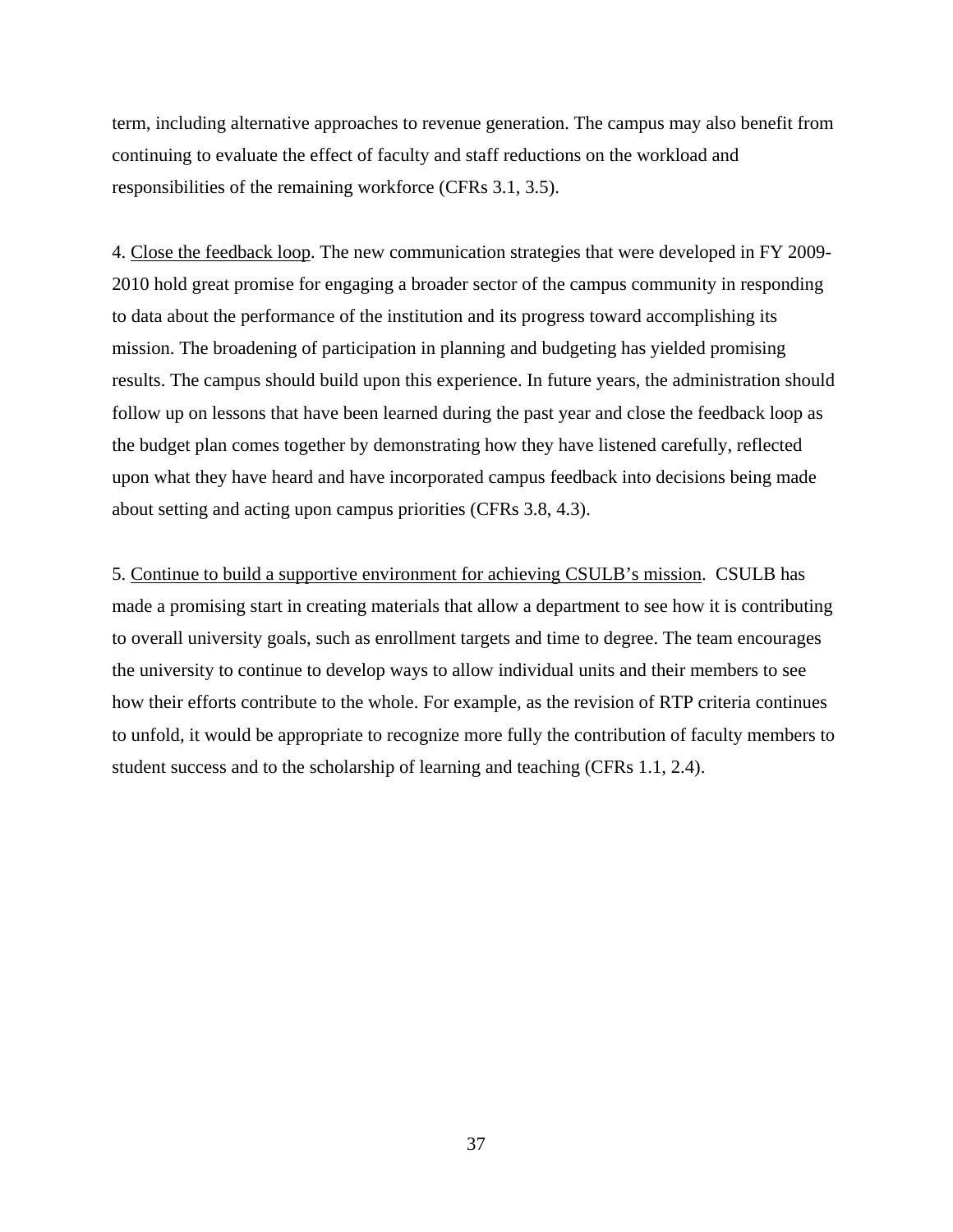term, including alternative approaches to revenue generation. The campus may also benefit from continuing to evaluate the effect of faculty and staff reductions on the workload and responsibilities of the remaining workforce (CFRs 3.1, 3.5).

4. Close the feedback loop. The new communication strategies that were developed in FY 2009- 2010 hold great promise for engaging a broader sector of the campus community in responding to data about the performance of the institution and its progress toward accomplishing its mission. The broadening of participation in planning and budgeting has yielded promising results. The campus should build upon this experience. In future years, the administration should follow up on lessons that have been learned during the past year and close the feedback loop as the budget plan comes together by demonstrating how they have listened carefully, reflected upon what they have heard and have incorporated campus feedback into decisions being made about setting and acting upon campus priorities (CFRs 3.8, 4.3).

5. Continue to build a supportive environment for achieving CSULB's mission. CSULB has made a promising start in creating materials that allow a department to see how it is contributing to overall university goals, such as enrollment targets and time to degree. The team encourages the university to continue to develop ways to allow individual units and their members to see how their efforts contribute to the whole. For example, as the revision of RTP criteria continues to unfold, it would be appropriate to recognize more fully the contribution of faculty members to student success and to the scholarship of learning and teaching (CFRs 1.1, 2.4).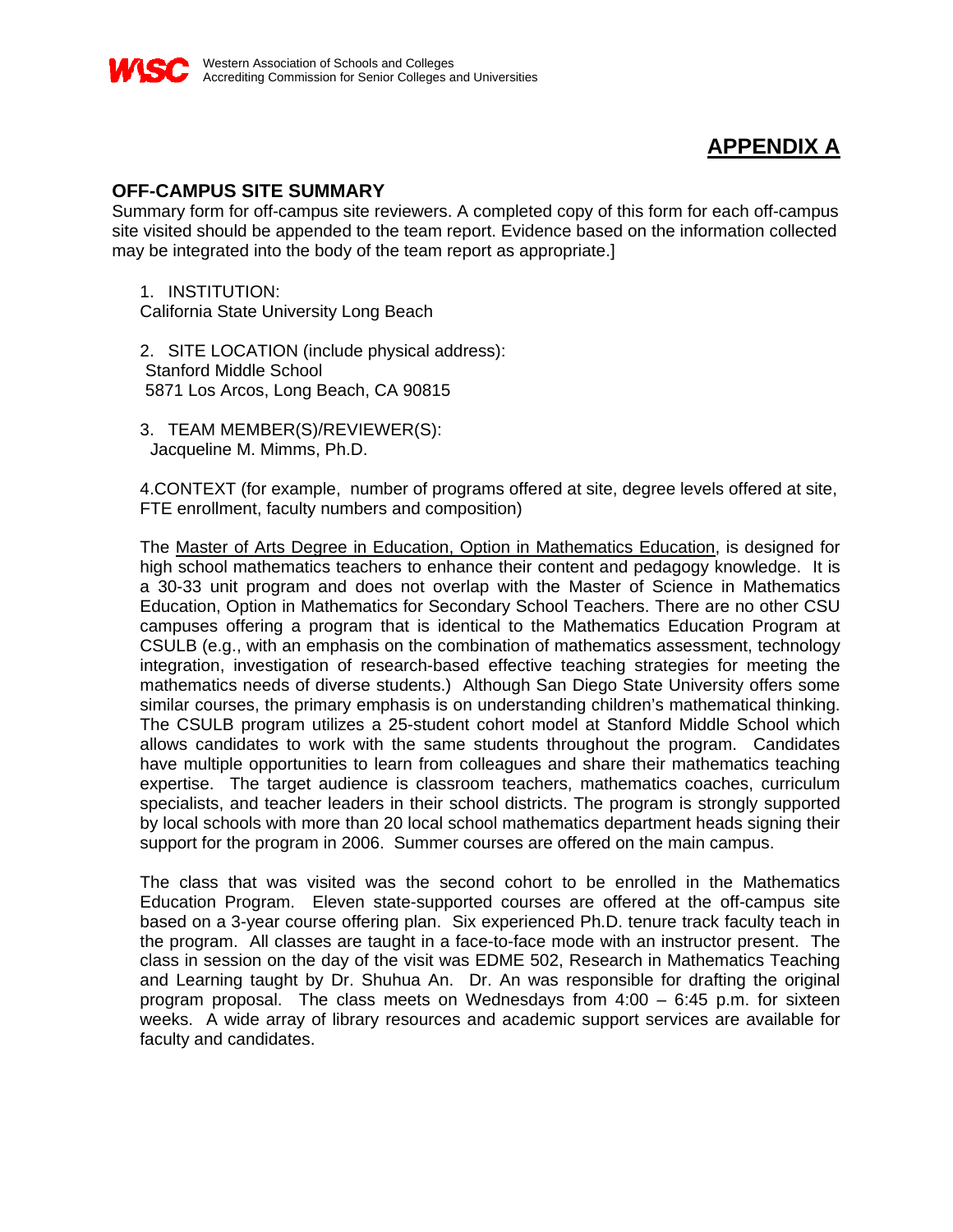

## **APPENDIX A**

## **OFF-CAMPUS SITE SUMMARY**

Summary form for off-campus site reviewers. A completed copy of this form for each off-campus site visited should be appended to the team report. Evidence based on the information collected may be integrated into the body of the team report as appropriate.]

1. INSTITUTION: California State University Long Beach

2. SITE LOCATION (include physical address): Stanford Middle School 5871 Los Arcos, Long Beach, CA 90815

3. TEAM MEMBER(S)/REVIEWER(S): Jacqueline M. Mimms, Ph.D.

4.CONTEXT (for example, number of programs offered at site, degree levels offered at site, FTE enrollment, faculty numbers and composition)

The Master of Arts Degree in Education, Option in Mathematics Education, is designed for high school mathematics teachers to enhance their content and pedagogy knowledge. It is a 30-33 unit program and does not overlap with the Master of Science in Mathematics Education, Option in Mathematics for Secondary School Teachers. There are no other CSU campuses offering a program that is identical to the Mathematics Education Program at CSULB (e.g., with an emphasis on the combination of mathematics assessment, technology integration, investigation of research-based effective teaching strategies for meeting the mathematics needs of diverse students.) Although San Diego State University offers some similar courses, the primary emphasis is on understanding children's mathematical thinking. The CSULB program utilizes a 25-student cohort model at Stanford Middle School which allows candidates to work with the same students throughout the program. Candidates have multiple opportunities to learn from colleagues and share their mathematics teaching expertise. The target audience is classroom teachers, mathematics coaches, curriculum specialists, and teacher leaders in their school districts. The program is strongly supported by local schools with more than 20 local school mathematics department heads signing their support for the program in 2006. Summer courses are offered on the main campus.

The class that was visited was the second cohort to be enrolled in the Mathematics Education Program. Eleven state-supported courses are offered at the off-campus site based on a 3-year course offering plan. Six experienced Ph.D. tenure track faculty teach in the program. All classes are taught in a face-to-face mode with an instructor present. The class in session on the day of the visit was EDME 502, Research in Mathematics Teaching and Learning taught by Dr. Shuhua An. Dr. An was responsible for drafting the original program proposal. The class meets on Wednesdays from 4:00 – 6:45 p.m. for sixteen weeks. A wide array of library resources and academic support services are available for faculty and candidates.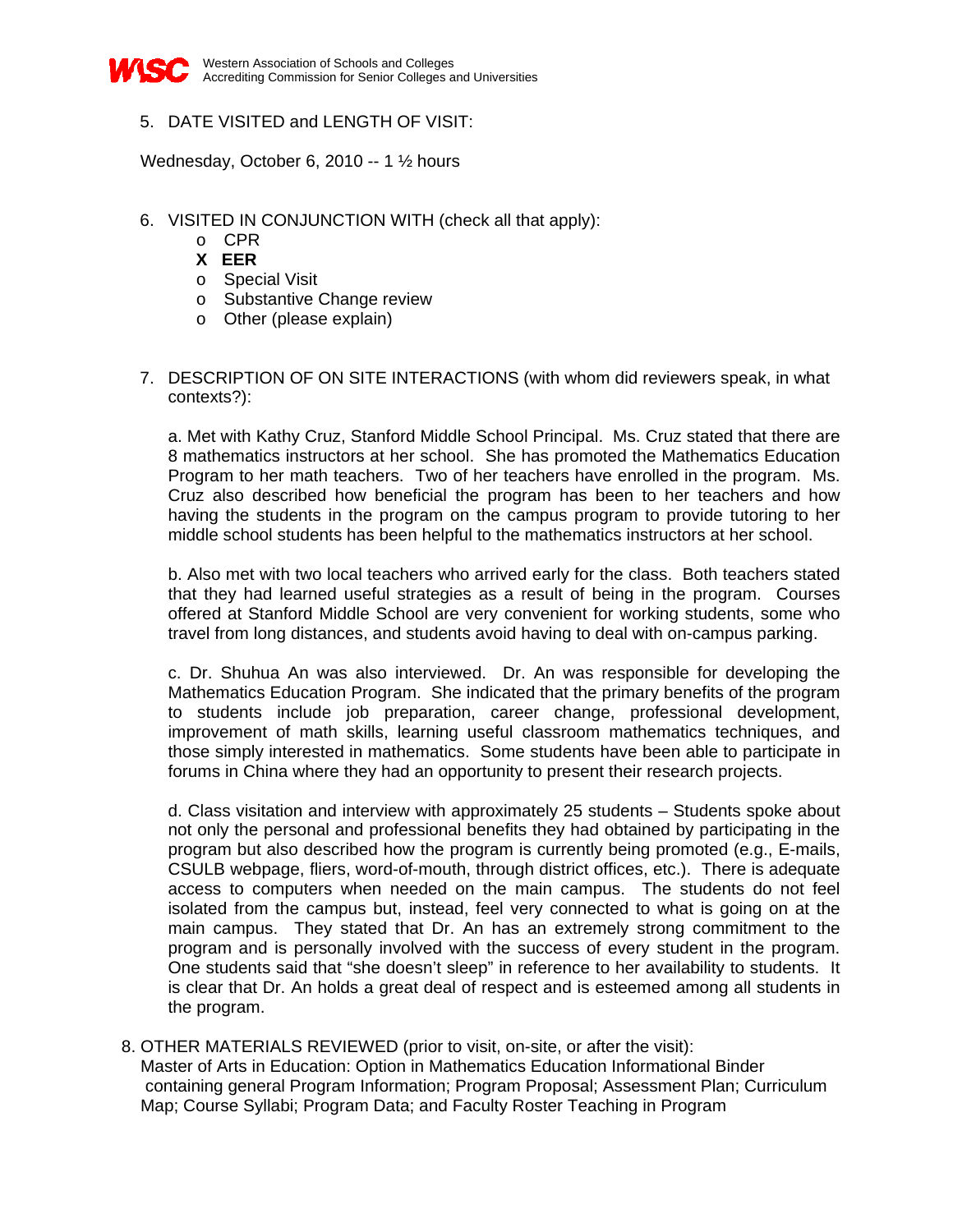

## 5. DATE VISITED and LENGTH OF VISIT:

Wednesday, October 6, 2010 -- 1 ½ hours

- 6. VISITED IN CONJUNCTION WITH (check all that apply):
	- o CPR
	- **X EER**
	- o Special Visit
	- o Substantive Change review
	- o Other (please explain)
- 7. DESCRIPTION OF ON SITE INTERACTIONS (with whom did reviewers speak, in what contexts?):

a. Met with Kathy Cruz, Stanford Middle School Principal. Ms. Cruz stated that there are 8 mathematics instructors at her school. She has promoted the Mathematics Education Program to her math teachers. Two of her teachers have enrolled in the program. Ms. Cruz also described how beneficial the program has been to her teachers and how having the students in the program on the campus program to provide tutoring to her middle school students has been helpful to the mathematics instructors at her school.

b. Also met with two local teachers who arrived early for the class. Both teachers stated that they had learned useful strategies as a result of being in the program. Courses offered at Stanford Middle School are very convenient for working students, some who travel from long distances, and students avoid having to deal with on-campus parking.

c. Dr. Shuhua An was also interviewed. Dr. An was responsible for developing the Mathematics Education Program. She indicated that the primary benefits of the program to students include job preparation, career change, professional development, improvement of math skills, learning useful classroom mathematics techniques, and those simply interested in mathematics. Some students have been able to participate in forums in China where they had an opportunity to present their research projects.

d. Class visitation and interview with approximately 25 students – Students spoke about not only the personal and professional benefits they had obtained by participating in the program but also described how the program is currently being promoted (e.g., E-mails, CSULB webpage, fliers, word-of-mouth, through district offices, etc.). There is adequate access to computers when needed on the main campus. The students do not feel isolated from the campus but, instead, feel very connected to what is going on at the main campus. They stated that Dr. An has an extremely strong commitment to the program and is personally involved with the success of every student in the program. One students said that "she doesn't sleep" in reference to her availability to students. It is clear that Dr. An holds a great deal of respect and is esteemed among all students in the program.

 8. OTHER MATERIALS REVIEWED (prior to visit, on-site, or after the visit): Master of Arts in Education: Option in Mathematics Education Informational Binder containing general Program Information; Program Proposal; Assessment Plan; Curriculum Map; Course Syllabi; Program Data; and Faculty Roster Teaching in Program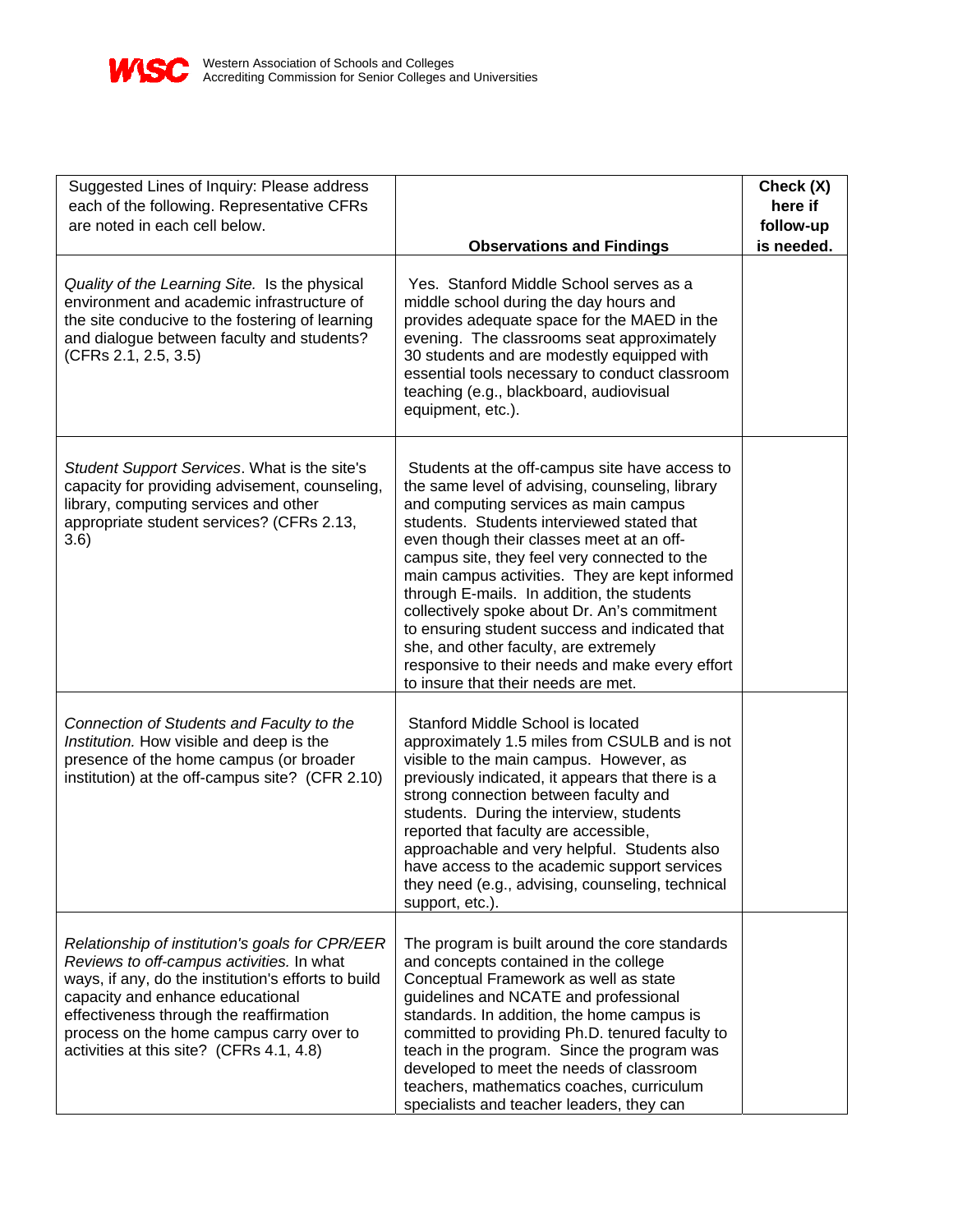

| Suggested Lines of Inquiry: Please address<br>each of the following. Representative CFRs<br>are noted in each cell below.                                                                                                                                                                                                  | <b>Observations and Findings</b>                                                                                                                                                                                                                                                                                                                                                                                                                                                                                                                                                                                           | Check (X)<br>here if<br>follow-up<br>is needed. |
|----------------------------------------------------------------------------------------------------------------------------------------------------------------------------------------------------------------------------------------------------------------------------------------------------------------------------|----------------------------------------------------------------------------------------------------------------------------------------------------------------------------------------------------------------------------------------------------------------------------------------------------------------------------------------------------------------------------------------------------------------------------------------------------------------------------------------------------------------------------------------------------------------------------------------------------------------------------|-------------------------------------------------|
| Quality of the Learning Site. Is the physical<br>environment and academic infrastructure of<br>the site conducive to the fostering of learning<br>and dialogue between faculty and students?<br>(CFRs 2.1, 2.5, 3.5)                                                                                                       | Yes. Stanford Middle School serves as a<br>middle school during the day hours and<br>provides adequate space for the MAED in the<br>evening. The classrooms seat approximately<br>30 students and are modestly equipped with<br>essential tools necessary to conduct classroom<br>teaching (e.g., blackboard, audiovisual<br>equipment, etc.).                                                                                                                                                                                                                                                                             |                                                 |
| Student Support Services. What is the site's<br>capacity for providing advisement, counseling,<br>library, computing services and other<br>appropriate student services? (CFRs 2.13,<br>3.6)                                                                                                                               | Students at the off-campus site have access to<br>the same level of advising, counseling, library<br>and computing services as main campus<br>students. Students interviewed stated that<br>even though their classes meet at an off-<br>campus site, they feel very connected to the<br>main campus activities. They are kept informed<br>through E-mails. In addition, the students<br>collectively spoke about Dr. An's commitment<br>to ensuring student success and indicated that<br>she, and other faculty, are extremely<br>responsive to their needs and make every effort<br>to insure that their needs are met. |                                                 |
| Connection of Students and Faculty to the<br>Institution. How visible and deep is the<br>presence of the home campus (or broader<br>institution) at the off-campus site? (CFR 2.10)                                                                                                                                        | Stanford Middle School is located<br>approximately 1.5 miles from CSULB and is not<br>visible to the main campus. However, as<br>previously indicated, it appears that there is a<br>strong connection between faculty and<br>students. During the interview, students<br>reported that faculty are accessible,<br>approachable and very helpful. Students also<br>have access to the academic support services<br>they need (e.g., advising, counseling, technical<br>support, etc.).                                                                                                                                     |                                                 |
| Relationship of institution's goals for CPR/EER<br>Reviews to off-campus activities. In what<br>ways, if any, do the institution's efforts to build<br>capacity and enhance educational<br>effectiveness through the reaffirmation<br>process on the home campus carry over to<br>activities at this site? (CFRs 4.1, 4.8) | The program is built around the core standards<br>and concepts contained in the college<br>Conceptual Framework as well as state<br>guidelines and NCATE and professional<br>standards. In addition, the home campus is<br>committed to providing Ph.D. tenured faculty to<br>teach in the program. Since the program was<br>developed to meet the needs of classroom<br>teachers, mathematics coaches, curriculum<br>specialists and teacher leaders, they can                                                                                                                                                            |                                                 |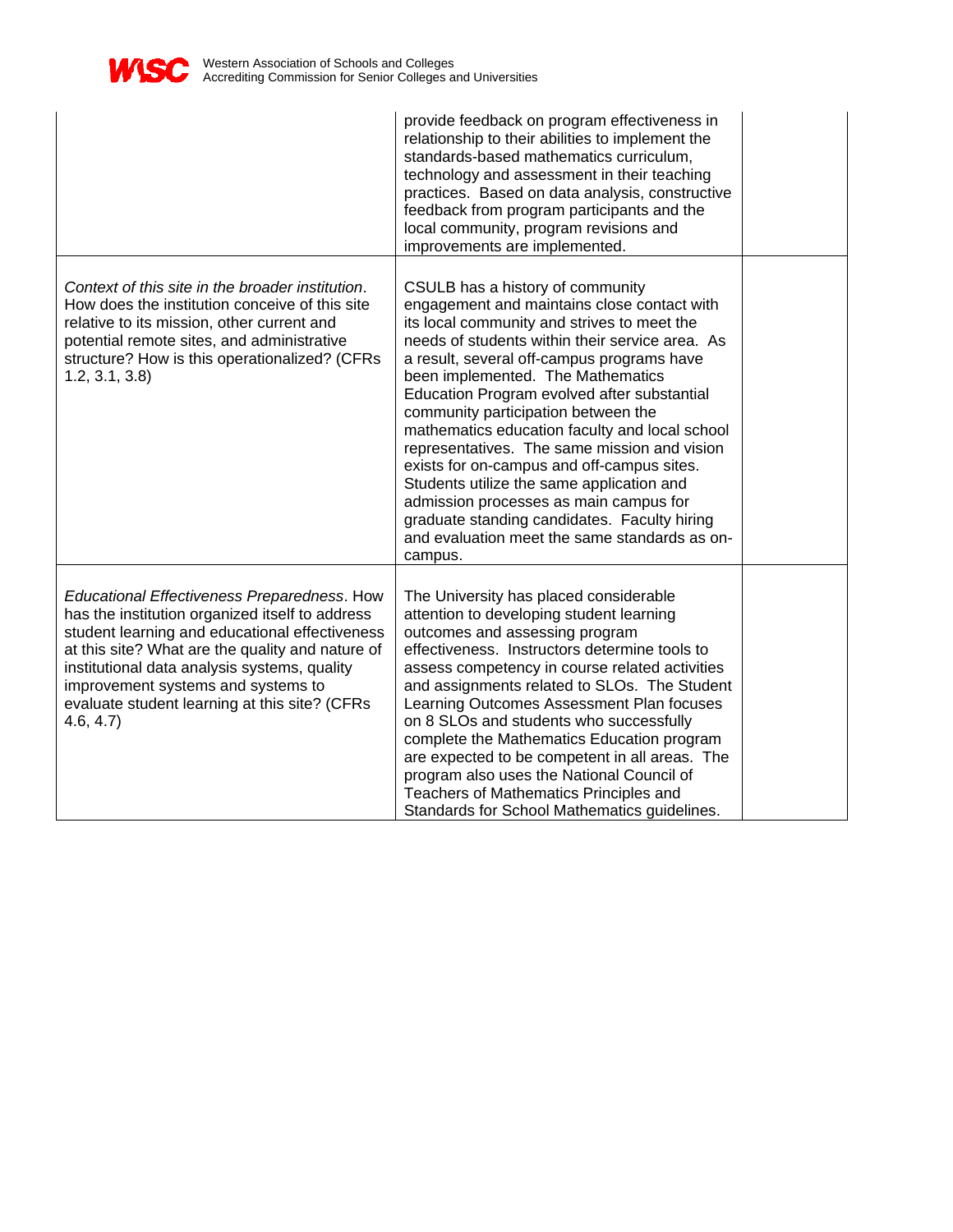

|                                                                                                                                                                                                                                                                                                                                                         | provide feedback on program effectiveness in<br>relationship to their abilities to implement the<br>standards-based mathematics curriculum,<br>technology and assessment in their teaching<br>practices. Based on data analysis, constructive<br>feedback from program participants and the<br>local community, program revisions and<br>improvements are implemented.                                                                                                                                                                                                                                                                                                                                        |  |
|---------------------------------------------------------------------------------------------------------------------------------------------------------------------------------------------------------------------------------------------------------------------------------------------------------------------------------------------------------|---------------------------------------------------------------------------------------------------------------------------------------------------------------------------------------------------------------------------------------------------------------------------------------------------------------------------------------------------------------------------------------------------------------------------------------------------------------------------------------------------------------------------------------------------------------------------------------------------------------------------------------------------------------------------------------------------------------|--|
| Context of this site in the broader institution.<br>How does the institution conceive of this site<br>relative to its mission, other current and<br>potential remote sites, and administrative<br>structure? How is this operationalized? (CFRs<br>1.2, 3.1, 3.8                                                                                        | CSULB has a history of community<br>engagement and maintains close contact with<br>its local community and strives to meet the<br>needs of students within their service area. As<br>a result, several off-campus programs have<br>been implemented. The Mathematics<br>Education Program evolved after substantial<br>community participation between the<br>mathematics education faculty and local school<br>representatives. The same mission and vision<br>exists for on-campus and off-campus sites.<br>Students utilize the same application and<br>admission processes as main campus for<br>graduate standing candidates. Faculty hiring<br>and evaluation meet the same standards as on-<br>campus. |  |
| Educational Effectiveness Preparedness. How<br>has the institution organized itself to address<br>student learning and educational effectiveness<br>at this site? What are the quality and nature of<br>institutional data analysis systems, quality<br>improvement systems and systems to<br>evaluate student learning at this site? (CFRs<br>4.6, 4.7 | The University has placed considerable<br>attention to developing student learning<br>outcomes and assessing program<br>effectiveness. Instructors determine tools to<br>assess competency in course related activities<br>and assignments related to SLOs. The Student<br>Learning Outcomes Assessment Plan focuses<br>on 8 SLOs and students who successfully<br>complete the Mathematics Education program<br>are expected to be competent in all areas. The<br>program also uses the National Council of<br>Teachers of Mathematics Principles and<br>Standards for School Mathematics guidelines.                                                                                                        |  |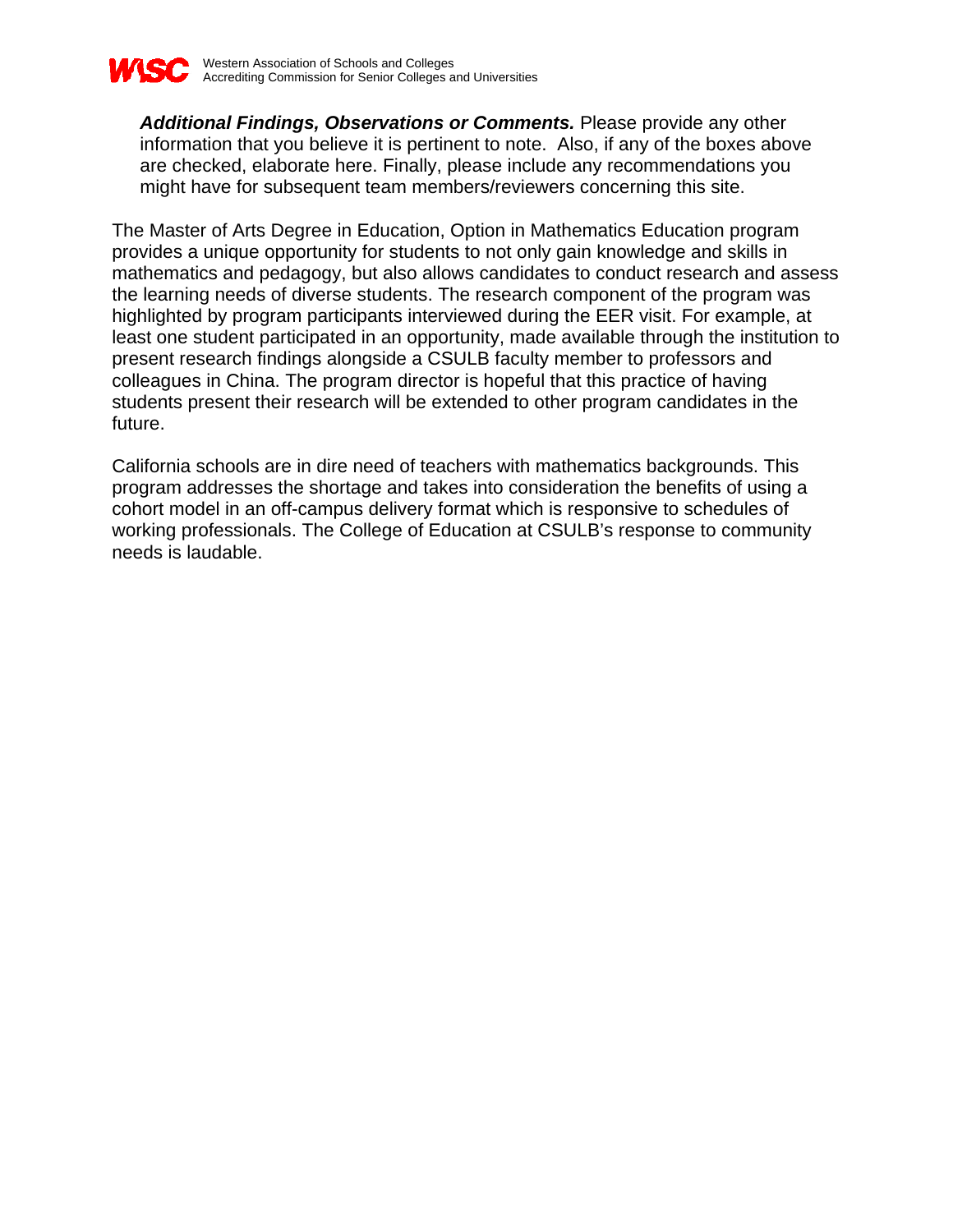

*Additional Findings, Observations or Comments.* Please provide any other information that you believe it is pertinent to note. Also, if any of the boxes above are checked, elaborate here. Finally, please include any recommendations you might have for subsequent team members/reviewers concerning this site.

The Master of Arts Degree in Education, Option in Mathematics Education program provides a unique opportunity for students to not only gain knowledge and skills in mathematics and pedagogy, but also allows candidates to conduct research and assess the learning needs of diverse students. The research component of the program was highlighted by program participants interviewed during the EER visit. For example, at least one student participated in an opportunity, made available through the institution to present research findings alongside a CSULB faculty member to professors and colleagues in China. The program director is hopeful that this practice of having students present their research will be extended to other program candidates in the future.

California schools are in dire need of teachers with mathematics backgrounds. This program addresses the shortage and takes into consideration the benefits of using a cohort model in an off-campus delivery format which is responsive to schedules of working professionals. The College of Education at CSULB's response to community needs is laudable.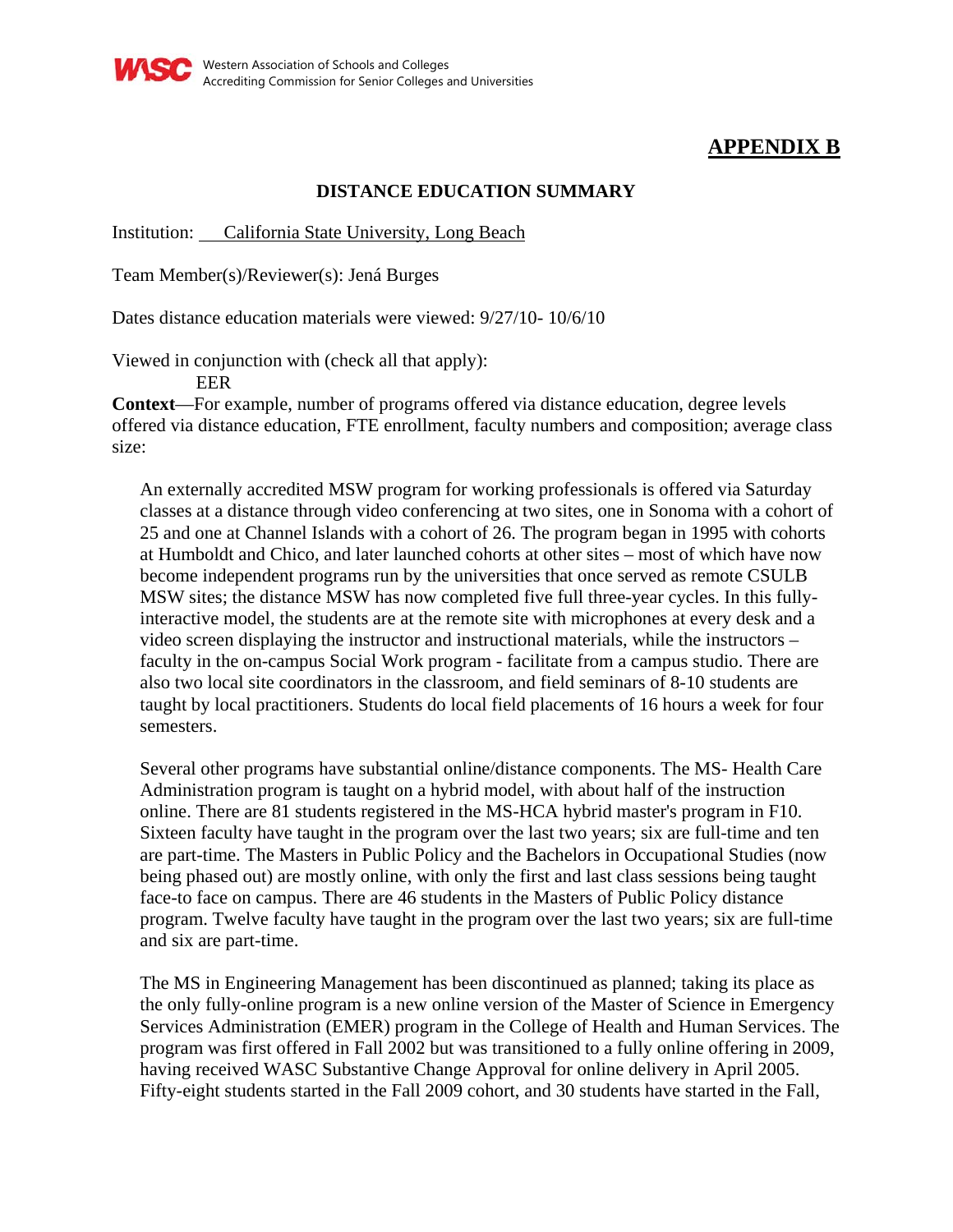

## **APPENDIX B**

## **DISTANCE EDUCATION SUMMARY**

Institution: California State University, Long Beach

Team Member(s)/Reviewer(s): Jená Burges

Dates distance education materials were viewed: 9/27/10- 10/6/10

Viewed in conjunction with (check all that apply):

EER

**Context**—For example, number of programs offered via distance education, degree levels offered via distance education, FTE enrollment, faculty numbers and composition; average class size:

An externally accredited MSW program for working professionals is offered via Saturday classes at a distance through video conferencing at two sites, one in Sonoma with a cohort of 25 and one at Channel Islands with a cohort of 26. The program began in 1995 with cohorts at Humboldt and Chico, and later launched cohorts at other sites – most of which have now become independent programs run by the universities that once served as remote CSULB MSW sites; the distance MSW has now completed five full three-year cycles. In this fullyinteractive model, the students are at the remote site with microphones at every desk and a video screen displaying the instructor and instructional materials, while the instructors – faculty in the on-campus Social Work program - facilitate from a campus studio. There are also two local site coordinators in the classroom, and field seminars of 8-10 students are taught by local practitioners. Students do local field placements of 16 hours a week for four semesters.

Several other programs have substantial online/distance components. The MS- Health Care Administration program is taught on a hybrid model, with about half of the instruction online. There are 81 students registered in the MS-HCA hybrid master's program in F10. Sixteen faculty have taught in the program over the last two years; six are full-time and ten are part-time. The Masters in Public Policy and the Bachelors in Occupational Studies (now being phased out) are mostly online, with only the first and last class sessions being taught face-to face on campus. There are 46 students in the Masters of Public Policy distance program. Twelve faculty have taught in the program over the last two years; six are full-time and six are part-time.

The MS in Engineering Management has been discontinued as planned; taking its place as the only fully-online program is a new online version of the Master of Science in Emergency Services Administration (EMER) program in the College of Health and Human Services. The program was first offered in Fall 2002 but was transitioned to a fully online offering in 2009, having received WASC Substantive Change Approval for online delivery in April 2005. Fifty-eight students started in the Fall 2009 cohort, and 30 students have started in the Fall,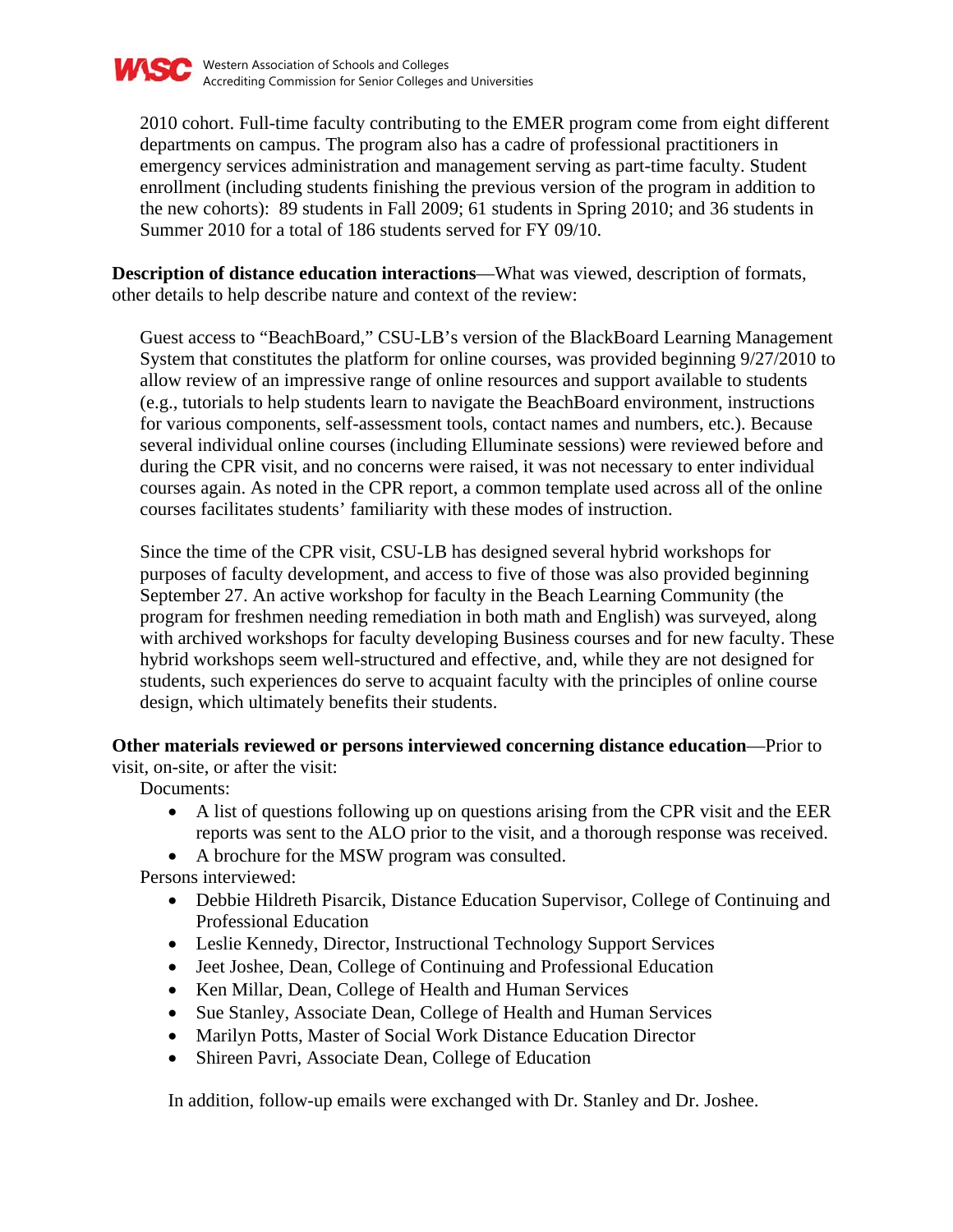

2010 cohort. Full-time faculty contributing to the EMER program come from eight different departments on campus. The program also has a cadre of professional practitioners in emergency services administration and management serving as part-time faculty. Student enrollment (including students finishing the previous version of the program in addition to the new cohorts): 89 students in Fall 2009; 61 students in Spring 2010; and 36 students in Summer 2010 for a total of 186 students served for FY 09/10.

**Description of distance education interactions**—What was viewed, description of formats, other details to help describe nature and context of the review:

Guest access to "BeachBoard," CSU-LB's version of the BlackBoard Learning Management System that constitutes the platform for online courses, was provided beginning 9/27/2010 to allow review of an impressive range of online resources and support available to students (e.g., tutorials to help students learn to navigate the BeachBoard environment, instructions for various components, self-assessment tools, contact names and numbers, etc.). Because several individual online courses (including Elluminate sessions) were reviewed before and during the CPR visit, and no concerns were raised, it was not necessary to enter individual courses again. As noted in the CPR report, a common template used across all of the online courses facilitates students' familiarity with these modes of instruction.

Since the time of the CPR visit, CSU-LB has designed several hybrid workshops for purposes of faculty development, and access to five of those was also provided beginning September 27. An active workshop for faculty in the Beach Learning Community (the program for freshmen needing remediation in both math and English) was surveyed, along with archived workshops for faculty developing Business courses and for new faculty. These hybrid workshops seem well-structured and effective, and, while they are not designed for students, such experiences do serve to acquaint faculty with the principles of online course design, which ultimately benefits their students.

### **Other materials reviewed or persons interviewed concerning distance education**—Prior to

visit, on-site, or after the visit:

Documents:

- A list of questions following up on questions arising from the CPR visit and the EER reports was sent to the ALO prior to the visit, and a thorough response was received.
- A brochure for the MSW program was consulted.

Persons interviewed:

- Debbie Hildreth Pisarcik, Distance Education Supervisor, College of Continuing and Professional Education
- Leslie Kennedy, Director, Instructional Technology Support Services
- Jeet Joshee, Dean, College of Continuing and Professional Education
- Ken Millar, Dean, College of Health and Human Services
- Sue Stanley, Associate Dean, College of Health and Human Services
- Marilyn Potts, Master of Social Work Distance Education Director
- Shireen Pavri, Associate Dean, College of Education

In addition, follow-up emails were exchanged with Dr. Stanley and Dr. Joshee.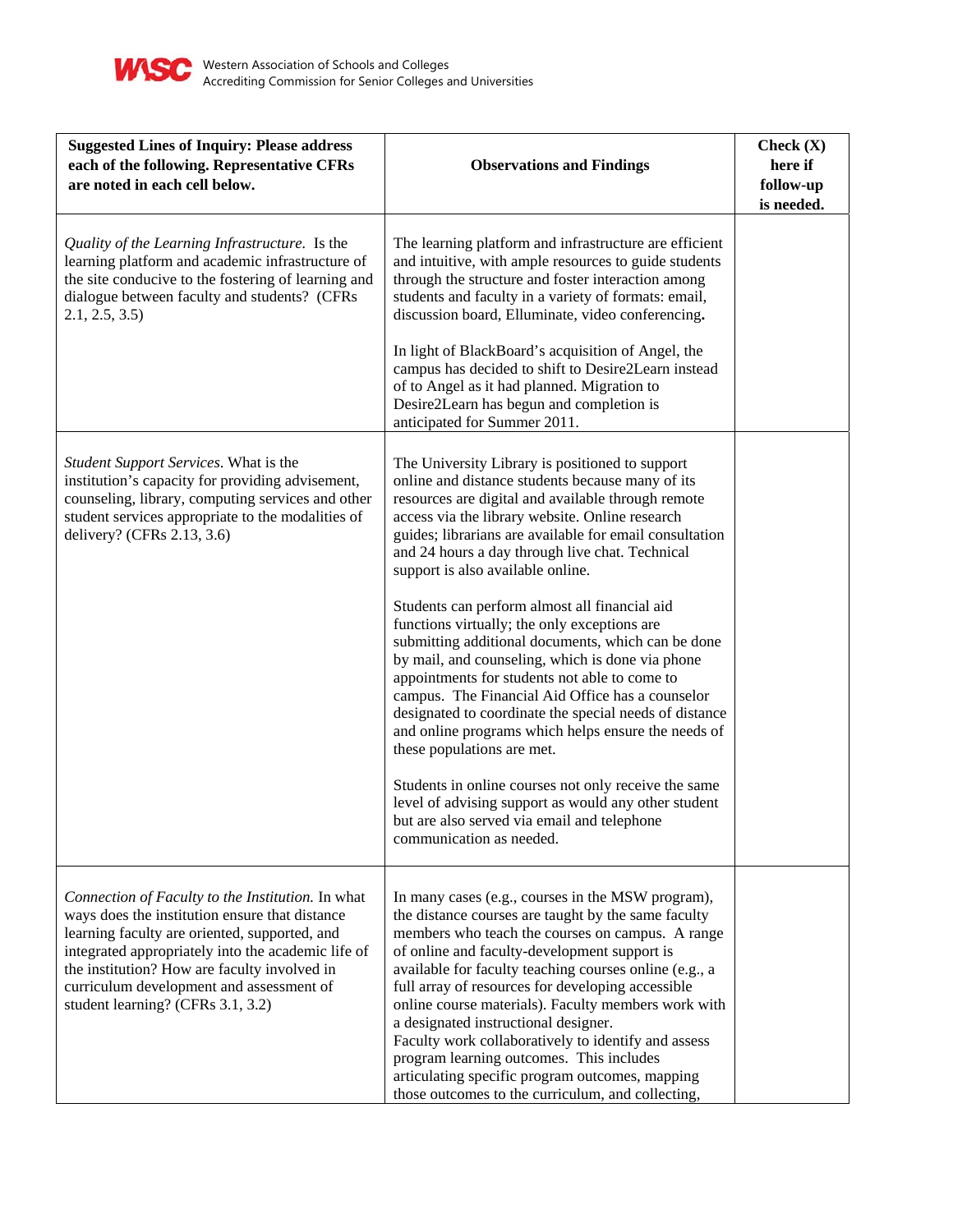

| <b>Suggested Lines of Inquiry: Please address</b><br>each of the following. Representative CFRs<br>are noted in each cell below.                                                                                                                                                                                                            | <b>Observations and Findings</b>                                                                                                                                                                                                                                                                                                                                                                                                                                                                                                                                                                                                                                                                                                                                                                                                                                                                                                                                                                                          | Check $(X)$<br>here if<br>follow-up<br>is needed. |
|---------------------------------------------------------------------------------------------------------------------------------------------------------------------------------------------------------------------------------------------------------------------------------------------------------------------------------------------|---------------------------------------------------------------------------------------------------------------------------------------------------------------------------------------------------------------------------------------------------------------------------------------------------------------------------------------------------------------------------------------------------------------------------------------------------------------------------------------------------------------------------------------------------------------------------------------------------------------------------------------------------------------------------------------------------------------------------------------------------------------------------------------------------------------------------------------------------------------------------------------------------------------------------------------------------------------------------------------------------------------------------|---------------------------------------------------|
| Quality of the Learning Infrastructure. Is the<br>learning platform and academic infrastructure of<br>the site conducive to the fostering of learning and<br>dialogue between faculty and students? (CFRs<br>2.1, 2.5, 3.5                                                                                                                  | The learning platform and infrastructure are efficient<br>and intuitive, with ample resources to guide students<br>through the structure and foster interaction among<br>students and faculty in a variety of formats: email,<br>discussion board, Elluminate, video conferencing.<br>In light of BlackBoard's acquisition of Angel, the<br>campus has decided to shift to Desire2Learn instead<br>of to Angel as it had planned. Migration to<br>Desire2Learn has begun and completion is<br>anticipated for Summer 2011.                                                                                                                                                                                                                                                                                                                                                                                                                                                                                                |                                                   |
| Student Support Services. What is the<br>institution's capacity for providing advisement,<br>counseling, library, computing services and other<br>student services appropriate to the modalities of<br>delivery? (CFRs 2.13, 3.6)                                                                                                           | The University Library is positioned to support<br>online and distance students because many of its<br>resources are digital and available through remote<br>access via the library website. Online research<br>guides; librarians are available for email consultation<br>and 24 hours a day through live chat. Technical<br>support is also available online.<br>Students can perform almost all financial aid<br>functions virtually; the only exceptions are<br>submitting additional documents, which can be done<br>by mail, and counseling, which is done via phone<br>appointments for students not able to come to<br>campus. The Financial Aid Office has a counselor<br>designated to coordinate the special needs of distance<br>and online programs which helps ensure the needs of<br>these populations are met.<br>Students in online courses not only receive the same<br>level of advising support as would any other student<br>but are also served via email and telephone<br>communication as needed. |                                                   |
| Connection of Faculty to the Institution. In what<br>ways does the institution ensure that distance<br>learning faculty are oriented, supported, and<br>integrated appropriately into the academic life of<br>the institution? How are faculty involved in<br>curriculum development and assessment of<br>student learning? (CFRs 3.1, 3.2) | In many cases (e.g., courses in the MSW program),<br>the distance courses are taught by the same faculty<br>members who teach the courses on campus. A range<br>of online and faculty-development support is<br>available for faculty teaching courses online (e.g., a<br>full array of resources for developing accessible<br>online course materials). Faculty members work with<br>a designated instructional designer.<br>Faculty work collaboratively to identify and assess<br>program learning outcomes. This includes<br>articulating specific program outcomes, mapping<br>those outcomes to the curriculum, and collecting,                                                                                                                                                                                                                                                                                                                                                                                     |                                                   |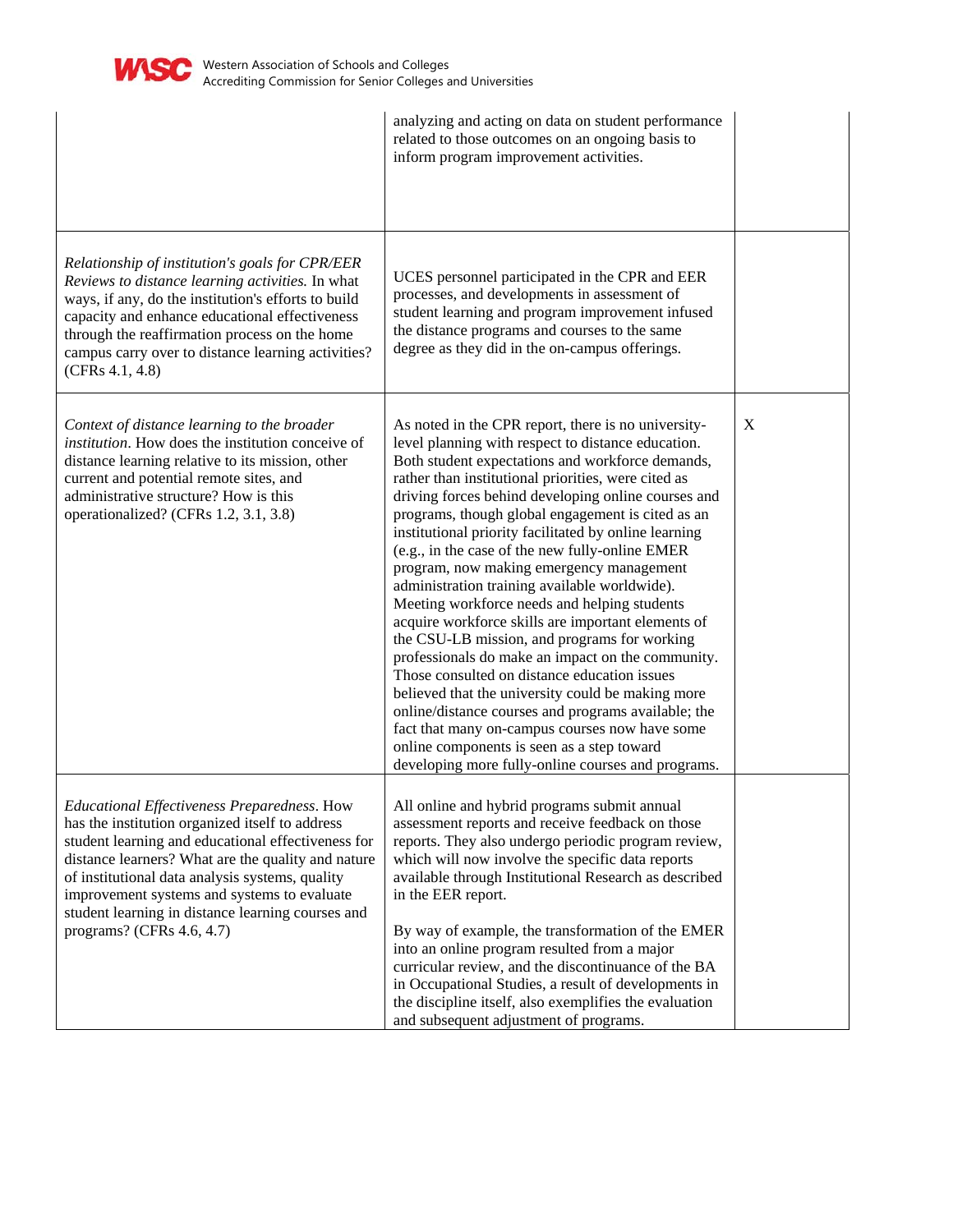

|                                                                                                                                                                                                                                                                                                                                                                                                | analyzing and acting on data on student performance<br>related to those outcomes on an ongoing basis to<br>inform program improvement activities.                                                                                                                                                                                                                                                                                                                                                                                                                                                                                                                                                                                                                                                                                                                                                                                                                                                                                                                      |   |
|------------------------------------------------------------------------------------------------------------------------------------------------------------------------------------------------------------------------------------------------------------------------------------------------------------------------------------------------------------------------------------------------|------------------------------------------------------------------------------------------------------------------------------------------------------------------------------------------------------------------------------------------------------------------------------------------------------------------------------------------------------------------------------------------------------------------------------------------------------------------------------------------------------------------------------------------------------------------------------------------------------------------------------------------------------------------------------------------------------------------------------------------------------------------------------------------------------------------------------------------------------------------------------------------------------------------------------------------------------------------------------------------------------------------------------------------------------------------------|---|
| Relationship of institution's goals for CPR/EER<br>Reviews to distance learning activities. In what<br>ways, if any, do the institution's efforts to build<br>capacity and enhance educational effectiveness<br>through the reaffirmation process on the home<br>campus carry over to distance learning activities?<br>(CFRs 4.1, 4.8)                                                         | UCES personnel participated in the CPR and EER<br>processes, and developments in assessment of<br>student learning and program improvement infused<br>the distance programs and courses to the same<br>degree as they did in the on-campus offerings.                                                                                                                                                                                                                                                                                                                                                                                                                                                                                                                                                                                                                                                                                                                                                                                                                  |   |
| Context of distance learning to the broader<br><i>institution</i> . How does the institution conceive of<br>distance learning relative to its mission, other<br>current and potential remote sites, and<br>administrative structure? How is this<br>operationalized? (CFRs 1.2, 3.1, 3.8)                                                                                                      | As noted in the CPR report, there is no university-<br>level planning with respect to distance education.<br>Both student expectations and workforce demands,<br>rather than institutional priorities, were cited as<br>driving forces behind developing online courses and<br>programs, though global engagement is cited as an<br>institutional priority facilitated by online learning<br>(e.g., in the case of the new fully-online EMER<br>program, now making emergency management<br>administration training available worldwide).<br>Meeting workforce needs and helping students<br>acquire workforce skills are important elements of<br>the CSU-LB mission, and programs for working<br>professionals do make an impact on the community.<br>Those consulted on distance education issues<br>believed that the university could be making more<br>online/distance courses and programs available; the<br>fact that many on-campus courses now have some<br>online components is seen as a step toward<br>developing more fully-online courses and programs. | X |
| Educational Effectiveness Preparedness. How<br>has the institution organized itself to address<br>student learning and educational effectiveness for<br>distance learners? What are the quality and nature<br>of institutional data analysis systems, quality<br>improvement systems and systems to evaluate<br>student learning in distance learning courses and<br>programs? (CFRs 4.6, 4.7) | All online and hybrid programs submit annual<br>assessment reports and receive feedback on those<br>reports. They also undergo periodic program review,<br>which will now involve the specific data reports<br>available through Institutional Research as described<br>in the EER report.<br>By way of example, the transformation of the EMER<br>into an online program resulted from a major<br>curricular review, and the discontinuance of the BA<br>in Occupational Studies, a result of developments in<br>the discipline itself, also exemplifies the evaluation<br>and subsequent adjustment of programs.                                                                                                                                                                                                                                                                                                                                                                                                                                                     |   |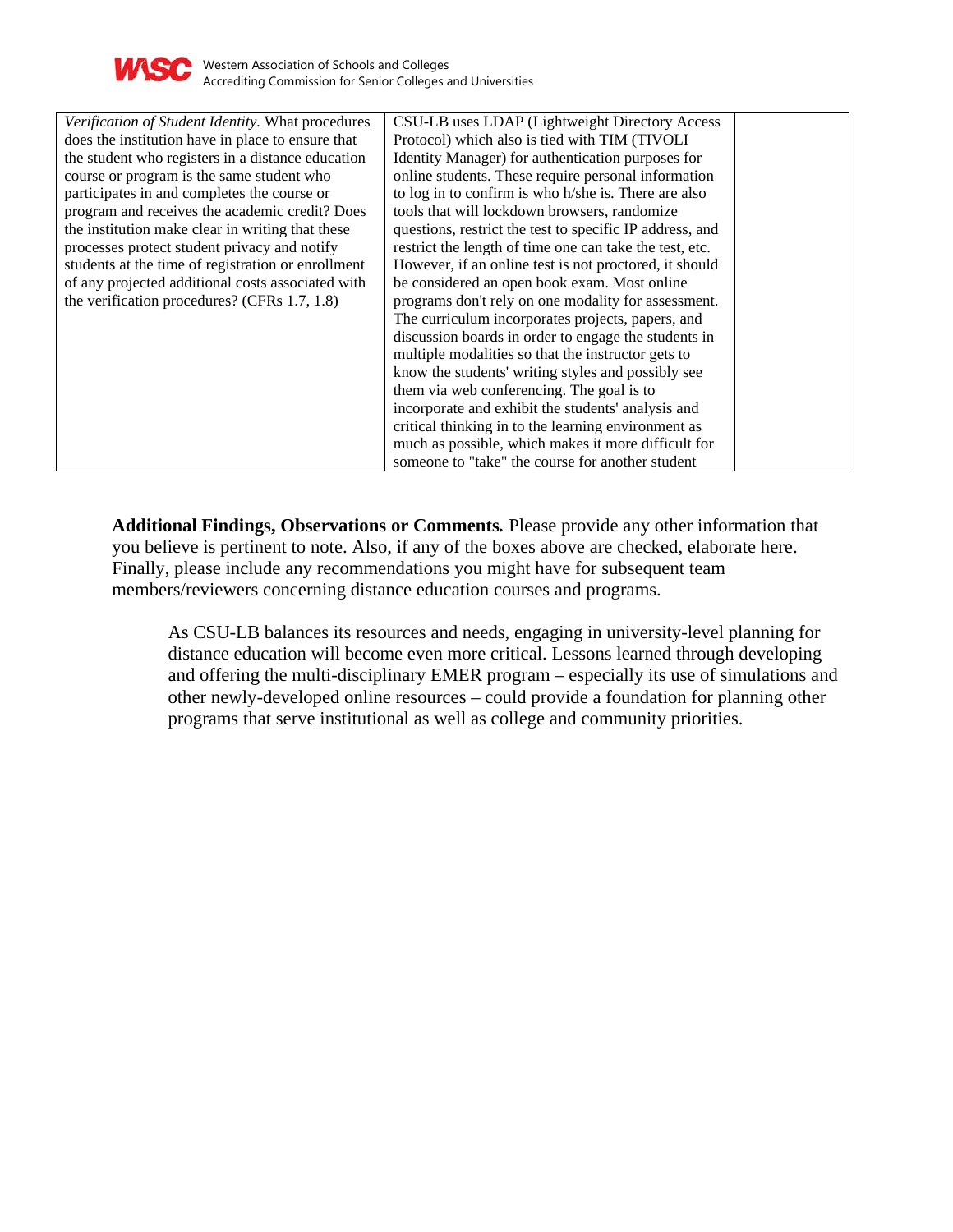

| Verification of Student Identity. What procedures  | CSU-LB uses LDAP (Lightweight Directory Access           |
|----------------------------------------------------|----------------------------------------------------------|
| does the institution have in place to ensure that  | Protocol) which also is tied with TIM (TIVOLI            |
| the student who registers in a distance education  | Identity Manager) for authentication purposes for        |
| course or program is the same student who          | online students. These require personal information      |
| participates in and completes the course or        | to log in to confirm is who h/she is. There are also     |
| program and receives the academic credit? Does     | tools that will lockdown browsers, randomize             |
| the institution make clear in writing that these   | questions, restrict the test to specific IP address, and |
| processes protect student privacy and notify       | restrict the length of time one can take the test, etc.  |
| students at the time of registration or enrollment | However, if an online test is not proctored, it should   |
| of any projected additional costs associated with  | be considered an open book exam. Most online             |
| the verification procedures? (CFRs 1.7, 1.8)       | programs don't rely on one modality for assessment.      |
|                                                    | The curriculum incorporates projects, papers, and        |
|                                                    | discussion boards in order to engage the students in     |
|                                                    | multiple modalities so that the instructor gets to       |
|                                                    | know the students' writing styles and possibly see       |
|                                                    | them via web conferencing. The goal is to                |
|                                                    | incorporate and exhibit the students' analysis and       |
|                                                    | critical thinking in to the learning environment as      |
|                                                    | much as possible, which makes it more difficult for      |
|                                                    | someone to "take" the course for another student         |

**Additional Findings, Observations or Comments***.* Please provide any other information that you believe is pertinent to note. Also, if any of the boxes above are checked, elaborate here. Finally, please include any recommendations you might have for subsequent team members/reviewers concerning distance education courses and programs.

As CSU-LB balances its resources and needs, engaging in university-level planning for distance education will become even more critical. Lessons learned through developing and offering the multi-disciplinary EMER program – especially its use of simulations and other newly-developed online resources – could provide a foundation for planning other programs that serve institutional as well as college and community priorities.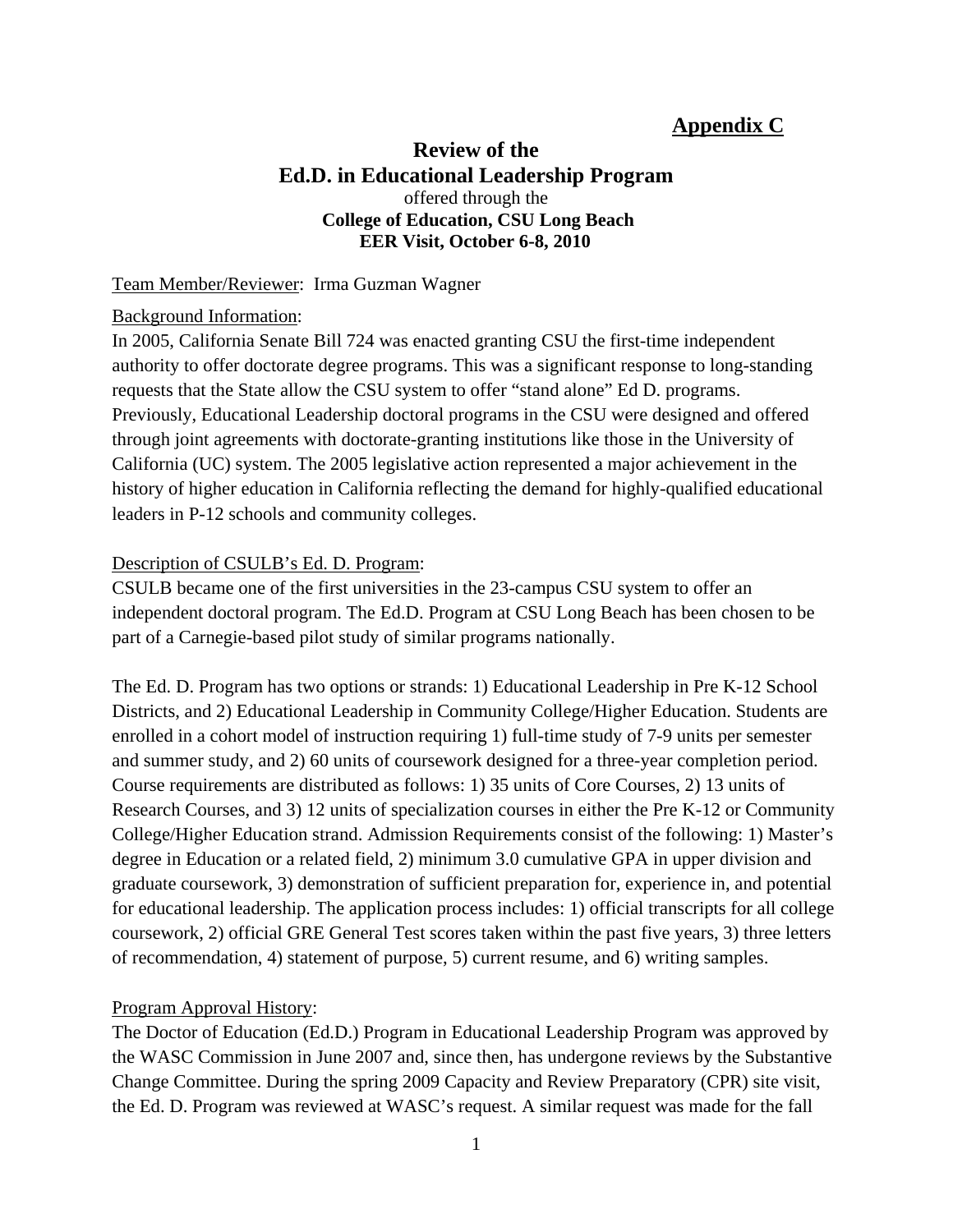## **Appendix C**

## **Review of the Ed.D. in Educational Leadership Program**  offered through the  **College of Education, CSU Long Beach EER Visit, October 6-8, 2010**

## Team Member/Reviewer: Irma Guzman Wagner

## Background Information:

In 2005, California Senate Bill 724 was enacted granting CSU the first-time independent authority to offer doctorate degree programs. This was a significant response to long-standing requests that the State allow the CSU system to offer "stand alone" Ed D. programs. Previously, Educational Leadership doctoral programs in the CSU were designed and offered through joint agreements with doctorate-granting institutions like those in the University of California (UC) system. The 2005 legislative action represented a major achievement in the history of higher education in California reflecting the demand for highly-qualified educational leaders in P-12 schools and community colleges.

## Description of CSULB's Ed. D. Program:

CSULB became one of the first universities in the 23-campus CSU system to offer an independent doctoral program. The Ed.D. Program at CSU Long Beach has been chosen to be part of a Carnegie-based pilot study of similar programs nationally.

The Ed. D. Program has two options or strands: 1) Educational Leadership in Pre K-12 School Districts, and 2) Educational Leadership in Community College/Higher Education. Students are enrolled in a cohort model of instruction requiring 1) full-time study of 7-9 units per semester and summer study, and 2) 60 units of coursework designed for a three-year completion period. Course requirements are distributed as follows: 1) 35 units of Core Courses, 2) 13 units of Research Courses, and 3) 12 units of specialization courses in either the Pre K-12 or Community College/Higher Education strand. Admission Requirements consist of the following: 1) Master's degree in Education or a related field, 2) minimum 3.0 cumulative GPA in upper division and graduate coursework, 3) demonstration of sufficient preparation for, experience in, and potential for educational leadership. The application process includes: 1) official transcripts for all college coursework, 2) official GRE General Test scores taken within the past five years, 3) three letters of recommendation, 4) statement of purpose, 5) current resume, and 6) writing samples.

## Program Approval History:

The Doctor of Education (Ed.D.) Program in Educational Leadership Program was approved by the WASC Commission in June 2007 and, since then, has undergone reviews by the Substantive Change Committee. During the spring 2009 Capacity and Review Preparatory (CPR) site visit, the Ed. D. Program was reviewed at WASC's request. A similar request was made for the fall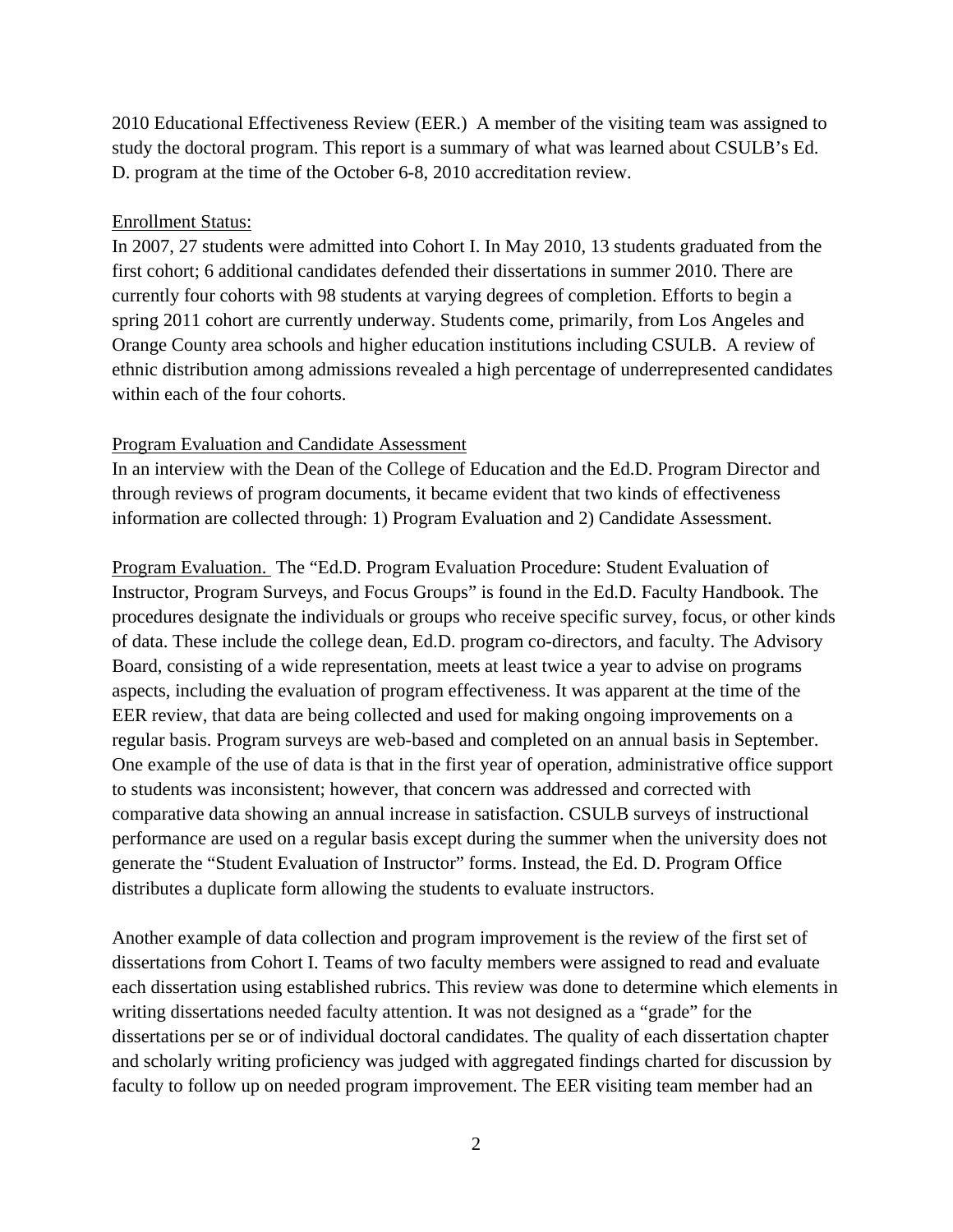2010 Educational Effectiveness Review (EER.) A member of the visiting team was assigned to study the doctoral program. This report is a summary of what was learned about CSULB's Ed. D. program at the time of the October 6-8, 2010 accreditation review.

#### Enrollment Status:

In 2007, 27 students were admitted into Cohort I. In May 2010, 13 students graduated from the first cohort; 6 additional candidates defended their dissertations in summer 2010. There are currently four cohorts with 98 students at varying degrees of completion. Efforts to begin a spring 2011 cohort are currently underway. Students come, primarily, from Los Angeles and Orange County area schools and higher education institutions including CSULB. A review of ethnic distribution among admissions revealed a high percentage of underrepresented candidates within each of the four cohorts.

#### Program Evaluation and Candidate Assessment

In an interview with the Dean of the College of Education and the Ed.D. Program Director and through reviews of program documents, it became evident that two kinds of effectiveness information are collected through: 1) Program Evaluation and 2) Candidate Assessment.

Program Evaluation. The "Ed.D. Program Evaluation Procedure: Student Evaluation of Instructor, Program Surveys, and Focus Groups" is found in the Ed.D. Faculty Handbook. The procedures designate the individuals or groups who receive specific survey, focus, or other kinds of data. These include the college dean, Ed.D. program co-directors, and faculty. The Advisory Board, consisting of a wide representation, meets at least twice a year to advise on programs aspects, including the evaluation of program effectiveness. It was apparent at the time of the EER review, that data are being collected and used for making ongoing improvements on a regular basis. Program surveys are web-based and completed on an annual basis in September. One example of the use of data is that in the first year of operation, administrative office support to students was inconsistent; however, that concern was addressed and corrected with comparative data showing an annual increase in satisfaction. CSULB surveys of instructional performance are used on a regular basis except during the summer when the university does not generate the "Student Evaluation of Instructor" forms. Instead, the Ed. D. Program Office distributes a duplicate form allowing the students to evaluate instructors.

Another example of data collection and program improvement is the review of the first set of dissertations from Cohort I. Teams of two faculty members were assigned to read and evaluate each dissertation using established rubrics. This review was done to determine which elements in writing dissertations needed faculty attention. It was not designed as a "grade" for the dissertations per se or of individual doctoral candidates. The quality of each dissertation chapter and scholarly writing proficiency was judged with aggregated findings charted for discussion by faculty to follow up on needed program improvement. The EER visiting team member had an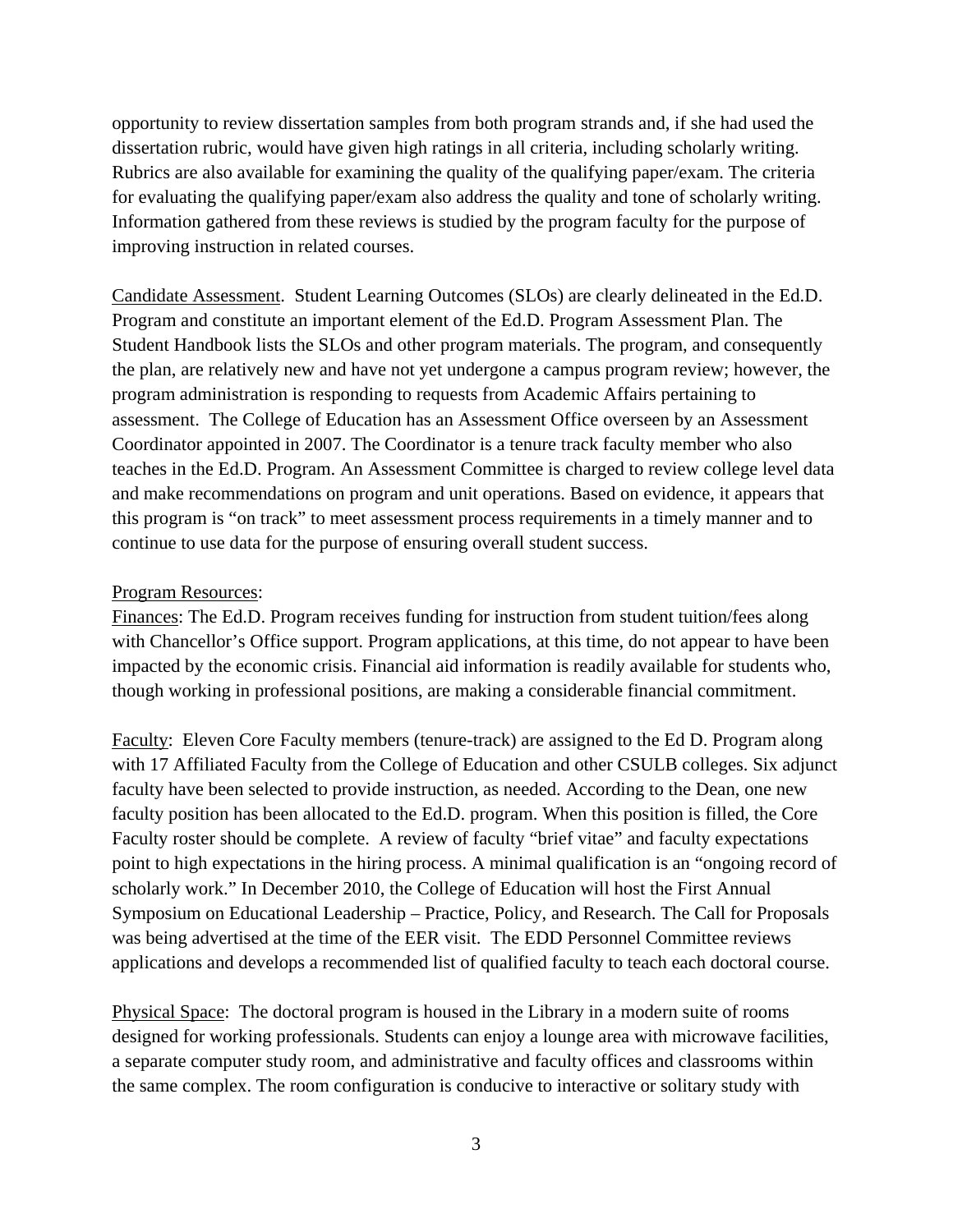opportunity to review dissertation samples from both program strands and, if she had used the dissertation rubric, would have given high ratings in all criteria, including scholarly writing. Rubrics are also available for examining the quality of the qualifying paper/exam. The criteria for evaluating the qualifying paper/exam also address the quality and tone of scholarly writing. Information gathered from these reviews is studied by the program faculty for the purpose of improving instruction in related courses.

Candidate Assessment.Student Learning Outcomes (SLOs) are clearly delineated in the Ed.D. Program and constitute an important element of the Ed.D. Program Assessment Plan. The Student Handbook lists the SLOs and other program materials. The program, and consequently the plan, are relatively new and have not yet undergone a campus program review; however, the program administration is responding to requests from Academic Affairs pertaining to assessment. The College of Education has an Assessment Office overseen by an Assessment Coordinator appointed in 2007. The Coordinator is a tenure track faculty member who also teaches in the Ed.D. Program. An Assessment Committee is charged to review college level data and make recommendations on program and unit operations. Based on evidence, it appears that this program is "on track" to meet assessment process requirements in a timely manner and to continue to use data for the purpose of ensuring overall student success.

#### Program Resources:

Finances: The Ed.D. Program receives funding for instruction from student tuition/fees along with Chancellor's Office support. Program applications, at this time, do not appear to have been impacted by the economic crisis. Financial aid information is readily available for students who, though working in professional positions, are making a considerable financial commitment.

Faculty: Eleven Core Faculty members (tenure-track) are assigned to the Ed D. Program along with 17 Affiliated Faculty from the College of Education and other CSULB colleges. Six adjunct faculty have been selected to provide instruction, as needed. According to the Dean, one new faculty position has been allocated to the Ed.D. program. When this position is filled, the Core Faculty roster should be complete. A review of faculty "brief vitae" and faculty expectations point to high expectations in the hiring process. A minimal qualification is an "ongoing record of scholarly work." In December 2010, the College of Education will host the First Annual Symposium on Educational Leadership – Practice, Policy, and Research. The Call for Proposals was being advertised at the time of the EER visit. The EDD Personnel Committee reviews applications and develops a recommended list of qualified faculty to teach each doctoral course.

Physical Space: The doctoral program is housed in the Library in a modern suite of rooms designed for working professionals. Students can enjoy a lounge area with microwave facilities, a separate computer study room, and administrative and faculty offices and classrooms within the same complex. The room configuration is conducive to interactive or solitary study with